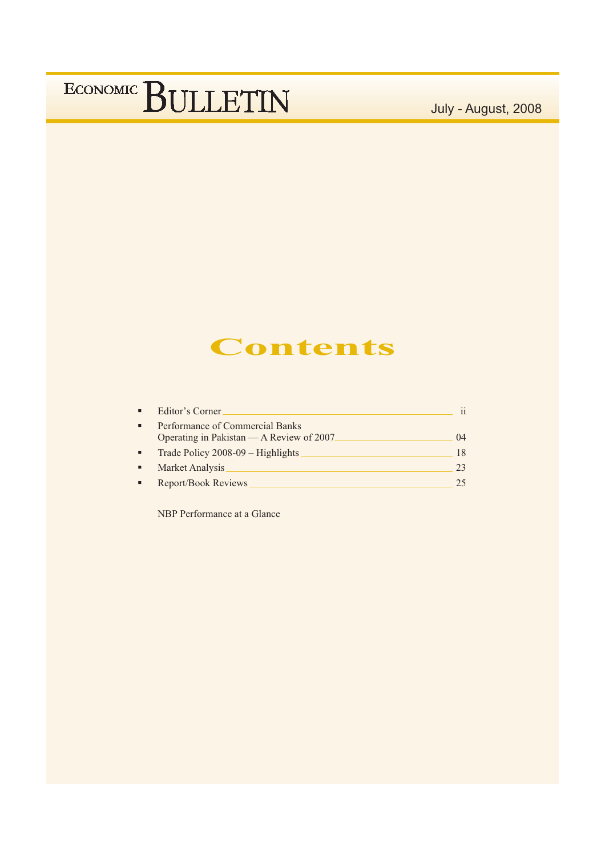July - August, 2008

### **Contents**

| Editor's Corner                                                             | ii |
|-----------------------------------------------------------------------------|----|
| Performance of Commercial Banks<br>Operating in Pakistan — A Review of 2007 | 04 |
| Trade Policy 2008-09 - Highlights                                           | 18 |
| Market Analysis                                                             | 23 |
| Report/Book Reviews                                                         | 25 |

NBP Performance at a Glance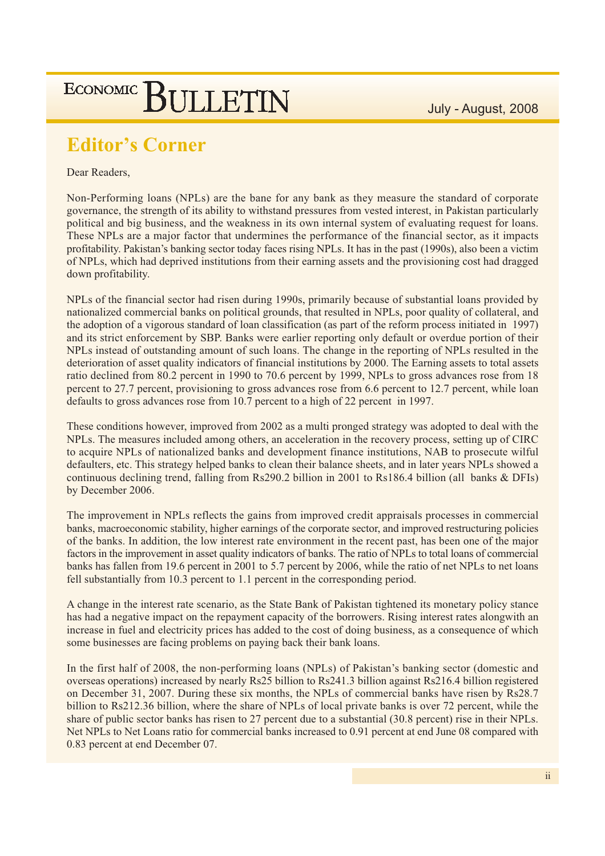### **Editor's Corner**

#### Dear Readers,

Non-Performing loans (NPLs) are the bane for any bank as they measure the standard of corporate governance, the strength of its ability to withstand pressures from vested interest, in Pakistan particularly political and big business, and the weakness in its own internal system of evaluating request for loans. These NPLs are a major factor that undermines the performance of the financial sector, as it impacts profitability. Pakistan's banking sector today faces rising NPLs. It has in the past (1990s), also been a victim of NPLs, which had deprived institutions from their earning assets and the provisioning cost had dragged down profitability.

NPLs of the financial sector had risen during 1990s, primarily because of substantial loans provided by nationalized commercial banks on political grounds, that resulted in NPLs, poor quality of collateral, and the adoption of a vigorous standard of loan classification (as part of the reform process initiated in 1997) and its strict enforcement by SBP. Banks were earlier reporting only default or overdue portion of their NPLs instead of outstanding amount of such loans. The change in the reporting of NPLs resulted in the deterioration of asset quality indicators of financial institutions by 2000. The Earning assets to total assets ratio declined from 80.2 percent in 1990 to 70.6 percent by 1999, NPLs to gross advances rose from 18 percent to 27.7 percent, provisioning to gross advances rose from 6.6 percent to 12.7 percent, while loan defaults to gross advances rose from 10.7 percent to a high of 22 percent in 1997.

These conditions however, improved from 2002 as a multi pronged strategy was adopted to deal with the NPLs. The measures included among others, an acceleration in the recovery process, setting up of CIRC to acquire NPLs of nationalized banks and development finance institutions, NAB to prosecute wilful defaulters, etc. This strategy helped banks to clean their balance sheets, and in later years NPLs showed a continuous declining trend, falling from Rs290.2 billion in 2001 to Rs186.4 billion (all banks & DFIs) by December 2006.

The improvement in NPLs reflects the gains from improved credit appraisals processes in commercial banks, macroeconomic stability, higher earnings of the corporate sector, and improved restructuring policies of the banks. In addition, the low interest rate environment in the recent past, has been one of the major factors in the improvement in asset quality indicators of banks. The ratio of NPLs to total loans of commercial banks has fallen from 19.6 percent in 2001 to 5.7 percent by 2006, while the ratio of net NPLs to net loans fell substantially from 10.3 percent to 1.1 percent in the corresponding period.

A change in the interest rate scenario, as the State Bank of Pakistan tightened its monetary policy stance has had a negative impact on the repayment capacity of the borrowers. Rising interest rates alongwith an increase in fuel and electricity prices has added to the cost of doing business, as a consequence of which some businesses are facing problems on paying back their bank loans.

In the first half of 2008, the non-performing loans (NPLs) of Pakistan's banking sector (domestic and overseas operations) increased by nearly Rs25 billion to Rs241.3 billion against Rs216.4 billion registered on December 31, 2007. During these six months, the NPLs of commercial banks have risen by Rs28.7 billion to Rs212.36 billion, where the share of NPLs of local private banks is over 72 percent, while the share of public sector banks has risen to 27 percent due to a substantial (30.8 percent) rise in their NPLs. Net NPLs to Net Loans ratio for commercial banks increased to 0.91 percent at end June 08 compared with 0.83 percent at end December 07.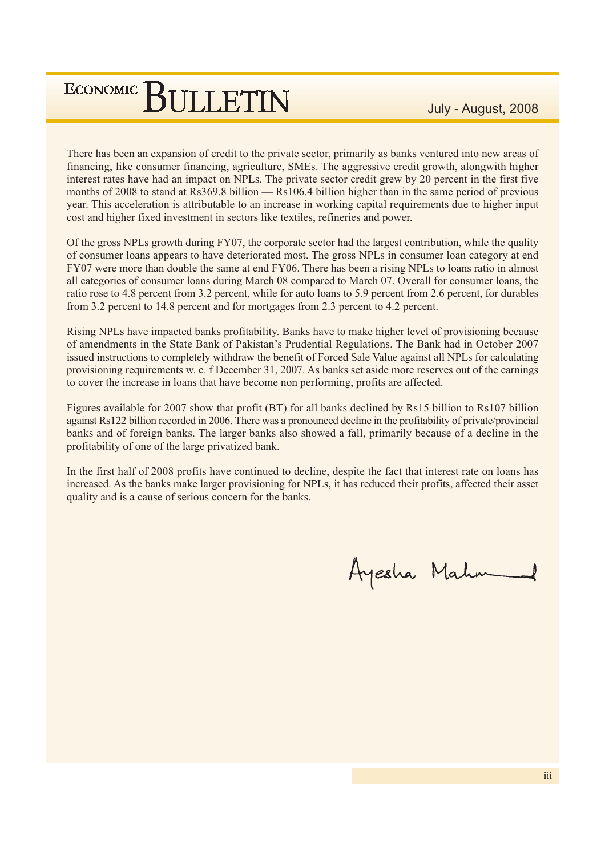There has been an expansion of credit to the private sector, primarily as banks ventured into new areas of financing, like consumer financing, agriculture, SMEs. The aggressive credit growth, alongwith higher interest rates have had an impact on NPLs. The private sector credit grew by 20 percent in the first five months of 2008 to stand at Rs369.8 billion — Rs106.4 billion higher than in the same period of previous year. This acceleration is attributable to an increase in working capital requirements due to higher input cost and higher fixed investment in sectors like textiles, refineries and power.

Of the gross NPLs growth during FY07, the corporate sector had the largest contribution, while the quality of consumer loans appears to have deteriorated most. The gross NPLs in consumer loan category at end FY07 were more than double the same at end FY06. There has been a rising NPLs to loans ratio in almost all categories of consumer loans during March 08 compared to March 07. Overall for consumer loans, the ratio rose to 4.8 percent from 3.2 percent, while for auto loans to 5.9 percent from 2.6 percent, for durables from 3.2 percent to 14.8 percent and for mortgages from 2.3 percent to 4.2 percent.

Rising NPLs have impacted banks profitability. Banks have to make higher level of provisioning because of amendments in the State Bank of Pakistan's Prudential Regulations. The Bank had in October 2007 issued instructions to completely withdraw the benefit of Forced Sale Value against all NPLs for calculating provisioning requirements w. e. f December 31, 2007. As banks set aside more reserves out of the earnings to cover the increase in loans that have become non performing, profits are affected.

Figures available for 2007 show that profit (BT) for all banks declined by Rs15 billion to Rs107 billion against Rs122 billion recorded in 2006. There was a pronounced decline in the profitability of private/provincial banks and of foreign banks. The larger banks also showed a fall, primarily because of a decline in the profitability of one of the large privatized bank.

In the first half of 2008 profits have continued to decline, despite the fact that interest rate on loans has increased. As the banks make larger provisioning for NPLs, it has reduced their profits, affected their asset quality and is a cause of serious concern for the banks.

Ayesha Mahn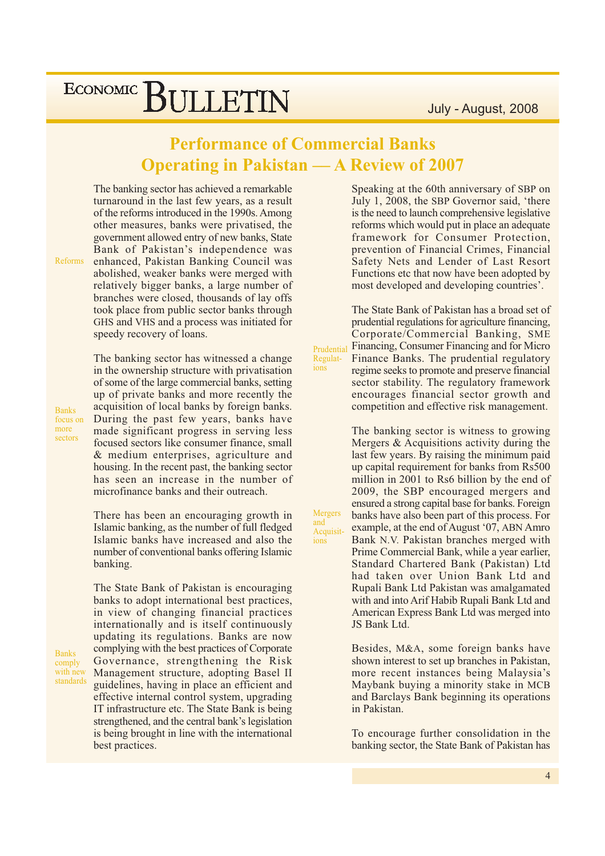### **Performance of Commercial Banks Operating in Pakistan — A Review of 2007**

The banking sector has achieved a remarkable turnaround in the last few years, as a result of the reforms introduced in the 1990s. Among other measures, banks were privatised, the government allowed entry of new banks, State Bank of Pakistan's independence was enhanced, Pakistan Banking Council was abolished, weaker banks were merged with relatively bigger banks, a large number of branches were closed, thousands of lay offs took place from public sector banks through GHS and VHS and a process was initiated for speedy recovery of loans.

Reforms

**Banks** 

focus on more

sectors

**Banks** 

comply with new

standards

The banking sector has witnessed a change in the ownership structure with privatisation of some of the large commercial banks, setting up of private banks and more recently the acquisition of local banks by foreign banks. During the past few years, banks have made significant progress in serving less focused sectors like consumer finance, small & medium enterprises, agriculture and housing. In the recent past, the banking sector has seen an increase in the number of microfinance banks and their outreach.

There has been an encouraging growth in Islamic banking, as the number of full fledged Islamic banks have increased and also the number of conventional banks offering Islamic banking.

The State Bank of Pakistan is encouraging banks to adopt international best practices, in view of changing financial practices internationally and is itself continuously updating its regulations. Banks are now complying with the best practices of Corporate Governance, strengthening the Risk Management structure, adopting Basel II guidelines, having in place an efficient and effective internal control system, upgrading IT infrastructure etc. The State Bank is being strengthened, and the central bank's legislation is being brought in line with the international best practices.

Speaking at the 60th anniversary of SBP on July 1, 2008, the SBP Governor said, 'there is the need to launch comprehensive legislative reforms which would put in place an adequate framework for Consumer Protection, prevention of Financial Crimes, Financial Safety Nets and Lender of Last Resort Functions etc that now have been adopted by most developed and developing countries'.

The State Bank of Pakistan has a broad set of prudential regulations for agriculture financing. Corporate/Commercial Banking, SME Financing, Consumer Financing and for Micro Prudential Finance Banks. The prudential regulatory regime seeks to promote and preserve financial sector stability. The regulatory framework encourages financial sector growth and competition and effective risk management.

> The banking sector is witness to growing Mergers & Acquisitions activity during the last few years. By raising the minimum paid up capital requirement for banks from Rs500 million in 2001 to Rs6 billion by the end of 2009, the SBP encouraged mergers and ensured a strong capital base for banks. Foreign banks have also been part of this process. For example, at the end of August '07, ABN Amro Bank N.V. Pakistan branches merged with Prime Commercial Bank, while a year earlier, Standard Chartered Bank (Pakistan) Ltd had taken over Union Bank Ltd and Rupali Bank Ltd Pakistan was amalgamated with and into Arif Habib Rupali Bank Ltd and American Express Bank Ltd was merged into JS Bank Ltd.

> Besides, M&A, some foreign banks have shown interest to set up branches in Pakistan, more recent instances being Malaysia's Maybank buying a minority stake in MCB and Barclays Bank beginning its operations in Pakistan.

> To encourage further consolidation in the banking sector, the State Bank of Pakistan has

**Mergers** and Acquisitions

Regulations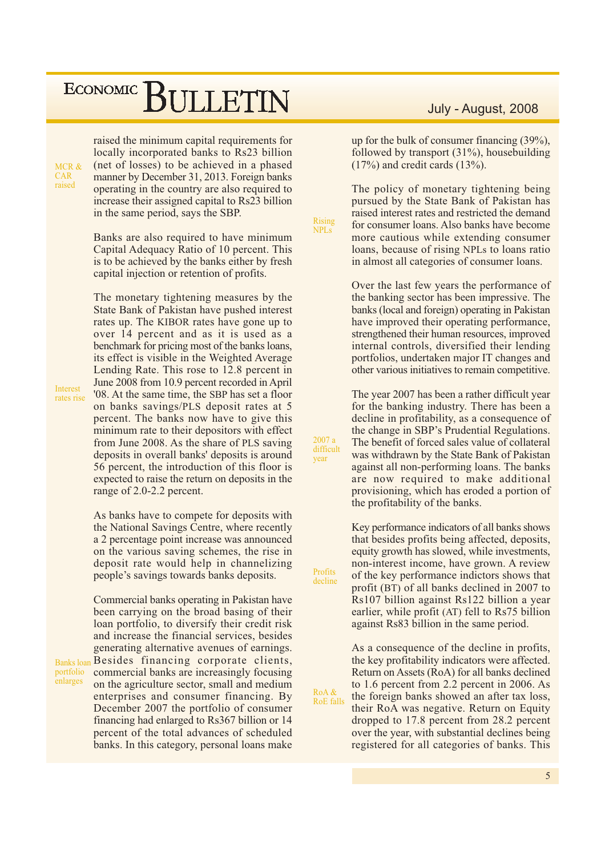MCR & **CAR** raised

**Interest** 

rates rise

portfolio

enlarges

raised the minimum capital requirements for locally incorporated banks to Rs23 billion (net of losses) to be achieved in a phased manner by December 31, 2013. Foreign banks operating in the country are also required to increase their assigned capital to Rs23 billion in the same period, says the SBP.

Banks are also required to have minimum Capital Adequacy Ratio of 10 percent. This is to be achieved by the banks either by fresh capital injection or retention of profits.

The monetary tightening measures by the State Bank of Pakistan have pushed interest rates up. The KIBOR rates have gone up to over 14 percent and as it is used as a benchmark for pricing most of the banks loans, its effect is visible in the Weighted Average Lending Rate. This rose to 12.8 percent in June 2008 from 10.9 percent recorded in April '08. At the same time, the SBP has set a floor on banks savings/PLS deposit rates at 5 percent. The banks now have to give this minimum rate to their depositors with effect from June 2008. As the share of PLS saving deposits in overall banks' deposits is around 56 percent, the introduction of this floor is expected to raise the return on deposits in the range of 2.0-2.2 percent.

As banks have to compete for deposits with the National Savings Centre, where recently a 2 percentage point increase was announced on the various saving schemes, the rise in deposit rate would help in channelizing people's savings towards banks deposits.

Commercial banks operating in Pakistan have been carrying on the broad basing of their loan portfolio, to diversify their credit risk and increase the financial services, besides generating alternative avenues of earnings. Banksloan Besides financing corporate clients, commercial banks are increasingly focusing on the agriculture sector, small and medium enterprises and consumer financing. By December 2007 the portfolio of consumer financing had enlarged to Rs367 billion or 14 percent of the total advances of scheduled banks. In this category, personal loans make

### July - August, 2008

up for the bulk of consumer financing (39%), followed by transport  $(31\%)$ , housebuilding  $(17\%)$  and credit cards  $(13\%).$ 

The policy of monetary tightening being pursued by the State Bank of Pakistan has raised interest rates and restricted the demand for consumer loans. Also banks have become more cautious while extending consumer loans, because of rising NPLs to loans ratio in almost all categories of consumer loans.

Over the last few years the performance of the banking sector has been impressive. The banks (local and foreign) operating in Pakistan have improved their operating performance, strengthened their human resources, improved internal controls, diversified their lending portfolios, undertaken major IT changes and other various initiatives to remain competitive.

The year 2007 has been a rather difficult year for the banking industry. There has been a decline in profitability, as a consequence of the change in SBP's Prudential Regulations. The benefit of forced sales value of collateral was withdrawn by the State Bank of Pakistan against all non-performing loans. The banks are now required to make additional provisioning, which has eroded a portion of the profitability of the banks.

Key performance indicators of all banks shows that besides profits being affected, deposits, equity growth has slowed, while investments, non-interest income, have grown. A review of the key performance indictors shows that profit (BT) of all banks declined in 2007 to Rs107 billion against Rs122 billion a year earlier, while profit (AT) fell to Rs75 billion against Rs83 billion in the same period.

As a consequence of the decline in profits, the key profitability indicators were affected. Return on Assets (RoA) for all banks declined to 1.6 percent from 2.2 percent in 2006. As the foreign banks showed an after tax loss, their RoA was negative. Return on Equity dropped to 17.8 percent from 28.2 percent over the year, with substantial declines being registered for all categories of banks. This

difficult vear

Profits

decline

RoA &

**RoE** falls

 $2007a$ 

Rising

**NPLs**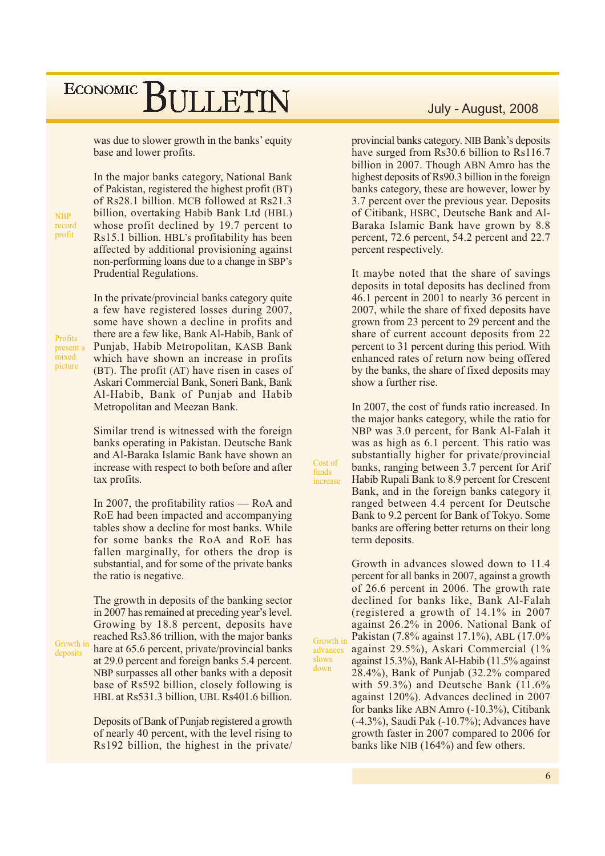was due to slower growth in the banks' equity base and lower profits.

**NBP** record profit

Profits

nicture

Growth in

deposits

present a mixed

In the major banks category, National Bank of Pakistan, registered the highest profit (BT) of Rs28.1 billion. MCB followed at Rs21.3 billion, overtaking Habib Bank Ltd (HBL) whose profit declined by 19.7 percent to Rs15.1 billion. HBL's profitability has been affected by additional provisioning against non-performing loans due to a change in SBP's Prudential Regulations.

In the private/provincial banks category quite a few have registered losses during 2007, some have shown a decline in profits and there are a few like, Bank Al-Habib, Bank of Punjab, Habib Metropolitan, KASB Bank which have shown an increase in profits (BT). The profit (AT) have risen in cases of Askari Commercial Bank, Soneri Bank, Bank Al-Habib, Bank of Punjab and Habib Metropolitan and Meezan Bank.

Similar trend is witnessed with the foreign banks operating in Pakistan. Deutsche Bank and Al-Baraka Islamic Bank have shown an increase with respect to both before and after tax profits.

In 2007, the profitability ratios  $-$  RoA and RoE had been impacted and accompanying tables show a decline for most banks. While for some banks the RoA and RoE has fallen marginally, for others the drop is substantial, and for some of the private banks the ratio is negative.

The growth in deposits of the banking sector in 2007 has remained at preceding year's level. Growing by 18.8 percent, deposits have reached Rs3.86 trillion, with the major banks hare at 65.6 percent, private/provincial banks at 29.0 percent and foreign banks 5.4 percent. NBP surpasses all other banks with a deposit base of Rs592 billion, closely following is HBL at Rs531.3 billion, UBL Rs401.6 billion.

Deposits of Bank of Punjab registered a growth of nearly 40 percent, with the level rising to Rs192 billion, the highest in the private

### July - August, 2008

provincial banks category. NIB Bank's deposits have surged from Rs30.6 billion to Rs116.7 billion in 2007. Though ABN Amro has the highest deposits of Rs90.3 billion in the foreign banks category, these are however, lower by 3.7 percent over the previous year. Deposits of Citibank, HSBC, Deutsche Bank and Al-Baraka Islamic Bank have grown by 8.8 percent, 72.6 percent, 54.2 percent and 22.7 percent respectively.

It maybe noted that the share of savings deposits in total deposits has declined from 46.1 percent in 2001 to nearly 36 percent in 2007, while the share of fixed deposits have grown from 23 percent to 29 percent and the share of current account deposits from 22 percent to 31 percent during this period. With enhanced rates of return now being offered by the banks, the share of fixed deposits may show a further rise.

In 2007, the cost of funds ratio increased. In the major banks category, while the ratio for NBP was 3.0 percent, for Bank Al-Falah it was as high as 6.1 percent. This ratio was substantially higher for private/provincial banks, ranging between 3.7 percent for Arif Habib Rupali Bank to 8.9 percent for Crescent Bank, and in the foreign banks category it ranged between 4.4 percent for Deutsche Bank to 9.2 percent for Bank of Tokyo. Some banks are offering better returns on their long term deposits.

Growth in advances slowed down to 11.4 percent for all banks in 2007, against a growth of 26.6 percent in 2006. The growth rate declined for banks like, Bank Al-Falah (registered a growth of  $14.1\%$  in 2007) against 26.2% in 2006. National Bank of Pakistan (7.8% against 17.1%), ABL (17.0% Growth in against 29.5%), Askari Commercial (1% against 15.3%), Bank Al-Habib (11.5% against 28.4%), Bank of Punjab (32.2% compared with  $59.3\%$ ) and Deutsche Bank (11.6% against 120%). Advances declined in 2007 for banks like ABN Amro (-10.3%), Citibank  $(-4.3\%)$ , Saudi Pak  $(-10.7\%)$ ; Advances have growth faster in 2007 compared to 2006 for banks like NIB (164%) and few others.

Cost of

increase

advances

slows

down

**funds** 

6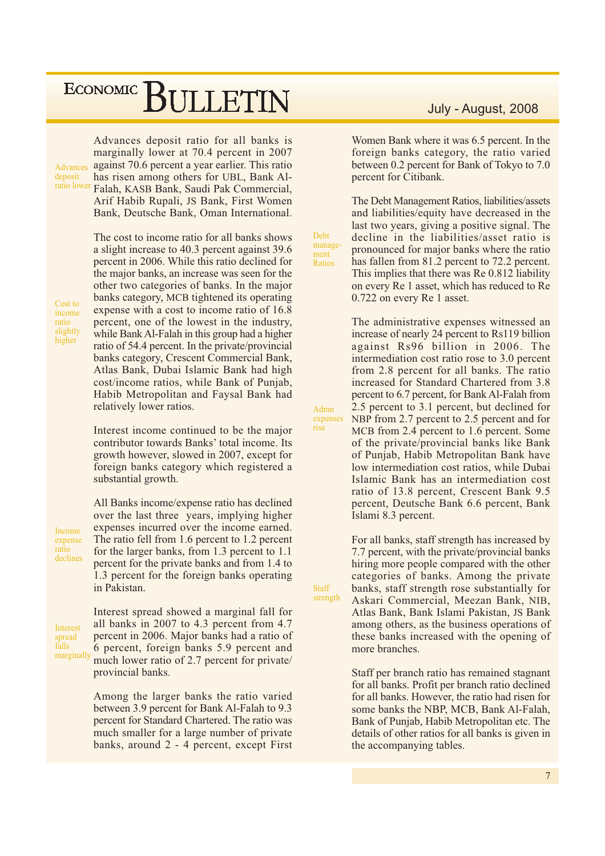Advances deposit ratio lower

Advances deposit ratio for all banks is marginally lower at 70.4 percent in 2007 against 70.6 percent a year earlier. This ratio has risen among others for UBL, Bank Al-Falah, KASB Bank, Saudi Pak Commercial, Arif Habib Rupali, JS Bank, First Women Bank, Deutsche Bank, Oman International.

Cost to income ratio slightly higher

The cost to income ratio for all banks shows a slight increase to 40.3 percent against 39.6 percent in 2006. While this ratio declined for the major banks, an increase was seen for the other two categories of banks. In the major banks category, MCB tightened its operating expense with a cost to income ratio of 16.8 percent, one of the lowest in the industry, while Bank Al-Falah in this group had a higher ratio of 54.4 percent. In the private/provincial banks category, Crescent Commercial Bank, Atlas Bank, Dubai Islamic Bank had high cost/income ratios, while Bank of Punjab, Habib Metropolitan and Faysal Bank had relatively lower ratios.

Interest income continued to be the major contributor towards Banks' total income. Its growth however, slowed in 2007, except for foreign banks category which registered a substantial growth.

Income expense ratio declines All Banks income/expense ratio has declined over the last three years, implying higher expenses incurred over the income earned. The ratio fell from 1.6 percent to 1.2 percent for the larger banks, from 1.3 percent to 1.1 percent for the private banks and from 1.4 to 1.3 percent for the foreign banks operating in Pakistan.

Interest spread falls marginally

Interest spread showed a marginal fall for all banks in 2007 to 4.3 percent from 4.7 percent in 2006. Major banks had a ratio of 6 percent, foreign banks 5.9 percent and much lower ratio of 2.7 percent for private/ provincial banks.

Among the larger banks the ratio varied between 3.9 percent for Bank Al-Falah to 9.3 percent for Standard Chartered. The ratio was much smaller for a large number of private banks, around 2 - 4 percent, except First

#### July - August, 2008

Women Bank where it was 6.5 percent. In the foreign banks category, the ratio varied between 0.2 percent for Bank of Tokyo to 7.0 percent for Citibank.

The Debt Management Ratios, liabilities/assets and liabilities/equity have decreased in the last two years, giving a positive signal. The decline in the liabilities/asset ratio is pronounced for major banks where the ratio has fallen from 81.2 percent to 72.2 percent. This implies that there was Re 0.812 liability on every Re 1 asset, which has reduced to Re 0.722 on every Re 1 asset.

**Debt** 

ment

Ratios

Admn

rise

Staff

strength

manage-

The administrative expenses witnessed an increase of nearly 24 percent to Rs119 billion against Rs96 billion in 2006. The intermediation cost ratio rose to 3.0 percent from 2.8 percent for all banks. The ratio increased for Standard Chartered from 3.8 percent to 6.7 percent, for Bank Al-Falah from 2.5 percent to 3.1 percent, but declined for NBP from 2.7 percent to 2.5 percent and for expenses MCB from 2.4 percent to 1.6 percent. Some of the private/provincial banks like Bank of Punjab, Habib Metropolitan Bank have low intermediation cost ratios, while Dubai Islamic Bank has an intermediation cost ratio of 13.8 percent, Crescent Bank 9.5 percent, Deutsche Bank 6.6 percent, Bank Islami 8.3 percent.

> For all banks, staff strength has increased by 7.7 percent, with the private/provincial banks hiring more people compared with the other categories of banks. Among the private banks, staff strength rose substantially for Askari Commercial, Meezan Bank, NIB, Atlas Bank, Bank Islami Pakistan, JS Bank among others, as the business operations of these banks increased with the opening of more branches.

> Staff per branch ratio has remained stagnant for all banks. Profit per branch ratio declined for all banks. However, the ratio had risen for some banks the NBP, MCB, Bank Al-Falah, Bank of Punjab, Habib Metropolitan etc. The details of other ratios for all banks is given in the accompanying tables.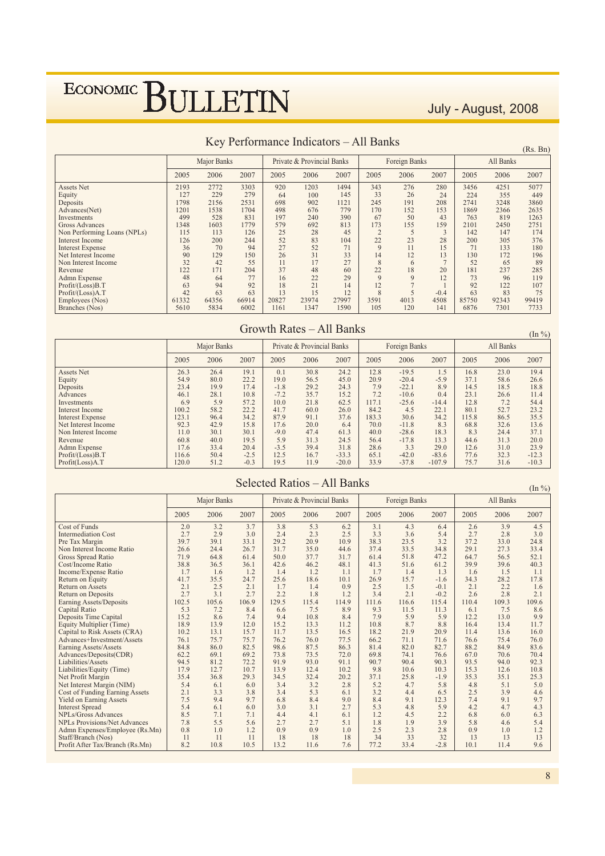July - August, 2008

|                             |       |             |       |       |                            |       |              |               |        |       |           | 110.11 |
|-----------------------------|-------|-------------|-------|-------|----------------------------|-------|--------------|---------------|--------|-------|-----------|--------|
|                             |       | Major Banks |       |       | Private & Provincial Banks |       |              | Foreign Banks |        |       | All Banks |        |
|                             | 2005  | 2006        | 2007  | 2005  | 2006                       | 2007  | 2005         | 2006          | 2007   | 2005  | 2006      | 2007   |
| <b>Assets Net</b>           | 2193  | 2772        | 3303  | 920   | 1203                       | 1494  | 343          | 276           | 280    | 3456  | 4251      | 5077   |
| Equity                      | 127   | 229         | 279   | 64    | 100                        | 145   | 33           | 26            | 24     | 224   | 355       | 449    |
| Deposits                    | 1798  | 2156        | 2531  | 698   | 902                        | 1121  | 245          | 191           | 208    | 2741  | 3248      | 3860   |
| Advances(Net)               | 1201  | 1538        | 1704  | 498   | 676                        | 779   | 170          | 152           | 153    | 1869  | 2366      | 2635   |
| Investments                 | 499   | 528         | 831   | 197   | 240                        | 390   | 67           | 50            | 43     | 763   | 819       | 1263   |
| Gross Advances              | 1348  | 1603        | 1779  | 579   | 692                        | 813   | 173          | 155           | 159    | 2101  | 2450      | 2751   |
| Non Performing Loans (NPLs) | 115   | 113         | 126   | 25    | 28                         | 45    |              |               | 3      | 142   | 147       | 174    |
| Interest Income             | 126   | 200         | 244   | 52    | 83                         | 104   | 22           | 23            | 28     | 200   | 305       | 376    |
| <b>Interest Expense</b>     | 36    | 70          | 94    | 27    | 52                         | 71    | $\mathbf{Q}$ | 11            | 15     | 71    | 133       | 180    |
| Net Interest Income         | 90    | 129         | 150   | 26    | 31                         | 33    | 14           | 12            | 13     | 130   | 172       | 196    |
| Non Interest Income         | 32    | 42          | 55    | 11    | 17                         | 27    | 8            | 6             |        | 52    | 65        | 89     |
| Revenue                     | 122   | 171         | 204   | 37    | 48                         | 60    | 22           | 18            | 20     | 181   | 237       | 285    |
| Admn Expense                | 48    | 64          | 77    | 16    | 22                         | 29    | $\mathbf Q$  | 9             | 12     | 73    | 96        | 119    |
| Profit/(Loss)B.T            | 63    | 94          | 92    | 18    | 21                         | 14    | 12           |               |        | 92    | 122       | 107    |
| Profit/(Loss)A.T            | 42    | 63          | 63    | 13    | 15                         | 12    | $\mathbf{8}$ |               | $-0.4$ | 63    | 83        | 75     |
| Employees (Nos)             | 61332 | 64356       | 66914 | 20827 | 23974                      | 27997 | 3591         | 4013          | 4508   | 85750 | 92343     | 99419  |
| Branches (Nos)              | 5610  | 5834        | 6002  | 1161  | 1347                       | 1590  | 105          | 120           | 141    | 6876  | 7301      | 7733   |

#### Key Performance Indicators - All Banks

#### Growth Rates - All Banks

 $(\text{In } \% )$ Major Banks Private & Provincial Banks Foreign Banks All Banks 2005 2006 2007 2005 2006 2007 2005 2006 2007 2005 2006 2007  $\frac{26.3}{ }$  $\frac{26.4}{ }$  $\frac{19.1}{x}$  $\overline{0.1}$  $\frac{1}{30.8}$  $\frac{24.2}{ }$  $\frac{12.8}{2}$  $-19.5$  $\frac{16.8}{ }$  $\frac{23.0}{ }$  $\frac{19.4}{x}$ Assets Net  $\overline{15}$  $19.1$ <br>  $22.2$ <br>  $17.4$ <br>  $10.8$ <br>  $57.2$ <br>  $22.2$ <br>  $34.2$  $\frac{20.3}{54.9}$ <br>23.4 Equity  $80.0$  $19.0$  $56.5$  $45.0$  $20.9$  $-20.4$  $-5.9$  $37.1$  $58.6$  $26.6$  $-1.8$ <br> $-7.2$  $29.2$ <br>35.7  $24.3$ <br>15.2  $7.9$ <br> $7.2$  $\frac{8.9}{0.4}$  $\frac{14.5}{23.1}$  $\frac{18.8}{11.4}$ Deposits 19.9  $-221$ 18.5  $-22.1$  $46.1$ Advances 28.1 26.6  $7.2$ <br> $7.2$ <br> $52.7$ <br> $86.5$ Investments  $6.9$  $5.9$  $10.0$  $21.8$  $62.5$  $117.1$  $-25.6$  $-14.4$  $12.8$ 54.4  $\frac{0.9}{100.2}$  $23.2$ <br>35.5  $\frac{26.0}{37.6}$  $\frac{58.2}{96.4}$  $\frac{41.7}{87.9}$  $60.0$ <br>91.1  $84.2$ <br>183.3  $4.5$ <br>30.6  $22.1$ <br> $34.2$  $\frac{80.1}{115.8}$ Interest Income Interest Expense Net Interest Income<br>Non Interest Income  $\frac{92.3}{11.0}$  $\frac{42.9}{30.1}$  $\frac{15.8}{30.1}$  $\frac{17.6}{-9.0}$  $20.0$ <br>47.4  $6.4$ <br> $61.3$  $\frac{70.0}{40.0}$  $\frac{8.3}{18.3}$  $\frac{32.6}{24.4}$  $\frac{13.6}{37.1}$  $-11.8$ 68.8  $-286$  $8<sup>2</sup>$ Revenue  $60.8$  $40.0$  $19.5$  $5.9$  $31.3$  $^{01.5}_{24.5}$  $56.4$  $-20.0$  $\frac{18.5}{13.3}$  $44.6$  $31.3$  $^{27.1}_{20.0}$ Admn Expense<br>Profit/(Loss)B.T<br>Profit(Loss)A.T  $\frac{12.6}{77.6}$ <br>75.7  $-3.5$ <br>12.5  $\frac{3.3}{-42.0}$ 17.6 33.4  $20.4$ 39.4 31.8 28.6 29.0 31.0 23.9  $50.4$ <br> $51.2$  $-2.5$ <br> $-0.3$  $-83.6$ 116.6 16.7  $-333$  $65.1$  $323$  $-12.3$  $120.0$  $19.5$  $11.9$  $-20.0$  $33.9$  $-37.8$  $-107.9$  $31.6$  $-10.3$ 

|  | Selected Ratios – All Banks |  |
|--|-----------------------------|--|
|  |                             |  |

 $(\text{In } \% )$ 

|                                       |       | Major Banks |       |       | Private & Provincial Banks |       |       | Foreign Banks |        |       | All Banks |       |
|---------------------------------------|-------|-------------|-------|-------|----------------------------|-------|-------|---------------|--------|-------|-----------|-------|
|                                       | 2005  | 2006        | 2007  | 2005  | 2006                       | 2007  | 2005  | 2006          | 2007   | 2005  | 2006      | 2007  |
| Cost of Funds                         | 2.0   | 3.2         | 3.7   | 3.8   | 5.3                        | 6.2   | 3.1   | 4.3           | 6.4    | 2.6   | 3.9       | 4.5   |
| <b>Intermediation Cost</b>            | 2.7   | 2.9         | 3.0   | 2.4   | 2.3                        | 2.5   | 3.3   | 3.6           | 5.4    | 2.7   | 2.8       | 3.0   |
| Pre Tax Margin                        | 39.7  | 39.1        | 33.1  | 29.2  | 20.9                       | 10.9  | 38.3  | 23.5          | 3.2    | 37.2  | 33.0      | 24.8  |
| Non Interest Income Ratio             | 26.6  | 24.4        | 26.7  | 31.7  | 35.0                       | 44.6  | 37.4  | 33.5          | 34.8   | 29.1  | 27.3      | 33.4  |
| Gross Spread Ratio                    | 71.9  | 64.8        | 61.4  | 50.0  | 37.7                       | 31.7  | 61.4  | 51.8          | 47.2   | 64.7  | 56.5      | 52.1  |
| Cost/Income Ratio                     | 38.8  | 36.5        | 36.1  | 42.6  | 46.2                       | 48.1  | 41.3  | 51.6          | 61.2   | 39.9  | 39.6      | 40.3  |
| Income/Expense Ratio                  | 1.7   | 1.6         | 1.2   | 1.4   | 1.2                        | 1.1   | 1.7   | 1.4           | 1.3    | 1.6   | 1.5       | 1.1   |
| Return on Equity                      | 41.7  | 35.5        | 24.7  | 25.6  | 18.6                       | 10.1  | 26.9  | 15.7          | $-1.6$ | 34.3  | 28.2      | 17.8  |
| <b>Return on Assets</b>               | 2.1   | 2.5         | 2.1   | 1.7   | 1.4                        | 0.9   | 2.5   | 1.5           | $-0.1$ | 2.1   | 2.2       | 1.6   |
| <b>Return on Deposits</b>             | 2.7   | 3.1         | 2.7   | 2.2   | 1.8                        | 1.2   | 3.4   | 2.1           | $-0.2$ | 2.6   | 2.8       | 2.1   |
| Earning Assets/Deposits               | 102.5 | 105.6       | 106.9 | 129.5 | 115.4                      | 114.9 | 111.6 | 116.6         | 115.4  | 110.4 | 109.3     | 109.6 |
| <b>Capital Ratio</b>                  | 5.3   | 7.2         | 8.4   | 6.6   | 7.5                        | 8.9   | 9.3   | 11.5          | 11.3   | 6.1   | 7.5       | 8.6   |
| Deposits Time Capital                 | 15.2  | 8.6         | 7.4   | 9.4   | 10.8                       | 8.4   | 7.9   | 5.9           | 5.9    | 12.2  | 13.0      | 9.9   |
| Equity Multiplier (Time)              | 18.9  | 13.9        | 12.0  | 15.2  | 13.3                       | 11.2  | 10.8  | 8.7           | 8.8    | 16.4  | 13.4      | 11.7  |
| Capital to Risk Assets (CRA)          | 10.2  | 13.1        | 15.7  | 11.7  | 13.5                       | 16.5  | 18.2  | 21.9          | 20.9   | 11.4  | 13.6      | 16.0  |
| Advances+Investment/Assets            | 76.1  | 75.7        | 75.7  | 76.2  | 76.0                       | 77.5  | 66.2  | 71.1          | 71.6   | 76.6  | 75.4      | 76.0  |
| Earning Assets/Assets                 | 84.8  | 86.0        | 82.5  | 98.6  | 87.5                       | 86.3  | 81.4  | 82.0          | 82.7   | 88.2  | 84.9      | 83.6  |
| Advances/Deposits(CDR)                | 62.2  | 69.1        | 69.2  | 73.8  | 73.5                       | 72.0  | 69.8  | 74.1          | 76.6   | 67.0  | 70.6      | 70.4  |
| Liabilities/Assets                    | 94.5  | 81.2        | 72.2  | 91.9  | 93.0                       | 91.1  | 90.7  | 90.4          | 90.3   | 93.5  | 94.0      | 92.3  |
| Liabilities/Equity (Time)             | 17.9  | 12.7        | 10.7  | 13.9  | 12.4                       | 10.2  | 9.8   | 10.6          | 10.3   | 15.3  | 12.6      | 10.8  |
| Net Profit Margin                     | 35.4  | 36.8        | 29.3  | 34.5  | 32.4                       | 20.2  | 37.1  | 25.8          | $-1.9$ | 35.3  | 35.1      | 25.3  |
| Net Interest Margin (NIM)             | 5.4   | 6.1         | 6.0   | 3.4   | 3.2                        | 2.8   | 5.2   | 4.7           | 5.8    | 4.8   | 5.1       | 5.0   |
| <b>Cost of Funding Earning Assets</b> | 2.1   | 3.3         | 3.8   | 3.4   | 5.3                        | 6.1   | 3.2   | 4.4           | 6.5    | 2.5   | 3.9       | 4.6   |
| <b>Yield on Earning Assets</b>        | 7.5   | 9.4         | 9.7   | 6.8   | 8.4                        | 9.0   | 8.4   | 9.1           | 12.3   | 7.4   | 9.1       | 9.7   |
| <b>Interest Spread</b>                | 5.4   | 6.1         | 6.0   | 3.0   | 3.1                        | 2.7   | 5.3   | 4.8           | 5.9    | 4.2   | 4.7       | 4.3   |
| NPLs/Gross Advances                   | 8.5   | 7.1         | 7.1   | 4.4   | 4.1                        | 6.1   | 1.2   | 4.5           | 2.2    | 6.8   | 6.0       | 6.3   |
| <b>NPLs Provisions/Net Advances</b>   | 7.8   | 5.5         | 5.6   | 2.7   | 2.7                        | 5.1   | 1.8   | 1.9           | 3.9    | 5.8   | 4.6       | 5.4   |
| Admn Expenses/Employee (Rs.Mn)        | 0.8   | 1.0         | 1.2   | 0.9   | 0.9                        | 1.0   | 2.5   | 2.3           | 2.8    | 0.9   | 1.0       | 1.2   |
| Staff/Branch (Nos)                    | 11    | 11          | 11    | 18    | 18                         | 18    | 34    | 33            | 32     | 13    | 13        | 13    |
| Profit After Tax/Branch (Rs.Mn)       | 8.2   | 10.8        | 10.5  | 13.2  | 11.6                       | 7.6   | 77.2  | 33.4          | $-2.8$ | 10.1  | 11.4      | 9.6   |

### $(Rs \space Rn)$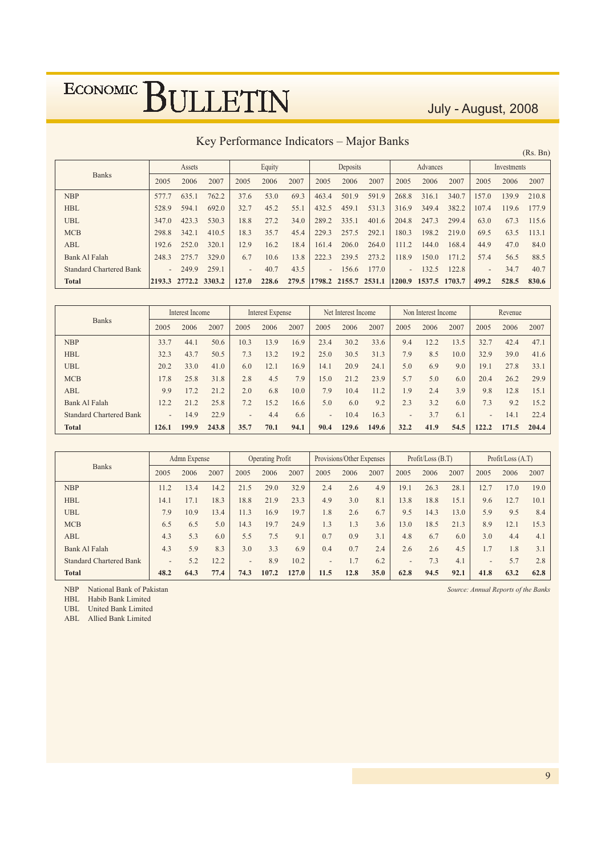July - August, 2008

### Key Performance Indicators - Major Banks

| Equity<br>Deposits<br>Advances<br>Assets<br>Investments<br><b>Banks</b><br>2007<br>2007<br>2007<br>2007<br>2007<br>2005<br>2006<br>2005<br>2006<br>2006<br>2005<br>2006<br>2005<br>2005<br>2006<br>762.2<br>69.3<br>591.9<br><b>NBP</b><br>53.0<br>501.9<br>340.7<br>210.8<br>635.1<br>37.6<br>316.1<br>139.9<br>577.7<br>463.4<br>268.8<br>157.0<br><b>HBL</b><br>692.0<br>531.3<br>382.2<br>45.2<br>55.1<br>432.5<br>349.4<br>177.9<br>528.9<br>594.1<br>32.7<br>459.1<br>316.9<br>107.4<br>119.6<br>530.3<br>27.2<br><b>UBL</b><br>423.3<br>18.8<br>34.0<br>289.2<br>335.1<br>401.6<br>247.3<br>299.4<br>67.3<br>347.0<br>204.8<br>63.0<br>115.6 | (Rs. Bn) |
|-----------------------------------------------------------------------------------------------------------------------------------------------------------------------------------------------------------------------------------------------------------------------------------------------------------------------------------------------------------------------------------------------------------------------------------------------------------------------------------------------------------------------------------------------------------------------------------------------------------------------------------------------------|----------|
|                                                                                                                                                                                                                                                                                                                                                                                                                                                                                                                                                                                                                                                     |          |
|                                                                                                                                                                                                                                                                                                                                                                                                                                                                                                                                                                                                                                                     |          |
|                                                                                                                                                                                                                                                                                                                                                                                                                                                                                                                                                                                                                                                     |          |
|                                                                                                                                                                                                                                                                                                                                                                                                                                                                                                                                                                                                                                                     |          |
|                                                                                                                                                                                                                                                                                                                                                                                                                                                                                                                                                                                                                                                     |          |
| <b>MCB</b><br>410.5<br>35.7<br>45.4<br>292.1<br>298.8<br>18.3<br>229.3<br>257.5<br>180.3<br>198.2<br>219.0<br>69.5<br>113.1<br>342.1<br>63.5                                                                                                                                                                                                                                                                                                                                                                                                                                                                                                        |          |
| 320.1<br>16.2<br>18.4<br>264.0<br>ABL<br>252.0<br>12.9<br>206.0<br>111.2<br>168.4<br>44.9<br>47.0<br>84.0<br>161.4<br>144.0<br>192.6                                                                                                                                                                                                                                                                                                                                                                                                                                                                                                                |          |
| 329.0<br>273.2<br>6.7<br>13.8<br>118.9<br>57.4<br>Bank Al Falah<br>248.3<br>275.7<br>10.6<br>222.3<br>239.5<br>150.0<br>88.5<br>171.2<br>56.5                                                                                                                                                                                                                                                                                                                                                                                                                                                                                                       |          |
| 259.1<br>43.5<br>177.0<br>40.7<br>122.8<br>40.7<br><b>Standard Chartered Bank</b><br>249.9<br>132.5<br>34.7<br>156.6<br>$\overline{\phantom{0}}$<br>$\overline{\phantom{0}}$<br>$\overline{\phantom{a}}$<br>$\overline{\phantom{a}}$<br>$\overline{\phantom{0}}$                                                                                                                                                                                                                                                                                                                                                                                    |          |
| <b>Total</b><br>228.6<br>279.5<br>2155.7 2531.1<br>830.6<br>2772.2 3303.2<br>1798.2<br>1537.5<br>499.2<br>528.5<br>127.0<br>1200.9<br>1703.7<br>$ 2193.3\rangle$                                                                                                                                                                                                                                                                                                                                                                                                                                                                                    |          |

| <b>Banks</b>                   |                          | Interest Income |       | Interest Expense         |      |      |                          | Net Interest Income |       |                          | Non Interest Income |      | Revenue        |       |       |
|--------------------------------|--------------------------|-----------------|-------|--------------------------|------|------|--------------------------|---------------------|-------|--------------------------|---------------------|------|----------------|-------|-------|
|                                | 2005                     | 2006            | 2007  | 2005                     | 2006 | 2007 | 2005                     | 2006                | 2007  | 2005                     | 2006                | 2007 | 2005           | 2006  | 2007  |
| <b>NBP</b>                     | 33.7                     | 44.1            | 50.6  | 10.3                     | 13.9 | 16.9 | 23.4                     | 30.2                | 33.6  | 9.4                      | 12.2                | 13.5 | 32.7           | 42.4  | 47.1  |
| <b>HBL</b>                     | 32.3                     | 43.7            | 50.5  | 7.3                      | 13.2 | 19.2 | 25.0                     | 30.5                | 31.3  | 7.9                      | 8.5                 | 10.0 | 32.9           | 39.0  | 41.6  |
| <b>UBL</b>                     | 20.2                     | 33.0            | 41.0  | 6.0                      | 12.1 | 16.9 | 14.1                     | 20.9                | 24.1  | 5.0                      | 6.9                 | 9.0  | 19.1           | 27.8  | 33.1  |
| <b>MCB</b>                     | 17.8                     | 25.8            | 31.8  | 2.8                      | 4.5  | 7.9  | 15.0                     | 21.2                | 23.9  | 5.7                      | 5.0                 | 6.0  | 20.4           | 26.2  | 29.9  |
| <b>ABL</b>                     | 9.9                      | 17.2            | 21.2  | 2.0                      | 6.8  | 10.0 | 7.9                      | 10.4                | 11.2  | 1.9                      | 2.4                 | 3.9  | 9.8            | 12.8  | 15.1  |
| Bank Al Falah                  | 12.2                     | 21.2            | 25.8  | 7.2                      | 15.2 | 16.6 | 5.0                      | 6.0                 | 9.2   | 2.3                      | 3.2                 | 6.0  | 7.3            | 9.2   | 15.2  |
| <b>Standard Chartered Bank</b> | $\overline{\phantom{0}}$ | 14.9            | 22.9  | $\overline{\phantom{0}}$ | 4.4  | 6.6  | $\overline{\phantom{a}}$ | 10.4                | 16.3  | $\overline{\phantom{0}}$ | 3.7                 | 6.1  | $\overline{a}$ | 14.1  | 22.4  |
| <b>Total</b>                   | 126.1                    | 199.9           | 243.8 | 35.7                     | 70.1 | 94.1 | 90.4                     | 129.6               | 149.6 | 32.2                     | 41.9                | 54.5 | 122.2          | 171.5 | 204.4 |

|                                |                          | Provisions/Other Expenses<br>Admn Expense<br><b>Operating Profit</b> |      |                          |       |       | Profit / Loss (B.T)      |      | Profit/Loss $(A.T)$ |                          |      |      |                          |      |      |
|--------------------------------|--------------------------|----------------------------------------------------------------------|------|--------------------------|-------|-------|--------------------------|------|---------------------|--------------------------|------|------|--------------------------|------|------|
| <b>Banks</b>                   | 2005                     | 2006                                                                 | 2007 | 2005                     | 2006  | 2007  | 2005                     | 2006 | 2007                | 2005                     | 2006 | 2007 | 2005                     | 2006 | 2007 |
| <b>NBP</b>                     | 11.2                     | 13.4                                                                 | 14.2 | 21.5                     | 29.0  | 32.9  | 2.4                      | 2.6  | 4.9                 | 19.1                     | 26.3 | 28.1 | 12.7                     | 17.0 | 19.0 |
| <b>HBL</b>                     | 14.1                     | 17.1                                                                 | 18.3 | 18.8                     | 21.9  | 23.3  | 4.9                      | 3.0  | 8.1                 | 13.8                     | 18.8 | 15.1 | 9.6                      | 12.7 | 10.1 |
| <b>UBL</b>                     | 7.9                      | 10.9                                                                 | 13.4 | 11.3                     | 16.9  | 19.7  | 1.8                      | 2.6  | 6.7                 | 9.5                      | 14.3 | 13.0 | 5.9                      | 9.5  | 8.4  |
| <b>MCB</b>                     | 6.5                      | 6.5                                                                  | 5.0  | 14.3                     | 19.7  | 24.9  | $\overline{3}$           | 1.3  | 3.6                 | 13.0                     | 18.5 | 21.3 | 8.9                      | 12.1 | 15.3 |
| <b>ABL</b>                     | 4.3                      | 5.3                                                                  | 6.0  | 5.5                      | 7.5   | 9.1   | 0.7                      | 0.9  | 3.1                 | 4.8                      | 6.7  | 6.0  | 3.0                      | 4.4  | 4.1  |
| Bank Al Falah                  | 4.3                      | 5.9                                                                  | 8.3  | 3.0                      | 3.3   | 6.9   | 0.4                      | 0.7  | 2.4                 | 2.6                      | 2.6  | 4.5  | 1.7                      | 1.8  | 3.1  |
| <b>Standard Chartered Bank</b> | $\overline{\phantom{0}}$ | 5.2                                                                  | 12.2 | $\overline{\phantom{0}}$ | 8.9   | 10.2  | $\overline{\phantom{m}}$ | 1.7  | 6.2                 | $\overline{\phantom{0}}$ | 7.3  | 4.1  | $\overline{\phantom{0}}$ | 5.7  | 2.8  |
| <b>Total</b>                   | 48.2                     | 64.3                                                                 | 77.4 | 74.3                     | 107.2 | 127.0 | 11.5                     | 12.8 | 35.0                | 62.8                     | 94.5 | 92.1 | 41.8                     | 63.2 | 62.8 |

NBP National Bank of Pakistan

HBL Habib Bank Limited<br>UBL United Bank Limited

ABL Allied Bank Limited

Source: Annual Reports of the Banks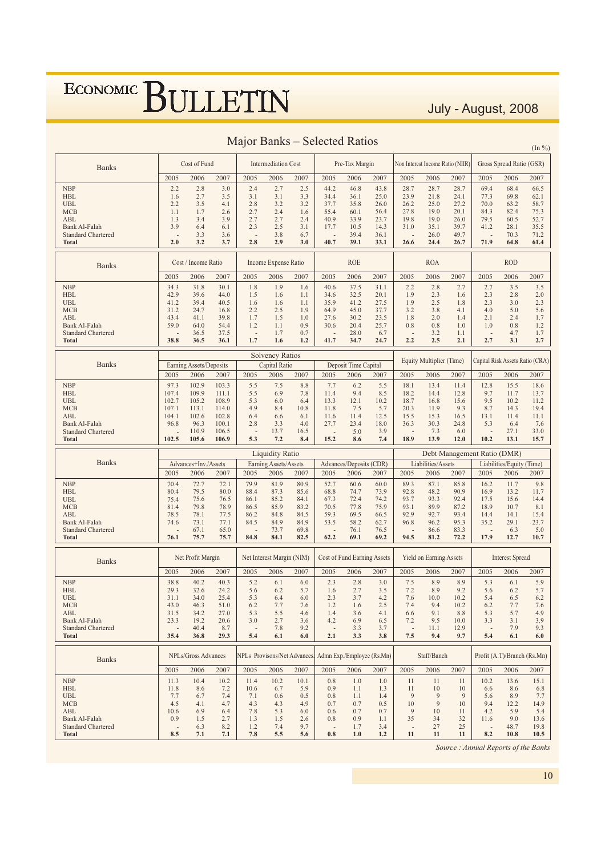July - August, 2008

|                                                                                                                                  |                                                            |                                                                     |                                                                      |                                                                           |                                                              |                                                              |                                                                           |                                                              |                                                              |                                                                                  |                                                              |                                                              |                                                                             |                                                              | $(In \%)$                                                    |
|----------------------------------------------------------------------------------------------------------------------------------|------------------------------------------------------------|---------------------------------------------------------------------|----------------------------------------------------------------------|---------------------------------------------------------------------------|--------------------------------------------------------------|--------------------------------------------------------------|---------------------------------------------------------------------------|--------------------------------------------------------------|--------------------------------------------------------------|----------------------------------------------------------------------------------|--------------------------------------------------------------|--------------------------------------------------------------|-----------------------------------------------------------------------------|--------------------------------------------------------------|--------------------------------------------------------------|
| <b>Banks</b>                                                                                                                     |                                                            | Cost of Fund                                                        |                                                                      |                                                                           | <b>Intermediation Cost</b>                                   |                                                              |                                                                           | Pre-Tax Margin                                               |                                                              |                                                                                  |                                                              | Non Interest Income Ratio (NIIR)                             |                                                                             | Gross Spread Ratio (GSR)                                     |                                                              |
|                                                                                                                                  | 2005                                                       | 2006                                                                | 2007                                                                 | 2005                                                                      | 2006                                                         | 2007                                                         | 2005                                                                      | 2006                                                         | 2007                                                         | 2005                                                                             | 2006                                                         | 2007                                                         | 2005                                                                        | 2006                                                         | 2007                                                         |
| <b>NBP</b><br><b>HBL</b><br><b>UBL</b><br><b>MCB</b><br><b>ABL</b><br>Bank Al-Falah<br><b>Standard Chartered</b><br><b>Total</b> | 2.2<br>1.6<br>2.2<br>1.1<br>1.3<br>3.9<br>2.0              | 2.8<br>2.7<br>3.5<br>1.7<br>3.4<br>6.4<br>3.3<br>3.2                | 3.0<br>3.5<br>4.1<br>2.6<br>3.9<br>6.1<br>3.6<br>3.7                 | 2.4<br>3.1<br>2.8<br>2.7<br>2.7<br>2.3<br>÷,<br>2.8                       | 2.7<br>3.1<br>3.2<br>2.4<br>2.7<br>2.5<br>3.8<br>2.9         | 2.5<br>3.3<br>3.2<br>1.6<br>2.4<br>3.1<br>6.7<br>3.0         | 44.2<br>34.4<br>37.7<br>55.4<br>40.9<br>17.7<br>40.7                      | 46.8<br>36.1<br>35.8<br>60.1<br>33.9<br>10.5<br>39.4<br>39.1 | 43.8<br>25.0<br>26.0<br>56.4<br>23.7<br>14.3<br>36.1<br>33.1 | 28.7<br>23.9<br>26.2<br>27.8<br>19.8<br>31.0<br>$\overline{\phantom{a}}$<br>26.6 | 28.7<br>21.8<br>25.0<br>19.0<br>19.0<br>35.1<br>26.0<br>24.4 | 28.7<br>24.1<br>27.2<br>20.1<br>26.0<br>39.7<br>49.7<br>26.7 | 69.4<br>77.3<br>70.0<br>84.3<br>79.5<br>41.2<br>71.9                        | 68.4<br>69.8<br>63.2<br>82.4<br>60.5<br>28.1<br>70.3<br>64.8 | 66.5<br>62.1<br>58.7<br>75.3<br>52.7<br>35.5<br>71.2<br>61.4 |
| <b>Banks</b>                                                                                                                     |                                                            | Cost / Income Ratio                                                 |                                                                      |                                                                           | Income Expense Ratio                                         |                                                              |                                                                           | <b>ROE</b>                                                   |                                                              |                                                                                  | <b>ROA</b>                                                   |                                                              |                                                                             | <b>ROD</b>                                                   |                                                              |
|                                                                                                                                  | 2005                                                       | 2006                                                                | 2007                                                                 | 2005                                                                      | 2006                                                         | 2007                                                         | 2005                                                                      | 2006                                                         | 2007                                                         | 2005                                                                             | 2006                                                         | 2007                                                         | 2005                                                                        | 2006                                                         | 2007                                                         |
| <b>NBP</b><br><b>HBL</b><br><b>UBL</b><br><b>MCB</b><br>ABL<br>Bank Al-Falah<br><b>Standard Chartered</b><br><b>Total</b>        | 34.3<br>42.9<br>41.2<br>31.2<br>43.4<br>59.0<br>38.8       | 31.8<br>39.6<br>39.4<br>24.7<br>41.1<br>64.0<br>36.5<br>36.5        | 30.1<br>44.0<br>40.5<br>16.8<br>39.8<br>54.4<br>37.5<br>36.1         | 1.8<br>1.5<br>1.6<br>2.2<br>1.7<br>1.2<br>$\overline{\phantom{a}}$<br>1.7 | 1.9<br>1.6<br>1.6<br>2.5<br>1.5<br>1.1<br>1.7<br>1.6         | 1.6<br>1.1<br>1.1<br>1.9<br>1.0<br>0.9<br>0.7<br>1.2         | 40.6<br>34.6<br>35.9<br>64.9<br>27.6<br>30.6<br>41.7                      | 37.5<br>32.5<br>41.2<br>45.0<br>30.2<br>20.4<br>28.0<br>34.7 | 31.1<br>20.1<br>27.5<br>37.7<br>23.5<br>25.7<br>6.7<br>24.7  | 2.2<br>1.9<br>1.9<br>3.2<br>1.8<br>0.8<br>2.2                                    | 2.8<br>2.3<br>2.5<br>3.8<br>2.0<br>0.8<br>3.2<br>2.5         | 2.7<br>1.6<br>1.8<br>4.1<br>1.4<br>1.0<br>1.1<br>2.1         | 2.7<br>2.3<br>2.3<br>4.0<br>2.1<br>1.0<br>2.7                               | 3.5<br>2.8<br>3.0<br>5.0<br>2.4<br>0.8<br>4.7<br>3.1         | 3.5<br>2.0<br>2.3<br>5.6<br>1.7<br>1.2<br>1.7<br>2.7         |
|                                                                                                                                  |                                                            |                                                                     |                                                                      |                                                                           | <b>Solvency Ratios</b>                                       |                                                              |                                                                           |                                                              |                                                              |                                                                                  |                                                              |                                                              |                                                                             |                                                              |                                                              |
| <b>Banks</b>                                                                                                                     |                                                            | Earning Assets/Deposits                                             |                                                                      |                                                                           | Capital Ratio                                                |                                                              |                                                                           | Deposit Time Capital                                         |                                                              |                                                                                  | Equity Multiplier (Time)                                     |                                                              |                                                                             |                                                              | Capital Risk Assets Ratio (CRA)                              |
|                                                                                                                                  | 2005                                                       | 2006                                                                | 2007                                                                 | 2005                                                                      | 2006                                                         | 2007                                                         | 2005                                                                      | 2006                                                         | 2007                                                         | 2005                                                                             | 2006                                                         | 2007                                                         | 2005                                                                        | 2006                                                         | 2007                                                         |
| <b>NBP</b><br><b>HBL</b><br><b>UBL</b><br>MCB<br>ABL<br>Bank Al-Falah<br><b>Standard Chartered</b><br><b>Total</b>               | 97.3<br>107.4<br>102.7<br>107.1<br>104.1<br>96.8<br>102.5  | 102.9<br>109.9<br>105.2<br>113.1<br>102.6<br>96.3<br>110.9<br>105.6 | 103.3<br>111.1<br>108.9<br>114.0<br>102.8<br>100.1<br>106.5<br>106.9 | 5.5<br>5.5<br>5.3<br>4.9<br>6.4<br>2.8<br>5.3                             | 7.5<br>6.9<br>6.0<br>8.4<br>6.6<br>3.3<br>13.7<br>7.2        | 8.8<br>7.8<br>6.4<br>10.8<br>6.1<br>4.0<br>16.5<br>8.4       | 7.7<br>11.4<br>13.3<br>11.8<br>11.6<br>27.7<br>15.2                       | 6.2<br>9.4<br>12.1<br>7.5<br>11.4<br>23.4<br>5.0<br>8.6      | 5.5<br>8.5<br>10.2<br>5.7<br>12.5<br>18.0<br>3.9<br>7.4      | 18.1<br>18.2<br>18.7<br>20.3<br>15.5<br>36.3<br>÷.<br>18.9                       | 13.4<br>14.4<br>16.8<br>11.9<br>15.3<br>30.3<br>7.3<br>13.9  | 11.4<br>12.8<br>15.6<br>9.3<br>16.5<br>24.8<br>6.0<br>12.0   | 12.8<br>9.7<br>9.5<br>8.7<br>13.1<br>5.3<br>10.2                            | 15.5<br>11.7<br>10.2<br>14.3<br>11.4<br>6.4<br>27.1<br>13.1  | 18.6<br>13.7<br>11.2<br>19.4<br>11.1<br>7.6<br>33.0<br>15.7  |
|                                                                                                                                  |                                                            |                                                                     |                                                                      |                                                                           |                                                              |                                                              |                                                                           |                                                              |                                                              |                                                                                  |                                                              |                                                              |                                                                             |                                                              |                                                              |
| <b>Banks</b>                                                                                                                     |                                                            | Advances+Inv./Assets                                                |                                                                      |                                                                           | <b>Liquidity Ratio</b><br>Earning Assets/Assets              |                                                              |                                                                           | Advances/Deposits (CDR)                                      |                                                              |                                                                                  | Liabilities/Assets                                           |                                                              | Debt Management Ratio (DMR)                                                 | Liabilities/Equity (Time)                                    |                                                              |
|                                                                                                                                  | 2005                                                       | 2006                                                                | 2007                                                                 | 2005                                                                      | 2006                                                         | 2007                                                         | 2005                                                                      | 2006                                                         | 2007                                                         | 2005                                                                             | 2006                                                         | 2007                                                         | 2005                                                                        | 2006                                                         | 2007                                                         |
| <b>NBP</b><br><b>HBL</b><br><b>UBL</b><br>MCB<br>ABL<br>Bank Al-Falah<br><b>Standard Chartered</b><br><b>Total</b>               | 70.4<br>80.4<br>75.4<br>81.4<br>78.5<br>74.6<br>76.1       | 72.7<br>79.5<br>75.6<br>79.8<br>78.1<br>73.1<br>67.1<br>75.7        | 72.1<br>80.0<br>76.5<br>78.9<br>77.5<br>77.1<br>65.0<br>75.7         | 79.9<br>88.4<br>86.1<br>86.5<br>86.2<br>84.5<br>84.8                      | 81.9<br>87.3<br>85.2<br>85.9<br>84.8<br>84.9<br>73.7<br>84.1 | 80.9<br>85.6<br>84.1<br>83.2<br>84.5<br>84.9<br>69.8<br>82.5 | 52.7<br>68.8<br>67.3<br>70.5<br>59.3<br>53.5<br>62.2                      | 60.6<br>74.7<br>72.4<br>77.8<br>69.5<br>58.2<br>76.1<br>69.1 | 60.0<br>73.9<br>74.2<br>75.9<br>66.5<br>62.7<br>76.5<br>69.2 | 89.3<br>92.8<br>93.7<br>93.1<br>92.9<br>96.8<br>94.5                             | 87.1<br>48.2<br>93.3<br>89.9<br>92.7<br>96.2<br>86.6<br>81.2 | 85.8<br>90.9<br>92.4<br>87.2<br>93.4<br>95.3<br>83.3<br>72.2 | 16.2<br>16.9<br>17.5<br>18.9<br>14.4<br>35.2<br>17.9                        | 11.7<br>13.2<br>15.6<br>10.7<br>14.1<br>29.1<br>6.3<br>12.7  | 9.8<br>11.7<br>14.4<br>8.1<br>15.4<br>23.7<br>5.0<br>10.7    |
| <b>Banks</b>                                                                                                                     |                                                            | Net Profit Margin                                                   |                                                                      |                                                                           | Net Interest Margin (NIM)                                    |                                                              |                                                                           | Cost of Fund Earning Assets                                  |                                                              |                                                                                  | <b>Yield on Earning Assets</b>                               |                                                              |                                                                             | <b>Interest Spread</b>                                       |                                                              |
|                                                                                                                                  | 2005                                                       | 2006                                                                | 2007                                                                 | 2005                                                                      | 2006                                                         | 2007                                                         | 2005                                                                      | 2006                                                         | 2007                                                         | 2005                                                                             | 2006                                                         | 2007                                                         | 2005                                                                        | 2006                                                         | 2007                                                         |
| <b>NBP</b><br><b>HBL</b><br><b>UBL</b><br><b>MCB</b><br>ABL<br>Bank Al-Falah<br><b>Standard Chartered</b><br><b>Total</b>        | 38.8<br>29.3<br>31.1<br>43.0<br>31.5<br>23.3<br>35.4       | 40.2<br>32.6<br>34.0<br>46.3<br>34.2<br>19.2<br>40.4<br>36.8        | 40.3<br>24.2<br>25.4<br>51.0<br>27.0<br>20.6<br>8.7<br>29.3          | 5.2<br>5.6<br>5.3<br>6.2<br>5.3<br>3.0<br>$\overline{\phantom{a}}$<br>5.4 | 6.1<br>6.2<br>6.4<br>7.7<br>5.5<br>2.7<br>7.8<br>6.1         | 6.0<br>5.7<br>6.0<br>7.6<br>4.6<br>3.6<br>9.2<br>6.0         | 2.3<br>1.6<br>2.3<br>1.2<br>1.4<br>4.2<br>$\overline{\phantom{a}}$<br>2.1 | 2.8<br>2.7<br>3.7<br>1.6<br>3.6<br>6.9<br>3.3<br>3.3         | 3.0<br>3.5<br>4.2<br>2.5<br>4.1<br>6.5<br>3.7<br>3.8         | 7.5<br>7.2<br>7.6<br>7.4<br>6.6<br>7.2<br>$\overline{\phantom{a}}$<br>7.5        | 8.9<br>8.9<br>10.0<br>9.4<br>9.1<br>9.5<br>11.1<br>9.4       | 8.9<br>9.2<br>10.2<br>10.2<br>8.8<br>10.0<br>12.9<br>9.7     | 5.3<br>5.6<br>5.4<br>6.2<br>5.3<br>3.3<br>$\overline{\phantom{a}}$<br>5.4   | 6.1<br>6.2<br>6.5<br>7.7<br>5.7<br>3.1<br>7.9<br>6.1         | 5.9<br>5.7<br>6.2<br>7.6<br>4.9<br>3.9<br>9.3<br>6.0         |
| <b>Banks</b>                                                                                                                     |                                                            | NPLs/Gross Advances                                                 |                                                                      |                                                                           |                                                              | <b>NPLs</b> Provisons/Net Advances.                          |                                                                           | Admn Exp./Employee (Rs.Mn)                                   |                                                              |                                                                                  | Staff/Banch                                                  |                                                              |                                                                             |                                                              | Profit (A.T)/Branch (Rs.Mn)                                  |
|                                                                                                                                  | 2005                                                       | 2006                                                                | 2007                                                                 | 2005                                                                      | 2006                                                         | 2007                                                         | 2005                                                                      | 2006                                                         | 2007                                                         | 2005                                                                             | 2006                                                         | 2007                                                         | 2005                                                                        | 2006                                                         | 2007                                                         |
| <b>NBP</b><br><b>HBL</b><br><b>UBL</b><br><b>MCB</b><br>ABL<br>Bank Al-Falah<br><b>Standard Chartered</b><br><b>Total</b>        | 11.3<br>11.8<br>7.7<br>4.5<br>10.6<br>0.9<br>$\sim$<br>8.5 | 10.4<br>8.6<br>6.7<br>4.1<br>6.9<br>1.5<br>6.3<br>7.1               | 10.2<br>7.2<br>7.4<br>4.7<br>6.4<br>2.7<br>8.2<br>7.1                | 11.4<br>10.6<br>7.1<br>4.3<br>7.8<br>1.3<br>1.2<br>7.8                    | 10.2<br>6.7<br>0.6<br>4.3<br>5.3<br>1.5<br>7.4<br>5.5        | 10.1<br>5.9<br>0.5<br>4.9<br>6.0<br>2.6<br>9.7<br>5.6        | 0.8<br>0.9<br>0.8<br>0.7<br>0.6<br>0.8<br>0.8                             | 1.0<br>1.1<br>1.1<br>0.7<br>0.7<br>0.9<br>1.7<br>1.0         | 1.0<br>1.3<br>1.4<br>0.5<br>0.7<br>1.1<br>3.4<br>1.2         | 11<br>11<br>9<br>10<br>9<br>35<br>÷,<br>11                                       | 11<br>10<br>9<br>9<br>10<br>34<br>27<br>11                   | 11<br>10<br>9<br>10<br>11<br>32<br>25<br>11                  | 10.2<br>6.6<br>5.6<br>9.4<br>4.2<br>11.6<br>$\overline{\phantom{a}}$<br>8.2 | 13.6<br>8.6<br>8.9<br>12.2<br>5.9<br>9.0<br>48.7<br>10.8     | 15.1<br>6.8<br>7.7<br>14.9<br>5.4<br>13.6<br>19.8<br>10.5    |

### Major Banks - Selected Ratios

Source : Annual Reports of the Banks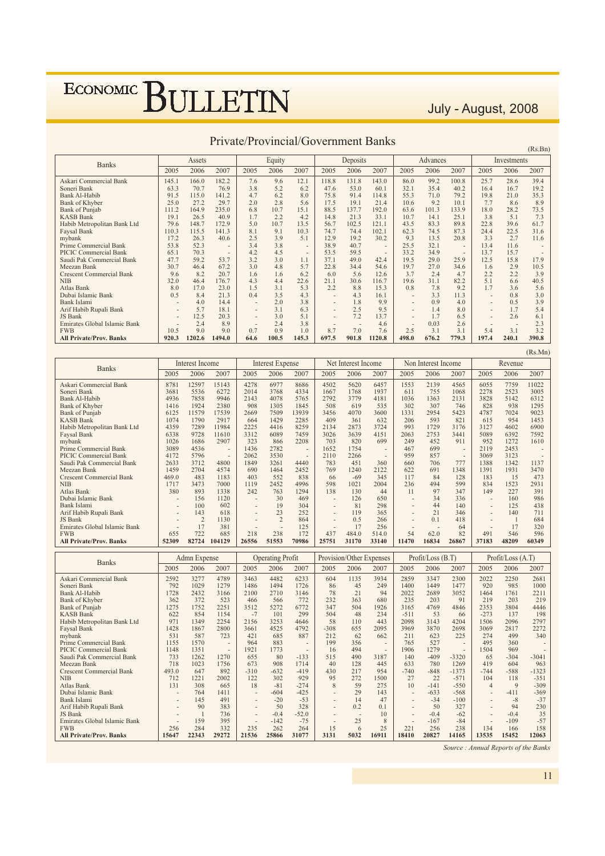July - August, 2008

|                                 |                          |        |        |                |        | $\alpha$ $\alpha$ , $\alpha$ $\beta$ $\alpha$ $\beta$ $\alpha$ $\beta$ $\beta$ $\gamma$ |                          |                | $\mathbf{u}$ . The state is the state of $\mathbf{u}$ |       |          |                          |       |             | (Rs.Bn) |
|---------------------------------|--------------------------|--------|--------|----------------|--------|-----------------------------------------------------------------------------------------|--------------------------|----------------|-------------------------------------------------------|-------|----------|--------------------------|-------|-------------|---------|
| <b>Banks</b>                    |                          | Assets |        |                | Equity |                                                                                         |                          | Deposits       |                                                       |       | Advances |                          |       | Investments |         |
|                                 | 2005                     | 2006   | 2007   | 2005           | 2006   | 2007                                                                                    | 2005                     | 2006           | 2007                                                  | 2005  | 2006     | 2007                     | 2005  | 2006        | 2007    |
| Askari Commercial Bank          | 145.1                    | 166.0  | 182.2  | 7.6            | 9.6    | 12.1                                                                                    | 118.8                    | 131.8          | 143.0                                                 | 86.0  | 99.2     | 100.8                    | 25.7  | 28.6        | 39.4    |
| Soneri Bank                     | 63.3                     | 70.7   | 76.9   | 3.8            | 5.2    | 6.2                                                                                     | 47.6                     | 53.0           | 60.1                                                  | 32.1  | 35.4     | 40.2                     | 16.4  | 16.7        | 19.2    |
| <b>Bank Al-Habib</b>            | 91.5                     | 115.0  | 141.2  | 4.7            | 6.2    | 8.0                                                                                     | 75.8                     | 91.4           | 114.8                                                 | 55.3  | 71.0     | 79.2                     | 19.8  | 21.0        | 35.3    |
| <b>Bank of Khyber</b>           | 25.0                     | 27.2   | 29.7   | 2.0            | 2.8    | 5.6                                                                                     | 17.5                     | 19.1           | 21.4                                                  | 10.6  | 9.2      | 10.1                     | 7.7   | 8.6         | 8.9     |
| <b>Bank of Punjab</b>           | 111.2                    | 164.9  | 235.0  | 6.8            | 10.7   | 15.1                                                                                    | 88.5                     | 137.7          | 192.0                                                 | 63.6  | 101.3    | 133.9                    | 18.0  | 28.2        | 73.5    |
| <b>KASB Bank</b>                | 19.1                     | 26.5   | 40.9   | 1.7            | 2.2    | 4.2                                                                                     | 14.8                     | 21.3           | 33.1                                                  | 10.7  | 14.1     | 25.1                     | 3.8   | 5.1         | 7.3     |
| Habib Metropolitan Bank Ltd     | 79.6                     | 148.7  | 172.9  | 5.0            | 10.7   | 13.5                                                                                    | 56.7                     | 102.5          | 121.1                                                 | 43.5  | 83.3     | 89.8                     | 22.8  | 39.6        | 61.7    |
| Faysal Bank                     | 110.3                    | 115.5  | 141.3  | 8.1            | 9.1    | 10.3                                                                                    | 74.7                     | 74.4           | 102.1                                                 | 62.3  | 74.5     | 87.3                     | 24.4  | 22.5        | 31.6    |
| mybank                          | 17.2                     | 26.3   | 40.6   | 2.5            | 3.9    | 5.1                                                                                     | 12.9                     | 19.2           | 30.2                                                  | 9.3   | 13.5     | 20.8                     | 3.3   | 2.7         | 11.6    |
| Prime Commercial Bank           | 53.8                     | 52.3   | ۰      | 3.4            | 3.8    | $\sim$                                                                                  | 38.9                     | 40.7           | $\overline{a}$                                        | 25.5  | 32.1     | $\sim$                   | 13.4  | 11.6        |         |
| PICIC Commercial Bank           | 65.1                     | 70.3   | ٠      | 4.2            | 4.5    | $\overline{\phantom{a}}$                                                                | 53.5                     | 59.5           |                                                       | 33.2  | 34.9     | $\overline{\phantom{a}}$ | 13.7  | 15.7        |         |
| Saudi Pak Commercial Bank       | 47.7                     | 59.2   | 53.7   | 3.2            | 3.0    | 1.1                                                                                     | 37.1                     | 49.0           | 42.4                                                  | 19.5  | 29.0     | 25.9                     | 12.5  | 15.8        | 17.9    |
| Meezan Bank                     | 30.7                     | 46.4   | 67.2   | 3.0            | 4.8    | 5.7                                                                                     | 22.8                     | 34.4           | 54.6                                                  | 19.7  | 27.0     | 34.6                     | 1.6   | 2.9         | 10.5    |
| <b>Crescent Commercial Bank</b> | 9.6                      | 8.2    | 20.7   | 1.6            | 1.6    | 6.2                                                                                     | 6.0                      | 5.6            | 12.6                                                  | 3.7   | 2.4      | 4.7                      | 2.2   | 2.2         | 3.9     |
| <b>NIB</b>                      | 32.0                     | 46.4   | 176.7  | 4.3            | 4.4    | 22.6                                                                                    | 21.1                     | 30.6           | 116.7                                                 | 19.6  | 31.1     | 82.2                     | 5.1   | 6.6         | 40.5    |
| Atlas Bank                      | 8.0                      | 17.0   | 23.0   | 1.5            | 3.1    | 5.3                                                                                     | 2.2                      | 8.8            | 15.3                                                  | 0.8   | 7.8      | 9.2                      | 1.7   | 3.6         | 5.6     |
| Dubai Islamic Bank              | 0.5                      | 8.4    | 21.3   | 0.4            | 3.5    | 4.3                                                                                     | ٠                        | 4.3            | 16.1                                                  |       | 3.3      | 11.3                     |       | 0.8         | 3.0     |
| Bank Islami                     | $\overline{\phantom{a}}$ | 4.0    | 14.4   | $\blacksquare$ | 2.0    | 3.8                                                                                     | $\blacksquare$           | 1.8            | 9.9                                                   | ٠     | 0.9      | 4.0                      |       | 0.5         | 3.9     |
| Arif Habib Rupali Bank          | $\overline{\phantom{a}}$ | 5.7    | 18.1   | $\sim$         | 3.1    | 6.3                                                                                     | $\overline{\phantom{a}}$ | 2.5            | 9.5                                                   |       | 1.4      | 8.0                      |       | 1.7         | 5.4     |
| JS Bank                         | $\overline{\phantom{a}}$ | 12.5   | 20.3   | $\sim$         | 3.0    | 5.1                                                                                     | $\overline{\phantom{a}}$ | 7.2            | 13.7                                                  |       | 1.7      | 6.5                      |       | 2.6         | 6.1     |
| Emirates Global Islamic Bank    | $\overline{\phantom{a}}$ | 2.4    | 8.9    | $\sim$         | 2.4    | 3.8                                                                                     | $\sim$                   | $\overline{a}$ | 4.6                                                   | ۰     | 0.03     | 2.6                      |       | <b>1999</b> | 2.3     |
| <b>FWB</b>                      | 10.5                     | 9.0    | 9.0    | 0.7            | 0.9    | 1.0                                                                                     | 8.7                      | 7.0            | 7.6                                                   | 2.5   | 3.1      | 3.1                      | 5.4   | 3.1         | 3.2     |
| <b>All Private/Prov. Banks</b>  | 920.3                    | 1202.6 | 1494.0 | 64.6           | 100.5  | 145.3                                                                                   | 697.5                    | 901.8          | 1120.8                                                | 498.0 | 676.2    | 779.3                    | 197.4 | 240.1       | 390.8   |

#### Private/Provincial/Government Banks

|                                       |                |                      |                          |                                            |                                 |                |                          |                                 |             |              |                     |              |                |                   | (Rs.Mn)                  |
|---------------------------------------|----------------|----------------------|--------------------------|--------------------------------------------|---------------------------------|----------------|--------------------------|---------------------------------|-------------|--------------|---------------------|--------------|----------------|-------------------|--------------------------|
| <b>Banks</b>                          |                | Interest Income      |                          |                                            | <b>Interest Expense</b>         |                |                          | Net Interest Income             |             |              | Non Interest Income |              |                | Revenue           |                          |
|                                       | 2005           | 2006                 | 2007                     | 2005                                       | 2006                            | 2007           | 2005                     | 2006                            | 2007        | 2005         | 2006                | 2007         | 2005           | 2006              | 2007                     |
| Askari Commercial Bank                | 8781           | 12597                | 15143                    | 4278                                       | 6977                            | 8686           | 4502                     | 5620                            | 6457        | 1553         | 2139                | 4565         | 6055           | 7759              | 11022                    |
| Soneri Bank                           | 3681           | 5536                 | 6272                     | 2014                                       | 3768                            | 4334           | 1667                     | 1768                            | 1937        | 611          | 755                 | 1068         | 2278           | 2523              | 3005                     |
| Bank Al-Habib                         | 4936           | 7858                 | 9946                     | 2143                                       | 4078                            | 5765           | 2792                     | 3779                            | 4181        | 1036         | 1363                | 2131         | 3828           | 5142              | 6312                     |
| Bank of Khyber                        | 1416           | 1924                 | 2380                     | 908                                        | 1305                            | 1845           | 508                      | 619                             | 535         | 302          | 307                 | 746          | 828            | 938               | 1295                     |
| <b>Bank of Punjab</b>                 | 6125           | 11579                | 17539                    | 2669                                       | 7509                            | 13939          | 3456                     | 4070                            | 3600        | 1331         | 2954                | 5423         | 4787           | 7024              | 9023                     |
| <b>KASB Bank</b>                      | 1074           | 1790                 | 2917                     | 664                                        | 1429                            | 2285           | 409                      | 361                             | 632         | 206          | 593                 | 821          | 615            | 954               | 1453                     |
| Habib Metropolitan Bank Ltd           | 4359           | 7289                 | 11984                    | 2225                                       | 4416                            | 8259           | 2134                     | 2873                            | 3724        | 993          | 1729                | 3176         | 3127           | 4602              | 6900                     |
| Faysal Bank<br>mybank                 | 6338<br>1026   | 9728<br>1686         | 11610<br>2907            | 3312<br>323                                | 6089<br>866                     | 7459<br>2208   | 3026<br>703              | 3639<br>820                     | 4151<br>699 | 2063<br>249  | 2753<br>452         | 3441<br>911  | 5089<br>952    | 6392<br>1272      | 7592<br>1610             |
| Prime Commercial Bank                 | 3089           | 4536                 | $\overline{\phantom{a}}$ | 1436                                       | 2782                            |                | 1652                     | 1754                            |             | 467          | 699                 | ÷,           | 2119           | 2453              | ÷                        |
| PICIC Commercial Bank                 | 4172           | 5796                 |                          | 2062                                       | 3530                            |                | 2110                     | 2266                            |             | 959          | 857                 | ÷,           | 3069           | 3123              | $\overline{\phantom{a}}$ |
| Saudi Pak Commercial Bank             | 2633           | 3712                 | 4800                     | 1849                                       | 3261                            | 4440           | 783                      | 451                             | 360         | 660          | 706                 | 777          | 1388           | 1342              | 1137                     |
| Meezan Bank                           | 1459           | 2704                 | 4574                     | 690                                        | 1464                            | 2452           | 769                      | 1240                            | 2122        | 622          | 691                 | 1348         | 1391           | 1931              | 3470                     |
| <b>Crescent Commercial Bank</b>       | 469.0          | 483                  | 1183                     | 403                                        | 552                             | 838            | 66                       | $-69$                           | 345         | 117          | 84                  | 128          | 183            | 15                | 473                      |
| <b>NIB</b>                            | 1717           | 3473                 | 7000                     | 1119                                       | 2452                            | 4996           | 598                      | 1021                            | 2004        | 236          | 494                 | 599          | 834            | 1523              | 2931                     |
| Atlas Bank                            | 380            | 893                  | 1338                     | 242                                        | 763                             | 1294           | 138                      | 130                             | 44          | 11           | 97                  | 347          | 149            | 227               | 391                      |
| Dubai Islamic Bank                    | ÷.             | 156                  | 1120                     | ÷.                                         | 30                              | 469            | $\overline{\phantom{a}}$ | 126                             | 650         | i.           | 34                  | 336          | ÷,             | 160               | 986                      |
| Bank Islami                           | $\overline{a}$ | 100                  | 602                      | $\overline{\phantom{a}}$                   | 19                              | 304            | $\overline{\phantom{a}}$ | 81                              | 298         | ä,           | 44                  | 140          | ÷,             | 125               | 438                      |
| Arif Habib Rupali Bank                |                | 143                  | 618                      |                                            | 23                              | 252            |                          | 119                             | 365         |              | 21                  | 346          |                | 140               | 711                      |
| JS Bank                               |                | $\overline{2}$       | 1130                     |                                            | $\overline{2}$                  | 864            |                          | 0.5                             | 266         |              | 0.1                 | 418          |                | -1                | 684                      |
| Emirates Global Islamic Bank          | ÷.             | 17                   | 381                      | $\overline{a}$                             | ÷.                              | 125            | $\overline{a}$           | 17                              | 256         | ٠            | ÷                   | 64           | ÷.             | 17                | 320                      |
| <b>FWB</b>                            | 655            | 722                  | 685                      | 218                                        | 238                             | 172            | 437                      | 484.0                           | 514.0       | 54           | 62.0                | 82           | 491            | 546               | 596                      |
| <b>All Private/Prov. Banks</b>        | 52309          |                      | 82724 104129             | 26556                                      | 51553                           | 70986          | 25751                    | 31170                           | 33140       | 11470        | 16834               | 26867        | 37183          | 48209             | 60349                    |
|                                       |                |                      |                          |                                            |                                 |                |                          |                                 |             |              |                     |              |                |                   |                          |
|                                       |                |                      |                          |                                            |                                 |                |                          | Provision/Other Expenses        |             |              | Profit/Loss (B.T)   |              |                | Profit/Loss (A.T) |                          |
| <b>Banks</b>                          | 2005           | Admn Expense<br>2006 | 2007                     | 2005                                       | <b>Operating Profit</b><br>2006 | 2007           | 2005                     | 2006                            | 2007        | 2005         | 2006                | 2007         | 2005           | 2006              | 2007                     |
|                                       |                |                      |                          |                                            |                                 |                |                          |                                 |             |              |                     |              |                |                   |                          |
| Askari Commercial Bank<br>Soneri Bank | 2592<br>792    | 3277<br>1029         | 4789<br>1279             | 3463<br>1486                               | 4482<br>1494                    | 6233<br>1726   | 604<br>86                | 1135<br>45                      | 3934<br>249 | 2859<br>1400 | 3347<br>1449        | 2300<br>1477 | 2022<br>920    | 2250<br>985       | 2681<br>1000             |
| Bank Al-Habib                         | 1728           | 2432                 | 3166                     | 2100                                       | 2710                            | 3146           | 78                       | 21                              | 94          | 2022         | 2689                | 3052         | 1464           | 1761              | 2211                     |
| <b>Bank of Khyber</b>                 | 362            | 372                  | 523                      | 466                                        | 566                             | 772            | 232                      | 363                             | 680         | 235          | 203                 | 91           | 219            | 203               | 219                      |
| Bank of Punjab                        | 1275           | 1752                 | 2251                     | 3512                                       | 5272                            | 6772           | 347                      | 504                             | 1926        | 3165         | 4769                | 4846         | 2353           | 3804              | 4446                     |
| <b>KASB Bank</b>                      | 622            | 854                  | 1154                     | $-7$                                       | 101                             | 299            | 504                      | 48                              | 234         | $-511$       | 53                  | 66           | $-273$         | 137               | 198                      |
| Habib Metropolitan Bank Ltd           | 971            | 1349                 | 2254                     | 2156                                       | 3253                            | 4646           | 58                       | 110                             | 443         | 2098         | 3143                | 4204         | 1506           | 2096              | 2797                     |
| Faysal Bank                           | 1428           | 1867                 | 2800                     | 3661                                       | 4525                            | 4792           | $-308$                   | 655                             | 2095        | 3969         | 3870                | 2698         | 3069           | 2817              | 2272                     |
| mybank                                | 531            | 587                  | 723                      | 421                                        | 685                             | 887            | 212                      | 62                              | 662         | 211          | 623                 | 225          | 274            | 499               | 340                      |
| Prime Commercial Bank                 | 1155           | 1570                 | ÷                        | 964                                        | 883                             |                | 199                      | 356                             |             | 765          | 527                 | ٠            | 495            | 360               | $\overline{a}$           |
| PICIC Commercial Bank                 | 1148           | 1351                 |                          | 1921                                       | 1773                            |                | 16                       | 494                             |             | 1906         | 1279                |              | 1504           | 969               |                          |
| Saudi Pak Commercial Bank             | 733            | 1262                 | 1270                     | 655                                        | 80                              | $-133$         | 515                      | 490                             | 3187        | 140          | $-409$              | $-3320$      | 65             | $-304$            | $-3041$                  |
| Meezan Bank                           | 718            | 1023                 | 1756                     | 673                                        | 908                             | 1714           | 40                       | 128                             | 445         | 633          | 780                 | 1269         | 419            | 604               | 963                      |
| <b>Crescent Commercial Bank</b>       | 493.0          | 647                  | 892                      | $-310$                                     | $-632$                          | $-419$         | 430                      | 217                             | 954         | $-740$       | $-848$              | $-1373$      | $-744$         | $-588$            | $-1323$                  |
| <b>NIB</b>                            | 712            | 1221                 | 2002                     | 122                                        | 302                             | 929            | 95                       | 272                             | 1500        | 27           | 22                  | $-571$       | 104            | 118               | $-351$                   |
| Atlas Bank                            | 131            | 308                  | 665                      | 18                                         | $-81$                           | $-274$         | 8                        | 59                              | 275         | 10           | $-141$              | $-550$       | $\overline{4}$ | 9                 | $-309$                   |
| Dubai Islamic Bank                    | $\overline{a}$ | 764                  | 1411                     | $\overline{a}$<br>$\overline{\phantom{a}}$ | $-604$                          | $-425$         | $\overline{a}$           | 29                              | 143         | ÷,           | $-633$              | $-568$       |                | $-411$            | $-369$                   |
| Bank Islami                           |                | 145<br>90            | 491                      |                                            | $-20$<br>50                     | $-53$          |                          | 14                              | 47          |              | $-34$               | $-100$       |                | $-8$<br>94        | $-37$                    |
| Arif Habib Rupali Bank<br>JS Bank     |                | 1                    | 383<br>736               | $\overline{a}$                             | $-0.4$                          | 328<br>$-52.0$ | $\blacksquare$           | 0.2<br>$\overline{\phantom{a}}$ | 0.1<br>10   |              | 50<br>$-0.4$        | 327<br>$-62$ |                | $-0.4$            | 230<br>35                |
| Emirates Global Islamic Bank          |                | 159                  | 395                      | $\overline{a}$                             | $-142$                          | $-75$          | $\overline{a}$           | 25                              | 8           |              | $-167$              | $-84$        |                | $-109$            | $-57$                    |
| <b>FWB</b>                            | 256            | 284                  | 332                      | 235                                        | 262                             | 264            | 15                       | 6                               | 25          | 221          | 256                 | 238          | 134            | 166               | 158                      |

Source : Annual Reports of the Banks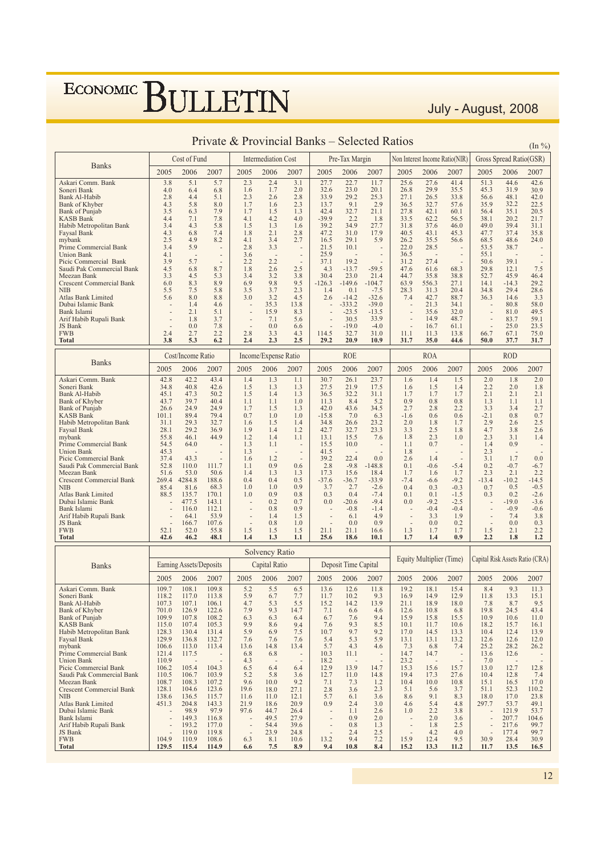#### Gross Spread Ratio(GSR) Cost of Fund Intermediation Cost Pre-Tax Margin Non Interest Income Ratio(NIR) **Banks** 2005 2006 2007 2005 2006 2007 2005  $\frac{1}{2006}$ 2007 2005 2006 2007 2005 2006 2007 Askari Comm. Bank  $\overline{5.1}$  $\overline{2.3}$  $\overline{2.4}$  $\overline{22}$  $\frac{25.6}{ }$  $\overline{27.6}$  $41.4$  $51.3$  $44.6$  $42.6$  $3.8$  $3.1$  $\overline{27}$  $11.7$  $5.7$ Soneri Rank  $40$ 64 68  $1<sub>6</sub>$  $1<sub>7</sub>$  $20$  $326$  $230$  $201$  $268$  $299$  $355$  $453$  $319$  $30Q$  $\frac{2.8}{2.3}$  $33.8$ <br> $57.6$ Bank Al-Habib  $4.4$  $2.6$  $33.9$  $29.2$  $25.3$  $27.1$ 26.5 56.6 48.1  $42.0$ 2.8  $5.1$  $2.3$  $58$  $\frac{1.6}{1.5}$  $\frac{36.5}{27.8}$ Bank of Khyber  $43$ 8.0  $1.7$  $137$  $Q<sub>1</sub>$  $29$  $327$  $359$  $322$  $225$  $6.3$ <br>7.1<br>4.3  $\frac{2}{1.3}$  $42.4$  $32.7$  $21.1$  $42.1$  $60.1$  $56.4$  $rac{35.2}{35.1}$  $7.9$ <br> $7.8$ <br> $5.8$  $\frac{1}{20.5}$ **Bank** of Puniab  $3.5$ 1.7  $4.1$ <br> $1.5$  $4.2$ <br> $1.3$  $4.0$ <br> $1.6$  $\frac{1.8}{27.7}$  $62.2$ <br>37.6 **KASB Bank**  $4.4$  $-39.9$  $22$ 33.5  $565$  $381$  $202$  $21.7$  $\frac{1}{3.4}$  $39.2$  $34.9$  $31.8$  $46.0$  $49.0$  $39.4$  $\frac{1}{31.1}$ Habib Metropolitan Bank  $\frac{4.3}{2.5}$  $6.8$ <br>4.9  $7.4$ <br>8.2  $2.1$ <br>3.4  $2.8$ <br>2.7  $\frac{47.2}{16.5}$  $\frac{31.0}{29.1}$  $\frac{17.9}{5.9}$  $\frac{40.5}{26.2}$  $43.1$ <br> $35.5$  $47.7$ <br> $68.5$  $37.4$ <br> $48.6$ **Faysal Bank**  $18$  $453$  $358$  $4.1$  $56.6$  $^{29.0}_{24.0}$ mybank  $2.8$ <br>3.6<br>2.2 Prime Commercial Bank  $3.4$ 5.9  $3.3$  $21.5$  $10<sub>1</sub>$  $220$  $285$  $535$  $387$  $\frac{25.5}{25.9}$  $55.1$  $4.1$ 36.5 **Union Bank**  $2.\overline{2}$  $5\overline{7}$  $27\overline{A}$ Picic Commercial Bank  $102$  $301$  $3<sup>o</sup>$  $371$  $312$  $506$  $\frac{2.2}{2.6}$ Saudi Pak Commercial Bank  $4.5$ 6.8 8.7  $1.8$  $2.5$  $4.3$  $-59.5$ 47.6 61.6 68.3 29.8  $12.1$  $-13.7$ 7.5  $4.5$  $\frac{5.3}{8.9}$  $3.2$ <br>9.8  $3.8$ <br>9.5  $21.4$ -104.7  $38.8$ <br>27.1 Meezan Bank  $3<sup>3</sup>$  $34$  $304$  $230$  $44<sup>2</sup>$  $358$  $52.7$  $45.9$  $464$  $\frac{25.0}{149.6}$  $63.9$ 556.3  $\frac{32}{14.1}$  $-14.3$ **Crescent Commercial Bank**  $\frac{8.3}{7.5}$ 6.9 29.2 6.0  $-126.3$  $5.8$ <br>8.8  $3.7$ <br> $3.2$  $2.3$ <br>4.5  $\frac{1.4}{2.6}$  $0.1$ <br>-14.2  $28.3$ <br>7.4  $31.3$ <br> $42.7$  $34.8$ <br> $36.3$  $29.4$ <br>14.6 **NIB**  $55$  $\frac{1}{2}$  $-7.5$ <br> $-32.6$  $20.4$ 28.6 Atlas Bank Limited  $5.6$  $\frac{7.5}{8.0}$  $\frac{3.5}{3.0}$  $887$  $3<sup>3</sup>$ Dubai Islamic Bank  $1.4$ <br> $2.1$  $4.6$ <br>5.1  $35.3$ <br>15.9  $13.8$  $-333.2$  $-39.0$  $21.3$  $34.1$  $80.8$  $58.0$  $-23.5$  $32.0$ 81.0 49.5 Bank Islami 8.3  $-13.5$ 35.6 Arif Habib Rupali Bank  $7.1$ <br>0.0  $1.8$  $3.7$  $5.6$  $30.5$  $339$  $149$  $487$ 83.7 59.1 JS Bank  $0.0$  $7.8$ 6.6  $-19.0$  $-4.0$ 16.7 61.1  $25.0$ 23.5  $\frac{1}{2}$  $FWR$  $24$  $\frac{1}{2}$  $28$  $\frac{1}{3}$  $4.3$  $114.5$  $327$  $310$  $111$  $\frac{1}{1}$   $\frac{1}{3}$  $13.8$ 667  $67.1$  $750$  $\frac{2.2}{6.2}$ Total  $53$  $2.5$ 20.9 37.7 3.8  $2.4$  $2.3$ 29.2 10.9  $31.7$ 35.0 44.6 50.0 31.7 Cost/Income Ratio **ROE ROA ROD** Income/Expense Ratio **Banks** 2005 2006 2007 2005 2006 2007 2005 2006 2007 2006 2007 2006 2007 2005 2005 Askari Comm. Bank  $42.8$  $\frac{1}{42}$ 43.4  $\overline{14}$  $1.3$  $\overline{1.1}$  $30.7$  $26.1$  $23.7$  $1.6$  $1.4$  $\overline{1.5}$  $\overline{2.0}$  $\overline{1.8}$  $\overline{2.0}$ Soneri Bank<br>Bank Al-Habib  $42.6$ <br> $50.2$  $\frac{1.5}{1.7}$  $\frac{1.4}{1.7}$  $\frac{1.8}{2.1}$  $348$  $40.8$  $1<sup>5</sup>$  $1<sup>3</sup>$  $1.3$  $275$  $219$  $17<sup>5</sup>$ 1.6  $2.2$  $2.0$  $45.1$  $\frac{1}{1.5}$  $rac{21}{32.2}$  $\frac{2.2}{2.1}$  $\frac{2.0}{2.1}$  $47.3$  $1.4$  $\frac{2}{36.5}$  $31.1$  $1.3$  $1.7$  $\frac{1.3}{3.3}$ <br>-2.1  $39.7$ <br> $24.9$  $\frac{40.4}{24.9}$  $\frac{0.8}{2.8}$  $0.8$ <br>2.2  $\frac{1.1}{3.4}$  $\frac{1.1}{2.7}$ Bank of Khyber 43.7  $1.1\,$  $1.1$  $1<sub>0</sub>$  $113$  $84$  $52$  $0<sub>q</sub>$  $\frac{43.6}{7.0}$  $34.5$  $42.0$  $2.7$  $1.3$ Bank of Puniab 26.6  $1.7$  $1.5$  $6.3$ <br>23.2  $\frac{0.7}{2.5}$ KASR Bank  $1011$  $894$  $794$  $0.7$  $\overline{10}$  $\frac{1}{1}$  0  $-158$  $-16$  $06$  $0.6$  $0.8$  $2.9$ Habib Metropolitan Bank 29.3 32.7 34.8 26.6  $31.1$ 1.6 1.5  $2.0$ 1.7 2.6  $\frac{1.4}{1.2}$  $\frac{1.8}{2.5}$ Faysal Bank  $281$  $292$  $369$  $1.9$  $1.4$  $42.7$ <br> $13.1$  $32.7$ <br> $15.5$  $23.3$  $3.3$  $18$  $4.7$ <br>2.3  $38$  $2.6$  $1.8$  $\frac{2.5}{2.3}$ 55.8  $46.1$  $1.2$  $1.4$  $1.1$  $7.6$  $1.4$ mybank 44.9 1.0  $3.1$  $\frac{1.1}{1.8}$  $\frac{1.4}{2.3}$ Prime Commercial Bank  $54.5$  $64.0$  $1<sup>2</sup>$  $1.1$  $15.5$  $10.0$  $0.7$  $0.9$  $45.3$  $\frac{1}{1.3}$  $41.5$ Union Bank Picic Commercial Bank<br>Saudi Pak Commercial Bank  $\frac{37.4}{52.8}$  $39.2$ <br>2.8  $2.6$ <br>0.1  $\frac{3.1}{0.2}$  $433$  $1.6$  $1<sub>2</sub>$  $224$  $0.0$  $1\,4$  $1.7$  $0.0\,$ 111.7  $-0.7$  $110.0$  $0.9$  $0.6$  $-9.8$  $-0.6$  $-5.4$  $-148.8$  $1.1$  $-6.7$  $\frac{50.6}{188.6}$  $\frac{0.5}{1.3}$  $\frac{1.7}{-9.2}$  $2.1$ <br>-10.2 Meezan Bank  $51.6$  $1.4$  $1.3$  $17.3$  $156$  $184$  $\overline{1}$  $2.\overline{3}$  $2.2$ 53.0 1.6 **Crescent Commercial Bank**  $-36.7$ <br>2.7<br>0.4 4284.8  $0.5$  $-33.9$  $-7.4$  $-13.4$  $-14.5$ 269.4  $0.4$  $-37.6$  $-6.6$ **NIR**  $854$  $816$  $683$  $\overline{1}$  0  $\overline{10}$  $0.9$  $3.7$ <br> $0.3$  $-2.6$ <br> $-7.4$  $0.4$  $0.3$  $-0.3$  $0.7$  $0.5$  $-0.5$ <br> $-2.6$ Atlas Bank Limited 170.1 0.9  $0.8$ <br>0.7  $0.1$  $0.2$ 88.5 135.7 1.0  $0.1$  $-1.5$  $0.3$ Dubai Islamic Bank  $477.5$  $143.1$  $0.2$  $0.0$  $-20.6$  $-9.4$  $0.0$  $-9.2$  $-2.5$  $-190$  $-3.6$ Bank Islami 116.0 112.1  $0.8$  $0.9$  $-0.8$  $-1.4$  $-0.4$  $-0.4$  $-0.9$  $-0.6$ Arif Habib Rupali Bank<br>JS Bank  $53.9$ <br> $107.6$  $1.4$ <br>0.8  $4.9$ <br>0.9  $3.3$ <br>0.0  $7.4$ <br>0.0  $3.8$ <br>0.3  $6.1$ <br>0.0  $\frac{1.9}{0.2}$ 64.1  $1.5$  $1<sub>0</sub>$ 1667  $52.0$  $2.2$ <br>1.2  $21.1$  $1.5$ **FWB**  $521$ 55.8  $1.5$  $1.5$  $1.5$  $21.1$ 16.6  $1.3$  $1.7$  $2.1$ **Total**  $42.6$  $46.2$ 48.1  $14$  $13$  $11$ 25.6 18.6  $10.1$  $17$  $14$  $0.9$  $2.2$  $18$ Solvency Ratio Capital Risk Assets Ratio (CRA) **Equity Multiplier (Time)** Capital Ratio Earning Assets/Deposits Deposit Time Capital **Banks** 2005 2006 2007 2005 2006 2007 2005 2006 2007 2005 2006 2007 2005 2006 2007  $\frac{5.2}{5.9}$ Askari Comm. Bank 109.7 108.1 109.8  $55$  $6.5$ <br>7.7  $136$  $126$ 11.8  $192$ 181  $154$ 84  $93$  $113$  $\frac{11.5}{15.1}$ Soneri Bank  $118.2$  $6.7$  $\frac{15.0}{11.7}$  $\frac{12.0}{10.2}$  $\frac{11.8}{9.3}$  $\frac{1}{16.9}$  $14.9$  $\frac{15}{12.9}$  $11.8$  $13.3$ 117.0 113.8  $4.7$ <br> $7.9$ <br> $6.3$  $\frac{15.2}{7.1}$ <br>6.7  $\frac{13.9}{4.6}$ Bank Al-Habib 107.3  $1071$ 106.1  $\frac{5.3}{9.3}$  $5.5$ <br>14.7 14.2  $211$ 189  $180$  $78$  $8.7$ <br>24.5  $6.6$ <br>7.6  $701.0$  $122.6$  $6.8$ <br>15.5  $19.8$  $43.4$ **Bank** of Khyber 126.9 12.6  $10.8$  $15.9$  $10.9$ Bank of Puniab 109.9 107.8 108.2 6.3 6.4 15.8 10.6  $11.0$ 9.9  $9.4$ <br>7.5  $7.6$  $\frac{9.3}{9.7}$  $\frac{8.5}{9.2}$  $\frac{15.7}{12.4}$ KASB Bank 115.0 107.4 105.3 8.6  $10.1$ 11.7 10.6 18.2 16.1 Habib Metropolitan Bank  $1283$  $130.4$  $1314$  $5Q$ 6.9  $107$  $170$  $145$  $133$  $104$  $13Q$  $\frac{17.0}{7.3}$ <br>14.7  $\frac{5.4}{5.7}$  $5.9$ Faysal Bank 129.9 136.8 132.7  $7.6$  $7.6$ 7.6  $5.3$  $13.1$  $13.2$  $12.6$  $12.6$  $12.0$ mybank  $1066$  $113.0$ 113.4  $136$  $14.8$ 13.4  $43$  $46$  $6.8$ <br>14.7  $7.4$  $252$  $282$  $262$ Prime Commercial Bank  $121.4$  $\frac{115.8}{117.5}$  $6.8$  $10.3$  $11.1$  $\frac{25.2}{13.6}$  $\frac{20.2}{12.6}$ 68 **Hinion** Bank  $1109$  $4.3$ 18.2  $232$  $70$ Picic Commercial Bank 105.4 104.3  $6.5$  $6.4$  $6.4$  $12.9$ 13.9 14.7  $\frac{25.2}{15.3}$ 15.6 15.7  $13.0$  $12.7$  $106.2$ 12.8  $\frac{12.7}{7.1}$ <br>2.8  $\frac{11.0}{7.3}$ <br>3.6  $14.8$ <br> $1.2$ <br> $2.3$  $\frac{5.2}{9.6}$  $\frac{3.6}{9.2}$  $27.6$ <br>10.8 Saudi Pak Commercial Bank  $1105$ 106.7 103.9 5.8 194 17.3 10.4 12.8  $7.4$ <br>17.0 Meezan Bank  $108.3$  $107.2$  $10.0$  $\frac{1}{10.4}$  $10.0$  $15.1$  $\frac{12.8}{16.5}$ 108.7 Crescent Commercial Bank  $271$  $1281$  $104.6$  $1236$  $196$  $180$  $51$ 5.6  $3<sub>7</sub>$  $511$  $523$  $1102$  $\frac{27.1}{12.1}$  $5.7$  $\frac{9.0}{9.1}$  $\frac{52.5}{17.0}$  $NIB$ 138.6  $136.5$ 115.7  $11.6$  $11.0$  $\frac{1}{3.6}$  $8.6$  $8.3$ 18.0 23.8  $6.1$ <br>2.4 Atlas Bank Limited  $4513$  $204.8$  $1433$  $21.9$  $186$  $20.9$  $0.9$  $3.0$  $46$  $54$  $4.8$  $2977$  $53.7$  $491$  $2.6$ <br> $2.0$ Dubai Islamic Bank 97.9  $\frac{26.4}{27.9}$  $3.8$ <br> $3.6$ <br> $2.5$ 121.9 98.9 97.6 44.7  $1.1$ 1.0  $2.2$ 53.7  $\frac{116.8}{177.0}$  $\frac{1}{2}$  $\frac{207.7}{217.6}$ Bank Islami  $1493$  $49<sup>5</sup>$  $0.9$ 104.6  $\frac{2}{39.6}$ Arif Habib Rupali Bank  $54.4$  $\frac{2.8}{1.3}$  $99.7$ 193.2  $0.8$  $\frac{1}{1.8}$ JS Bank<br>FWB  $\frac{2.5}{7.2}$  $4.2$ <br>12.4  $\frac{177.4}{28.4}$  $1100$  $119.8$  $23.9$  $248$  $24$  $\overline{40}$ 99.7  $104.9$  $\frac{11}{2}$  $108.6$  $6.3$  $\frac{2}{10.6}$  $13.\overline{2}$  $^{2.7}_{9.4}$  $15.9$  $\frac{4.0}{9.5}$  $30.9$  $\frac{30.7}{30.9}$  $8.1$

8.9

 $0<sub>4</sub>$ 

10 S

114.9

115.4

129.5

**Total** 

#### Private & Provincial Banks – Selected Ratios

 $(\text{In } \% )$ 

July - August, 2008

 $16.5$ 

 $11.7$ 

 $135$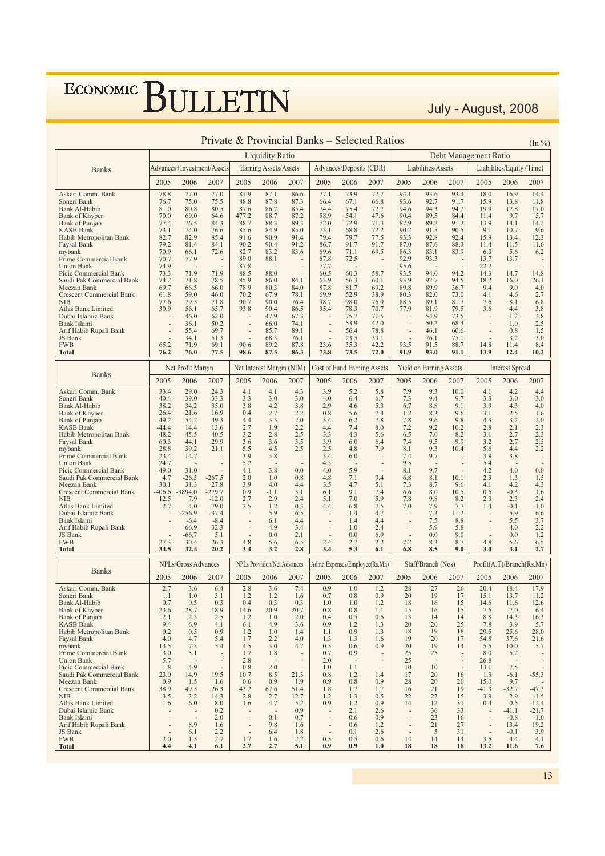July - August, 2008

|                                                    |                  |                                  | Private & Provincial Banks – Selected Ratios |               |                                    |                                  |                          |                                    |                               |                |                                |                          |                       |                           | $(\ln \frac{9}{6})$                        |
|----------------------------------------------------|------------------|----------------------------------|----------------------------------------------|---------------|------------------------------------|----------------------------------|--------------------------|------------------------------------|-------------------------------|----------------|--------------------------------|--------------------------|-----------------------|---------------------------|--------------------------------------------|
|                                                    |                  |                                  |                                              |               | <b>Liquidity Ratio</b>             |                                  |                          |                                    |                               |                |                                |                          | Debt Management Ratio |                           |                                            |
| <b>Banks</b>                                       |                  |                                  | Advances+Investment/Assets                   |               | Earning Assets/Assets              |                                  |                          | Advances/Deposits (CDR)            |                               |                | Liabilities/Assets             |                          |                       | Liabilities/Equity (Time) |                                            |
|                                                    | 2005             | 2006                             | 2007                                         | 2005          | 2006                               | 2007                             | 2005                     | 2006                               | 2007                          | 2005           | 2006                           | 2007                     | 2005                  | 2006                      | 2007                                       |
| Askari Comm. Bank                                  | 78.8             | 77.0                             | 77.0                                         | 87.9          | 87.1                               | 86.6                             | 77.1                     | 73.9                               | 72.7                          | 94.1           | 93.6                           | 93.3                     | 18.0                  | 16.9                      | 14.4                                       |
| Soneri Bank                                        | 76.7             | 75.0                             | 75.5                                         | 88.8          | 87.8                               | 87.3                             | 66.4                     | 67.1                               | 66.8                          | 93.6           | 92.7                           | 91.7                     | 15.9                  | 13.8                      | 11.8                                       |
| Bank Al-Habib                                      | 81.0             | 80.8                             | 80.5                                         | 87.6          | 86.7                               | 85.4                             | 74.4                     | 75.4                               | 72.7                          | 94.6           | 94.3                           | 94.2                     | 19.9                  | 17.8                      | 17.0                                       |
| Bank of Khyber<br><b>Bank of Punjab</b>            | 70.0<br>77.4     | 69.0<br>76.5                     | 64.6<br>84.3                                 | 477.2<br>88.7 | 88.7<br>88.3                       | 87.2<br>89.3                     | 58.9<br>72.0             | 54.1<br>72.9                       | 47.6<br>71.3                  | 90.4<br>87.9   | 89.5<br>89.2                   | 84.4<br>91.2             | 11.4<br>13.9          | 9.7<br>14.1               | 5.7<br>14.2                                |
| KASB Bank                                          | 73.1             | 74.0                             | 76.6                                         | 85.6          | 84.9                               | 85.0                             | 73.1                     | 68.8                               | 72.2                          | 90.2           | 91.5                           | 90.5                     | 9.1                   | 10.7                      | 9.6                                        |
| Habib Metropolitan Bank                            | 82.7             | 82.9                             | 85.4                                         | 91.6          | 90.9                               | 91.4                             | 79.4                     | 79.7                               | 77.5                          | 93.3           | 92.8                           | 92.4                     | 15.9                  | 13.4                      | 12.3                                       |
| Faysal Bank                                        | 79.2             | 81.4                             | 84.1                                         | 90.2          | 90.4                               | 91.2                             | 86.7                     | 91.7                               | 91.7                          | 87.0           | 87.6                           | 88.3                     | 11.4                  | 11.5                      | 11.6                                       |
| mybank                                             | 70.9             | 66.1                             | 72.6                                         | 82.7          | 83.2                               | 83.6                             | 69.6                     | 71.1                               | 69.5                          | 86.3           | 83.1                           | 83.9                     | 6.3                   | 5.6                       | 6.2                                        |
| Prime Commercial Bank<br><b>Union Bank</b>         | 70.7<br>74.9     | 77.9<br>$\overline{\phantom{a}}$ | $\centerdot$<br>$\overline{a}$               | 89.0<br>87.8  | 88.1<br>$\overline{\phantom{a}}$   | $\overline{a}$<br>$\overline{a}$ | 67.8                     | 72.5<br>×,                         | $\overline{a}$                | 92.9<br>95.6   | 93.3                           | $\overline{\phantom{a}}$ | 13.7<br>22.2          | 13.7                      | $\overline{\phantom{a}}$<br>$\overline{a}$ |
| Picic Commercial Bank                              | 73.3             | 71.9                             | 71.9                                         | 88.5          | 88.0                               |                                  | 77.7<br>60.5             | 60.3                               | 58.7                          | 93.5           | 94.0                           | 94.2                     | 14.3                  | 14.7                      | 14.8                                       |
| Saudi Pak Commercial Bank                          | 74.2             | 71.8                             | 78.5                                         | 85.9          | 86.0                               | 84.1                             | 63.9                     | 56.3                               | 60.1                          | 93.9           | 92.7                           | 94.5                     | 18.2                  | 16.0                      | 26.1                                       |
| Meezan Bank                                        | 69.7             | 66.5                             | 66.0                                         | 78.9          | 80.3                               | 84.0                             | 87.8                     | 81.7                               | 69.2                          | 89.8           | 89.9                           | 36.7                     | 9.4                   | 9.0                       | 4.0                                        |
| <b>Crescent Commercial Bank</b>                    | 61.8             | 59.0                             | 46.0                                         | 70.2          | 67.9                               | 78.1                             | 69.9                     | 52.9                               | 38.9                          | 80.3           | 82.0                           | 73.0                     | 4.1                   | 4.6                       | 2.7                                        |
| NIB                                                | 77.6<br>30.9     | 79.5<br>56.1                     | 71.8                                         | 90.7<br>93.8  | 90.0<br>90.4                       | 76.4<br>86.5                     | 98.7                     | 98.0                               | 76.9<br>70.7                  | 88.5           | 89.1<br>81.9                   | 81.7<br>79.5             | 7.6<br>3.6            | 8.1<br>4.4                | 6.8                                        |
| Atlas Bank Limited<br>Dubai Islamic Bank           |                  | 46.0                             | 65.7<br>62.0                                 |               | 47.9                               | 67.3                             | 35.4                     | 78.3<br>75.7                       | 71.5                          | 77.9           | 54.9                           | 73.5                     |                       | 1.2                       | 3.8<br>2.8                                 |
| Bank Islami                                        |                  | 36.1                             | 50.2                                         |               | 66.0                               | 74.1                             |                          | 53.9                               | 42.0                          |                | 50.2                           | 68.3                     |                       | 1.0                       | 2.5                                        |
| Arif Habib Rupali Bank                             |                  | 55.4                             | 69.7                                         |               | 85.7                               | 89.1                             | $\overline{a}$           | 56.4                               | 78.8                          |                | 46.1                           | 60.6                     |                       | 0.8                       | 1.5                                        |
| JS Bank                                            |                  | 34.1                             | 51.3                                         |               | 68.3                               | 76.1                             |                          | 23.5                               | 39.1                          |                | 76.1                           | 75.1                     |                       | 3.2                       | 3.0                                        |
| <b>FWB</b>                                         | 65.2             | 71.9                             | 69.1                                         | 90.6          | 89.2                               | 87.8                             | 23.6                     | 35.3                               | 42.2                          | 93.5           | 91.5                           | 88.7                     | 14.8                  | 11.4                      | 8.4                                        |
| <b>Total</b>                                       | 76.2             | 76.0                             | 77.5                                         | 98.6          | 87.5                               | 86.3                             | 73.8                     | 73.5                               | 72.0                          | 91.9           | 93.0                           | 91.1                     | 13.9                  | 12.4                      | 10.2                                       |
| <b>Banks</b>                                       |                  | Net Profit Margin                |                                              |               | Net Interest Margin (NIM)          |                                  |                          | <b>Cost of Fund Earning Assets</b> |                               |                | <b>Yield on Earning Assets</b> |                          |                       | <b>Interest Spread</b>    |                                            |
|                                                    | 2005             | 2006                             | 2007                                         | 2005          | 2006                               | 2007                             | 2005                     | 2006                               | 2007                          | 2005           | 2006                           | 2007                     | 2005                  | 2006                      | 2007                                       |
| Askari Comm. Bank<br>Soneri Bank                   | 33.4<br>40.4     | 29.0<br>39.0                     | 24.3<br>33.3                                 | 4.1<br>3.3    | 4.1<br>3.0                         | 4.3<br>3.0                       | 3.9<br>4.0               | 5.2<br>6.4                         | 5.8<br>6.7                    | 7.9<br>7.3     | 9.3<br>9.4                     | 10.0<br>9.7              | 4.1<br>3.3            | 4.2<br>3.0                | 4.4<br>3.0                                 |
| Bank Al-Habib                                      | 38.2             | 34.2                             | 35.0                                         | 3.8           | 4.2                                | 3.8                              | 2.9                      | 4.6                                | 5.3                           | 6.7            | 8.8                            | 9.1                      | 3.9                   | 4.3                       | 4.0                                        |
| Bank of Khyber                                     | 26.4             | 21.6                             | 16.9                                         | 0.4           | 2.7                                | 2.2                              | 0.8                      | 5.6                                | 7.4                           | 1.2            | 8.3                            | 9.6                      | $-3.1$                | 2.5                       | 1.6                                        |
| <b>Bank of Punjab</b>                              | 49.2             | 54.2                             | 49.3                                         | 4.4           | 3.3                                | 2.0                              | 3.4                      | 6.2                                | 7.8                           | 7.8            | 9.6                            | 9.8                      | 4.3                   | 3.2                       | 2.0                                        |
| <b>KASB Bank</b>                                   | $-44.4$          | 14.4                             | 13.6                                         | 2.7           | 1.9                                | 2.2                              | 4.4                      | 7.4                                | 8.0                           | 7.2            | 9.2                            | 10.2                     | 2.8                   | 2.1                       | 2.3                                        |
| Habib Metropolitan Bank                            | 48.2             | 45.5<br>44.1                     | 40.5<br>29.9                                 | 3.2           | 2.8<br>3.6                         | 2.5<br>3.5                       | 3.3<br>3.9               | 4.3<br>6.0                         | 5.6<br>6.4                    | 6.5<br>7.4     | 7.0<br>9.5                     | 8.2<br>9.9               | 3.1<br>3.2            | 2.7<br>2.7                | 2.3<br>2.5                                 |
| Faysal Bank<br>mybank                              | 60.3<br>28.8     | 39.2                             | 21.1                                         | 3.6<br>5.5    | 4.5                                | 2.5                              | 2.5                      | 4.8                                | 7.9                           | 8.1            | 9.3                            | 10.4                     | 5.6                   | 4.4                       | 2.2                                        |
| Prime Commercial Bank                              | 23.4             | 14.7                             |                                              | 3.9           | 3.8                                |                                  | 3.4                      | 6.0                                |                               | 7.4            | 9.7                            |                          | 3.9                   | 3.8                       |                                            |
| <b>Union Bank</b>                                  | 24.7             | ÷,                               |                                              | 5.2           | $\overline{a}$                     |                                  | 4.3                      | $\sim$                             |                               | 9.5            | $\overline{\phantom{a}}$       | ÷                        | 5.4                   | $\sim$                    |                                            |
| Picic Commercial Bank                              | 49.0             | 31.0                             | $\overline{a}$                               | 4.1           | 3.8                                | 0.0                              | 4.0                      | 5.9                                |                               | 8.1            | 9.7                            |                          | 4.2                   | 4.0                       | 0.0                                        |
| Saudi Pak Commercial Bank                          | 4.7              | $-26.5$                          | $-267.5$                                     | 2.0           | 1.0                                | 0.8                              | 4.8                      | 7.1                                | 9.4                           | 6.8            | 8.1                            | 10.1                     | 2.3                   | 1.3                       | 1.5                                        |
| Meezan Bank<br><b>Crescent Commercial Bank</b>     | 30.1<br>$-406.6$ | 31.3<br>$-3894.0$                | 27.8<br>$-279.7$                             | 3.9<br>0.9    | 4.0<br>$-1.1$                      | 4.4<br>3.1                       | 3.5<br>6.1               | 4.7<br>9.1                         | 5.1<br>7.4                    | 7.3<br>6.6     | 8.7<br>8.0                     | 9.6<br>10.5              | 4.1<br>0.6            | 4.2<br>$-0.3$             | 4.3<br>1.6                                 |
| <b>NIB</b>                                         | 12.5             | 7.9                              | $-12.0$                                      | 2.7           | 2.9                                | 2.4                              | 5.1                      | 7.0                                | 5.9                           | 7.8            | 9.8                            | 8.2                      | 2.3                   | 2.3                       | 2.4                                        |
| Atlas Bank Limited                                 | 2.7              | 4.0                              | $-79.0$                                      | 2.5           | 1.2                                | 0.3                              | 4.4                      | 6.8                                | 7.5                           | 7.0            | 7.9                            | 7.7                      | 1.4                   | $-0.1$                    | $-1.0$                                     |
| Dubai Islamic Bank                                 |                  | $-256.9$                         | $-37.4$                                      |               | 5.9                                | 6.5                              |                          | 1.4                                | 4.7                           |                | 7.3                            | 11.2                     |                       | 5.9                       | 6.6                                        |
| Bank Islami                                        |                  | $-6.4$                           | $-8.4$                                       |               | 6.1                                | 4.4                              |                          | 1.4                                | 4.4                           |                | 7.5                            | 8.8                      |                       | 5.5                       | 3.7                                        |
| Arif Habib Rupali Bank<br>JS Bank                  |                  | 66.9<br>$-66.7$                  | 32.3<br>5.1                                  |               | 4.9<br>0.0                         | 3.4<br>2.1                       | $\overline{a}$           | 1.0<br>0.0                         | 2.4<br>6.9                    | $\overline{a}$ | 5.9<br>0.0                     | 5.8<br>9.0               | ÷,                    | 4.0<br>0.0                | 2.2<br>1.2                                 |
| <b>FWB</b>                                         | 27.3             | 30.4                             | 26.3                                         | 4.8           | 5.6                                | 6.5                              | 2.4                      | 2.7                                | 2.2                           | 7.2            | 8.3                            | 8.7                      | 4.8                   | 5.6                       | 6.5                                        |
| Total                                              | 34.5             | 32.4                             | 20.2                                         | 3.4           | 3.2                                | 2.8                              | 3.4                      | 5.3                                | 6.1                           | 6.8            | 8.5                            | 9.0                      | 3.0                   | 3.1                       | 2.7                                        |
|                                                    |                  | <b>NPLs/Gross Advances</b>       |                                              |               | <b>NPLs Provision/Net Advances</b> |                                  |                          |                                    | Admn Expenses/Employee(Rs.Mn) |                | Staff/Branch (Nos)             |                          |                       | Profit(A.T)/Branch(Rs.Mn) |                                            |
| <b>Banks</b>                                       | 2005             | 2006                             | 2007                                         | 2005          | 2006                               | 2007                             | 2005                     | 2006                               | 2007                          | 2005           | 2006                           | 2007                     | 2005                  | 2006                      | 2007                                       |
| Askari Comm. Bank                                  | 2.7              | 3.6                              | 6.4                                          | 2.8           | 3.6                                | 7.4                              | 0.9                      | 1.0                                | 1.2                           | 28             | 27                             | 26                       | 20.4                  | 18.4                      | 17.9                                       |
| Soneri Bank                                        | 1.1              | 1.0                              | 3.1                                          | 1.2           | 1.2                                | 1.6                              | 0.7                      | 0.8                                | 0.9                           | 20             | 19                             | $\frac{1}{2}$            | 15.1                  | 13.7                      | 11.2                                       |
| Bank Al-Habib                                      | 0.7              | 0.5                              | 0.3                                          | 0.4           | 0.3                                | 0.3                              | 1.0                      | 1.0                                | 1.2                           | 18             | 16                             | 15                       | 14.6                  | 11.6                      | 12.6                                       |
| <b>Bank of Khyber</b>                              | 23.6             | 28.7                             | 18.9                                         | 14.6          | 20.9                               | 20.7                             | 0.8                      | 0.8                                | 1.1                           | 15             | 16                             | 15                       | 7.6                   | 7.0                       | 6.4                                        |
| Bank of Punjab                                     | 2.1              | 2.3                              | 2.5                                          | 1.2           | 1.0                                | 2.0                              | 0.4                      | 0.5                                | 0.6                           | 13             | 14                             | 14                       | 8.8                   | 14.3                      | 16.3                                       |
| <b>KASB Bank</b><br>Habib Metropolitan Bank        | 9.4<br>0.2       | 6.9<br>0.5                       | 4.1<br>0.9                                   | 6.1<br>1.2    | 4.9<br>1.0                         | 3.6<br>1.4                       | 0.9<br>1.1               | 1.2<br>0.9                         | 1.3<br>1.3                    | 20<br>18       | 20<br>19                       | 25<br>18                 | $-7.8$<br>29.5        | 3.9<br>25.6               | 5.7<br>28.0                                |
| Faysal Bank                                        | 4.0              | 4.7                              | 5.4                                          | 1.7           | 2.2                                | 4.0                              | 1.3                      | 1.3                                | 1.6                           | 19             | 20                             | 17                       | 54.8                  | 37.6                      | 21.6                                       |
| mybank                                             | 13.5             | 7.3                              | 5.4                                          | 4.5           | 3.0                                | 4.7                              | 0.5                      | 0.6                                | 0.9                           | 20             | 19                             | 14                       | 5.5                   | 10.0                      | 5.7                                        |
| Prime Commercial Bank                              | 3.0              | 5.1                              | $\overline{\phantom{a}}$                     | 1.7           | 1.8                                | ÷                                | 0.7                      | 0.9                                | $\overline{\phantom{a}}$      | 25             | 25                             | $\sim$                   | 8.0                   | 5.2                       |                                            |
| <b>Union Bank</b>                                  | 5.7              | ÷,                               | $\frac{1}{2}$                                | 2.8           |                                    |                                  | 2.0                      | $\overline{\phantom{a}}$           |                               | 25             | $\overline{\phantom{a}}$       |                          | 26.8                  | $\sim$                    |                                            |
| Picic Commercial Bank<br>Saudi Pak Commercial Bank | 1.8<br>23.0      | 4.9<br>14.9                      | 19.5                                         | 0.8<br>10.7   | 2.0<br>8.5                         | 21.3                             | 1.0<br>0.8               | 1.1<br>1.2                         | 1.4                           | 10<br>17       | 10<br>20                       | 16                       | 13.1<br>1.3           | 7.5<br>$-6.1$             | $-55.3$                                    |
| Meezan Bank                                        | 0.9              | 1.5                              | 1.6                                          | 0.6           | 0.9                                | 1.9                              | 0.9                      | 0.8                                | 0.9                           | 28             | 20                             | 20                       | 15.0                  | 9.7                       |                                            |
| <b>Crescent Commercial Bank</b>                    | 38.9             | 49.5                             | 26.3                                         | 43.2          | 67.6                               | 51.4                             | 1.8                      | 1.7                                | 1.7                           | 16             | 21                             | 19                       | $-41.3$               | $-32.7$                   | $-47.3$                                    |
| <b>NIB</b>                                         | 3.5              | 3.2                              | 14.3                                         | 2.8           | 2.7                                | 12.7                             | 1.2                      | 1.3                                | 0.5                           | 22             | 22                             | 15                       | 3.9                   | 2.9                       | $-1.5$                                     |
| Atlas Bank Limited                                 | 1.6              | 6.0                              | 8.0                                          | 1.6           | 4.7                                | 5.2                              | 0.9                      | 1.2                                | 0.9                           | 14             | 12                             | 31                       | 0.4                   | 0.5                       | $-12.4$                                    |
| Dubai Islamic Bank<br>Bank Islami                  |                  | $\centerdot$                     | 0.2<br>2.0                                   | ÷,            | 0.1                                | 0.9<br>0.7                       | $\overline{\phantom{a}}$ | 2.1<br>0.6                         | 2.6<br>0.9                    | $\sim$         | 36<br>23                       | 33<br>16                 |                       | $-41.1$<br>$-0.8$         | $-21.7$<br>$-1.0$                          |
| Arif Habib Rupali Bank                             |                  | 8.9                              | 1.6                                          |               | 9.8                                | 1.6                              |                          | 0.6                                | 1.2                           |                | 21                             | 27                       |                       | 13.4                      | 19.2                                       |
| JS Bank                                            |                  | 6.1                              | 2.2                                          |               | 6.4                                | 1.8                              |                          | 0.1                                | 2.6                           |                | 5                              | 31                       |                       | $-0.1$                    | 3.9                                        |
| <b>FWB</b>                                         | 2.0              | 1.5                              | 2.7                                          | 1.7           | 1.6                                | 2.2                              | 0.5                      | 0.5                                | 0.6                           | 14             | 14                             | 14                       | 3.5                   | 4.4                       | 4.1                                        |
| <b>Total</b>                                       | 4.4              | 4.1                              | 6.1                                          | 2.7           | 2.7                                | 5.1                              | 0.9                      | 0.9                                | 1.0                           | 18             | 18                             | 18                       | 13.2                  | 11.6                      | 7.6                                        |

 $\overline{13}$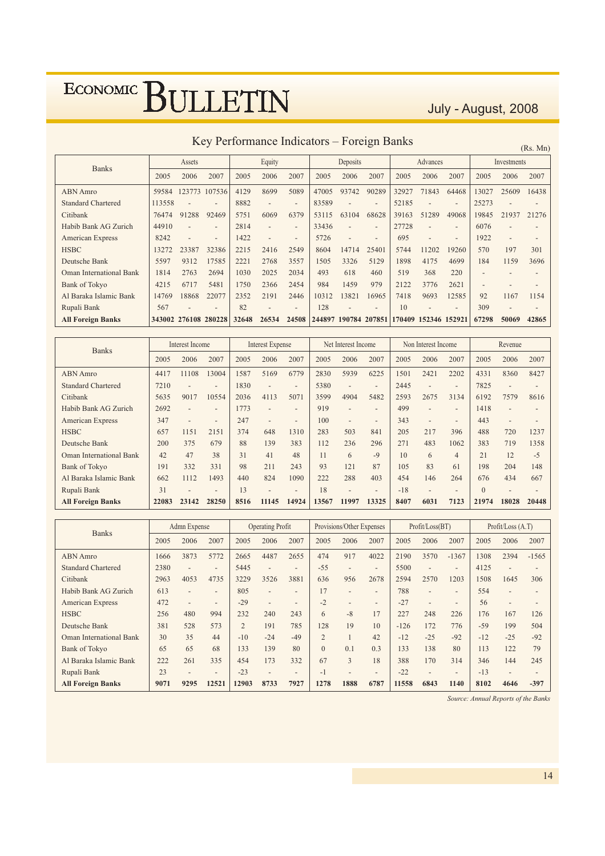July - August, 2008

Key Performance Indicators - Foreign Banks

| (Rs, Mn) |  |
|----------|--|
|          |  |

| <b>Banks</b>                   |        | Assets                   |                          |       | Equity                   |                          |        | Deposits                 |                          |       | Advances                 |                          |                          | Investments              |                          |
|--------------------------------|--------|--------------------------|--------------------------|-------|--------------------------|--------------------------|--------|--------------------------|--------------------------|-------|--------------------------|--------------------------|--------------------------|--------------------------|--------------------------|
|                                | 2005   | 2006                     | 2007                     | 2005  | 2006                     | 2007                     | 2005   | 2006                     | 2007                     | 2005  | 2006                     | 2007                     | 2005                     | 2006                     | 2007                     |
| <b>ABN</b> Amro                | 59584  |                          | 123773 107536            | 4129  | 8699                     | 5089                     | 47005  | 93742                    | 90289                    | 32927 | 71843                    | 64468                    | 13027                    | 25609                    | 16438                    |
| <b>Standard Chartered</b>      | 113558 |                          |                          | 8882  | $\overline{\phantom{0}}$ | $\overline{\phantom{0}}$ | 83589  |                          |                          | 52185 |                          | $\overline{\phantom{0}}$ | 25273                    |                          |                          |
| Citibank                       | 76474  | 91288                    | 92469                    | 5751  | 6069                     | 6379                     | 53115  | 63104                    | 68628                    | 39163 | 51289                    | 49068                    | 19845                    | 21937                    | 21276                    |
| Habib Bank AG Zurich           | 44910  |                          | $\qquad \qquad$          | 2814  | $\overline{\phantom{0}}$ | $\overline{\phantom{0}}$ | 33436  |                          | $\overline{\phantom{0}}$ | 27728 |                          | $\overline{a}$           | 6076                     |                          |                          |
| American Express               | 8242   | $\overline{\phantom{a}}$ | $\overline{\phantom{a}}$ | 1422  | $\overline{\phantom{0}}$ | $\overline{\phantom{a}}$ | 5726   | $\overline{\phantom{a}}$ | $\overline{\phantom{a}}$ | 695   | $\overline{a}$           | $\overline{\phantom{0}}$ | 1922                     | $\overline{\phantom{0}}$ | $\overline{\phantom{0}}$ |
| <b>HSBC</b>                    | 13272  | 23387                    | 32386                    | 2215  | 2416                     | 2549                     | 8604   | 14714                    | 25401                    | 5744  | 1202                     | 19260                    | 570                      | 197                      | 301                      |
| Deutsche Bank                  | 5597   | 9312                     | 17585                    | 2221  | 2768                     | 3557                     | 1505   | 3326                     | 5129                     | 1898  | 4175                     | 4699                     | 184                      | 1159                     | 3696                     |
| <b>Oman International Bank</b> | 1814   | 2763                     | 2694                     | 1030  | 2025                     | 2034                     | 493    | 618                      | 460                      | 519   | 368                      | 220                      | $\overline{\phantom{0}}$ |                          |                          |
| Bank of Tokyo                  | 4215   | 6717                     | 5481                     | 1750  | 2366                     | 2454                     | 984    | 1459                     | 979                      | 2122  | 3776                     | 2621                     | $\overline{a}$           |                          |                          |
| Al Baraka Islamic Bank         | 14769  | 18868                    | 22077                    | 2352  | 2191                     | 2446                     | 10312  | 13821                    | 16965                    | 7418  | 9693                     | 12585                    | 92                       | 1167                     | 1154                     |
| Rupali Bank                    | 567    | $\overline{\phantom{0}}$ | $\overline{\phantom{0}}$ | 82    | $\overline{\phantom{0}}$ | $\overline{\phantom{0}}$ | 128    |                          |                          | 10    | $\overline{\phantom{0}}$ |                          | 309                      |                          |                          |
| <b>All Foreign Banks</b>       |        | 343002 276108            | 280228                   | 32648 | 26534                    | 24508                    | 244897 | 190784                   | 207851                   |       | 170409 152346 152921     |                          | 67298                    | 50069                    | 42865                    |

| <b>Banks</b>                   |       | Interest Income |                          |      | <b>Interest Expense</b>  |                          |       | Net Interest Income      |                          |       | Non Interest Income      |                          |          | Revenue                  |                          |
|--------------------------------|-------|-----------------|--------------------------|------|--------------------------|--------------------------|-------|--------------------------|--------------------------|-------|--------------------------|--------------------------|----------|--------------------------|--------------------------|
|                                | 2005  | 2006            | 2007                     | 2005 | 2006                     | 2007                     | 2005  | 2006                     | 2007                     | 2005  | 2006                     | 2007                     | 2005     | 2006                     | 2007                     |
| <b>ABN</b> Amro                | 4417  | 11108           | 13004                    | 1587 | 5169                     | 6779                     | 2830  | 5939                     | 6225                     | 1501  | 2421                     | 2202                     | 4331     | 8360                     | 8427                     |
| <b>Standard Chartered</b>      | 7210  |                 | $\overline{\phantom{a}}$ | 1830 |                          | $\overline{\phantom{a}}$ | 5380  | $\overline{a}$           | $\overline{\phantom{0}}$ | 2445  | $\overline{\phantom{a}}$ | $\overline{\phantom{a}}$ | 7825     |                          | $\overline{\phantom{a}}$ |
| Citibank                       | 5635  | 9017            | 10554                    | 2036 | 4113                     | 5071                     | 3599  | 4904                     | 5482                     | 2593  | 2675                     | 3134                     | 6192     | 7579                     | 8616                     |
| Habib Bank AG Zurich           | 2692  | ٠               | $\overline{\phantom{a}}$ | 1773 |                          | $\overline{\phantom{a}}$ | 919   | $\qquad \qquad -$        | $\overline{\phantom{a}}$ | 499   | $\overline{\phantom{a}}$ | $\overline{\phantom{a}}$ | 1418     |                          | $\overline{\phantom{0}}$ |
| American Express               | 347   | $\qquad \qquad$ | $\overline{\phantom{a}}$ | 247  | $\overline{\phantom{0}}$ | $\overline{\phantom{a}}$ | 100   | $\overline{\phantom{a}}$ | $\overline{\phantom{a}}$ | 343   | $\overline{\phantom{a}}$ | $\overline{\phantom{0}}$ | 443      | $\overline{\phantom{0}}$ |                          |
| <b>HSBC</b>                    | 657   | 1151            | 2151                     | 374  | 648                      | 1310                     | 283   | 503                      | 841                      | 205   | 217                      | 396                      | 488      | 720                      | 1237                     |
| Deutsche Bank                  | 200   | 375             | 679                      | 88   | 139                      | 383                      | 112   | 236                      | 296                      | 271   | 483                      | 1062                     | 383      | 719                      | 1358                     |
| <b>Oman International Bank</b> | 42    | 47              | 38                       | 31   | 41                       | 48                       | 11    | 6                        | $-9$                     | 10    | 6                        | $\overline{4}$           | 21       | 12                       | $-5$                     |
| <b>Bank of Tokyo</b>           | 191   | 332             | 331                      | 98   | 211                      | 243                      | 93    | 121                      | 87                       | 105   | 83                       | 61                       | 198      | 204                      | 148                      |
| Al Baraka Islamic Bank         | 662   | 1112            | 1493                     | 440  | 824                      | 1090                     | 222   | 288                      | 403                      | 454   | 146                      | 264                      | 676      | 434                      | 667                      |
| Rupali Bank                    | 31    | $\overline{a}$  | $\qquad \qquad$          | 13   | $\overline{\phantom{0}}$ | $\overline{\phantom{a}}$ | 18    | $\overline{\phantom{0}}$ | $\overline{\phantom{a}}$ | $-18$ | $\overline{\phantom{a}}$ | $\overline{\phantom{a}}$ | $\theta$ | $\overline{\phantom{0}}$ | $\overline{\phantom{a}}$ |
| <b>All Foreign Banks</b>       | 22083 | 23142           | 28250                    | 8516 | 11145                    | 14924                    | 13567 | 11997                    | 13325                    | 8407  | 6031                     | 7123                     | 21974    | 18028                    | 20448                    |

| <b>Banks</b>                   |      | Admn Expense             |                          |                | <b>Operating Profit</b>  |                          |                | Provisions/Other Expenses |                          |        | Profit/Loss(BT)          |                          |       | Profit/Loss (A.T) |         |
|--------------------------------|------|--------------------------|--------------------------|----------------|--------------------------|--------------------------|----------------|---------------------------|--------------------------|--------|--------------------------|--------------------------|-------|-------------------|---------|
|                                | 2005 | 2006                     | 2007                     | 2005           | 2006                     | 2007                     | 2005           | 2006                      | 2007                     | 2005   | 2006                     | 2007                     | 2005  | 2006              | 2007    |
| <b>ABN</b> Amro                | 1666 | 3873                     | 5772                     | 2665           | 4487                     | 2655                     | 474            | 917                       | 4022                     | 2190   | 3570                     | $-1367$                  | 1308  | 2394              | $-1565$ |
| <b>Standard Chartered</b>      | 2380 |                          | $\overline{\phantom{0}}$ | 5445           | $\overline{a}$           | $\overline{\phantom{0}}$ | $-55$          | $\overline{\phantom{0}}$  | $\overline{\phantom{a}}$ | 5500   |                          | $\overline{\phantom{a}}$ | 4125  |                   |         |
| Citibank                       | 2963 | 4053                     | 4735                     | 3229           | 3526                     | 3881                     | 636            | 956                       | 2678                     | 2594   | 2570                     | 1203                     | 1508  | 1645              | 306     |
| Habib Bank AG Zurich           | 613  |                          | $\overline{\phantom{a}}$ | 805            | $\overline{\phantom{0}}$ | $\overline{\phantom{0}}$ | 17             | $\overline{\phantom{a}}$  | $\overline{\phantom{a}}$ | 788    | $\overline{\phantom{a}}$ | $\overline{\phantom{a}}$ | 554   |                   |         |
| American Express               | 472  | $\overline{\phantom{a}}$ | $\overline{\phantom{a}}$ | $-29$          | $\overline{\phantom{a}}$ | $\overline{\phantom{0}}$ | $-2$           | $\overline{\phantom{0}}$  | $\overline{\phantom{a}}$ | $-27$  | $\overline{\phantom{a}}$ | $\overline{\phantom{0}}$ | 56    |                   |         |
| <b>HSBC</b>                    | 256  | 480                      | 994                      | 232            | 240                      | 243                      | 6              | $-8$                      | 17                       | 227    | 248                      | 226                      | 176   | 167               | 126     |
| Deutsche Bank                  | 381  | 528                      | 573                      | $\overline{2}$ | 191                      | 785                      | 128            | 19                        | 10                       | $-126$ | 172                      | 776                      | $-59$ | 199               | 504     |
| <b>Oman International Bank</b> | 30   | 35                       | 44                       | $-10$          | $-24$                    | $-49$                    | $\overline{2}$ |                           | 42                       | $-12$  | $-25$                    | $-92$                    | $-12$ | $-2.5$            | $-92$   |
| <b>Bank of Tokyo</b>           | 65   | 65                       | 68                       | 133            | 139                      | 80                       | $\Omega$       | 0.1                       | 0.3                      | 133    | 138                      | 80                       | 113   | 122               | 79      |
| Al Baraka Islamic Bank         | 222  | 261                      | 335                      | 454            | 173                      | 332                      | 67             | $\overline{3}$            | 18                       | 388    | 170                      | 314                      | 346   | 144               | 245     |
| Rupali Bank                    | 23   | $\overline{\phantom{m}}$ | $\overline{\phantom{0}}$ | $-23$          | $\overline{\phantom{0}}$ | $\overline{\phantom{0}}$ | $-1$           | $\qquad \qquad -$         | $\overline{\phantom{a}}$ | $-22$  | $\overline{\phantom{a}}$ | $\overline{\phantom{a}}$ | $-13$ |                   |         |
| <b>All Foreign Banks</b>       | 9071 | 9295                     | 12521                    | 12903          | 8733                     | 7927                     | 1278           | 1888                      | 6787                     | 11558  | 6843                     | 1140                     | 8102  | 4646              | $-397$  |

Source: Annual Reports of the Banks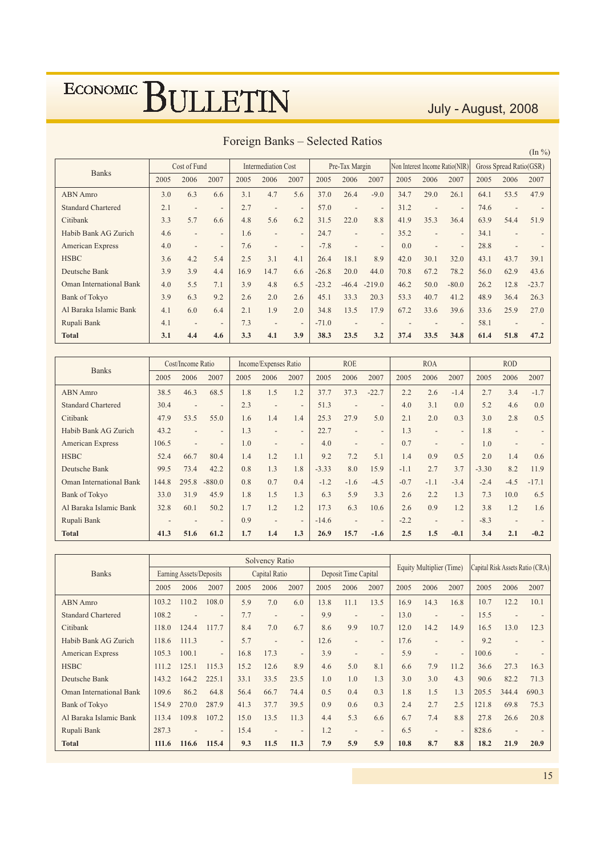### July - August, 2008

| <b>Banks</b>                   |      | Cost of Fund             |                          |      | <b>Intermediation Cost</b> |                          |         | Pre-Tax Margin           |                          | Non Interest Income Ratio(NIR) |                |                          |      | Gross Spread Ratio(GSR) |         |
|--------------------------------|------|--------------------------|--------------------------|------|----------------------------|--------------------------|---------|--------------------------|--------------------------|--------------------------------|----------------|--------------------------|------|-------------------------|---------|
|                                | 2005 | 2006                     | 2007                     | 2005 | 2006                       | 2007                     | 2005    | 2006                     | 2007                     | 2005                           | 2006           | 2007                     | 2005 | 2006                    | 2007    |
| <b>ABN</b> Amro                | 3.0  | 6.3                      | 6.6                      | 3.1  | 4.7                        | 5.6                      | 37.0    | 26.4                     | $-9.0$                   | 34.7                           | 29.0           | 26.1                     | 64.1 | 53.5                    | 47.9    |
| <b>Standard Chartered</b>      | 2.1  | $\overline{\phantom{a}}$ |                          | 2.7  | ٠                          | $\overline{\phantom{a}}$ | 57.0    | $\overline{\phantom{a}}$ | $\overline{\phantom{a}}$ | 31.2                           |                | $\overline{\phantom{a}}$ | 74.6 |                         |         |
| Citibank                       | 3.3  | 5.7                      | 6.6                      | 4.8  | 5.6                        | 6.2                      | 31.5    | 22.0                     | 8.8                      | 41.9                           | 35.3           | 36.4                     | 63.9 | 54.4                    | 51.9    |
| Habib Bank AG Zurich           | 4.6  | $\overline{\phantom{a}}$ | $\overline{\phantom{0}}$ | 1.6  | $\overline{\phantom{0}}$   | $\overline{\phantom{0}}$ | 24.7    | $\overline{\phantom{a}}$ | $\overline{\phantom{a}}$ | 35.2                           | $\overline{a}$ | $\overline{\phantom{a}}$ | 34.1 | $\overline{a}$          |         |
| <b>American Express</b>        | 4.0  | $\overline{\phantom{a}}$ | $\overline{\phantom{0}}$ | 7.6  | ۰                          | $\overline{a}$           | $-7.8$  |                          | $\overline{\phantom{0}}$ | 0.0                            | $\overline{a}$ | $\overline{\phantom{a}}$ | 28.8 | $\qquad \qquad$         |         |
| <b>HSBC</b>                    | 3.6  | 4.2                      | 5.4                      | 2.5  | 3.1                        | 4.1                      | 26.4    | 18.1                     | 8.9                      | 42.0                           | 30.1           | 32.0                     | 43.1 | 43.7                    | 39.1    |
| Deutsche Bank                  | 3.9  | 3.9                      | 4.4                      | 16.9 | 14.7                       | 6.6                      | $-26.8$ | 20.0                     | 44.0                     | 70.8                           | 67.2           | 78.2                     | 56.0 | 62.9                    | 43.6    |
| <b>Oman International Bank</b> | 4.0  | 5.5                      | 7.1                      | 3.9  | 4.8                        | 6.5                      | $-23.2$ | $-46.4$                  | $-219.0$                 | 46.2                           | 50.0           | $-80.0$                  | 26.2 | 12.8                    | $-23.7$ |
| <b>Bank of Tokyo</b>           | 3.9  | 6.3                      | 9.2                      | 2.6  | 2.0                        | 2.6                      | 45.1    | 33.3                     | 20.3                     | 53.3                           | 40.7           | 41.2                     | 48.9 | 36.4                    | 26.3    |
| Al Baraka Islamic Bank         | 4.1  | 6.0                      | 6.4                      | 2.1  | 1.9                        | 2.0                      | 34.8    | 13.5                     | 17.9                     | 67.2                           | 33.6           | 39.6                     | 33.6 | 25.9                    | 27.0    |
| Rupali Bank                    | 4.1  | $\overline{\phantom{a}}$ | $\overline{\phantom{a}}$ | 7.3  | $\overline{\phantom{a}}$   | $\overline{\phantom{a}}$ | $-71.0$ |                          | $\overline{\phantom{a}}$ |                                |                | $\overline{\phantom{a}}$ | 58.1 | $\overline{a}$          |         |
| <b>Total</b>                   | 3.1  | 4.4                      | 4.6                      | 3.3  | 4.1                        | 3.9                      | 38.3    | 23.5                     | 3.2                      | 37.4                           | 33.5           | 34.8                     | 61.4 | 51.8                    | 47.2    |

### Foreign Banks - Selected Ratios

| <b>Banks</b>                   |       | Cost/Income Ratio        |                          |      | Income/Expenses Ratio    |                          |         | <b>ROE</b>               |                          |        | <b>ROA</b>               |                          |         | <b>ROD</b>     |         |
|--------------------------------|-------|--------------------------|--------------------------|------|--------------------------|--------------------------|---------|--------------------------|--------------------------|--------|--------------------------|--------------------------|---------|----------------|---------|
|                                | 2005  | 2006                     | 2007                     | 2005 | 2006                     | 2007                     | 2005    | 2006                     | 2007                     | 2005   | 2006                     | 2007                     | 2005    | 2006           | 2007    |
| <b>ABN</b> Amro                | 38.5  | 46.3                     | 68.5                     | 1.8  | 1.5                      | 1.2                      | 37.7    | 37.3                     | $-22.7$                  | 2.2    | 2.6                      | $-1.4$                   | 2.7     | 3.4            | $-1.7$  |
| <b>Standard Chartered</b>      | 30.4  | $\overline{\phantom{a}}$ | $\overline{\phantom{a}}$ | 2.3  | $\overline{\phantom{a}}$ | $\overline{\phantom{a}}$ | 51.3    |                          | $\overline{\phantom{a}}$ | 4.0    | 3.1                      | 0.0                      | 5.2     | 4.6            | 0.0     |
| Citibank                       | 47.9  | 53.5                     | 55.0                     | 1.6  | 1.4                      | 1.4                      | 25.3    | 27.9                     | 5.0                      | 2.1    | 2.0                      | 0.3                      | 3.0     | 2.8            | 0.5     |
| Habib Bank AG Zurich           | 43.2  |                          | $\overline{\phantom{0}}$ | 1.3  | $\overline{\phantom{0}}$ | $\overline{\phantom{0}}$ | 22.7    | $\overline{\phantom{a}}$ | $\overline{\phantom{a}}$ | 1.3    | $\overline{\phantom{a}}$ | $\overline{\phantom{a}}$ | 1.8     | $\overline{a}$ |         |
| American Express               | 106.5 |                          | $\overline{\phantom{a}}$ | 1.0  | $\overline{a}$           | $\overline{\phantom{a}}$ | 4.0     |                          | $\overline{\phantom{a}}$ | 0.7    |                          | $\overline{\phantom{a}}$ | 1.0     | $\overline{a}$ |         |
| <b>HSBC</b>                    | 52.4  | 66.7                     | 80.4                     | 1.4  | 1.2                      | 1.1                      | 9.2     | 7.2                      | 5.1                      | 1.4    | 0.9                      | 0.5                      | 2.0     | 1.4            | 0.6     |
| Deutsche Bank                  | 99.5  | 73.4                     | 42.2                     | 0.8  | 1.3                      | 1.8                      | $-3.33$ | 8.0                      | 15.9                     | $-1.1$ | 2.7                      | 3.7                      | $-3.30$ | 8.2            | 11.9    |
| <b>Oman International Bank</b> | 144.8 | 295.8                    | $-880.0$                 | 0.8  | 0.7                      | 0.4                      | $-1.2$  | $-1.6$                   | $-4.5$                   | $-0.7$ | $-1.1$                   | $-3.4$                   | $-2.4$  | $-4.5$         | $-17.1$ |
| <b>Bank of Tokyo</b>           | 33.0  | 31.9                     | 45.9                     | 1.8  | 1.5                      | 1.3                      | 6.3     | 5.9                      | 3.3                      | 2.6    | 2.2                      | 1.3                      | 7.3     | 10.0           | 6.5     |
| Al Baraka Islamic Bank         | 32.8  | 60.1                     | 50.2                     | 1.7  | 1.2                      | 1.2                      | 17.3    | 6.3                      | 10.6                     | 2.6    | 0.9                      | 1.2                      | 3.8     | 1.2            | 1.6     |
| Rupali Bank                    |       |                          | $\overline{\phantom{0}}$ | 0.9  | ۰                        | $\overline{a}$           | $-14.6$ |                          | $\overline{\phantom{a}}$ | $-2.2$ |                          | $\overline{\phantom{a}}$ | $-8.3$  |                |         |
| <b>Total</b>                   | 41.3  | 51.6                     | 61.2                     | 1.7  | 1.4                      | 1.3                      | 26.9    | 15.7                     | $-1.6$                   | 2.5    | 1.5                      | $-0.1$                   | 3.4     | 2.1            | $-0.2$  |

|                                |       |                         |                          |      | <b>Solvency Ratio</b> |                          |      |                          |                              |      |                          |                          |       |                |                                 |
|--------------------------------|-------|-------------------------|--------------------------|------|-----------------------|--------------------------|------|--------------------------|------------------------------|------|--------------------------|--------------------------|-------|----------------|---------------------------------|
| <b>Banks</b>                   |       | Earning Assets/Deposits |                          |      | Capital Ratio         |                          |      | Deposit Time Capital     |                              |      | Equity Multiplier (Time) |                          |       |                | Capital Risk Assets Ratio (CRA) |
|                                | 2005  | 2006                    | 2007                     | 2005 | 2006                  | 2007                     | 2005 | 2006                     | 2007                         | 2005 | 2006                     | 2007                     | 2005  | 2006           | 2007                            |
| <b>ABN</b> Amro                | 103.2 | 110.2                   | 108.0                    | 5.9  | 7.0                   | 6.0                      | 13.8 | 11.1                     | 13.5                         | 16.9 | 14.3                     | 16.8                     | 10.7  | 12.2           | 10.1                            |
| <b>Standard Chartered</b>      | 108.2 |                         |                          | 7.7  |                       | $\overline{\phantom{a}}$ | 9.9  |                          | $\overline{a}$               | 13.0 |                          | $\overline{\phantom{a}}$ | 15.5  |                |                                 |
| Citibank                       | 118.0 | 124.4                   | 117.7                    | 8.4  | 7.0                   | 6.7                      | 8.6  | 9.9                      | 10.7                         | 12.0 | 14.2                     | 14.9                     | 16.5  | 13.0           | 12.3                            |
| Habib Bank AG Zurich           | 118.6 | 111.3                   | $\overline{\phantom{0}}$ | 5.7  |                       | $\overline{\phantom{a}}$ | 12.6 | $\overline{\phantom{0}}$ | $\qquad \qquad \blacksquare$ | 17.6 | $\overline{\phantom{a}}$ | $\overline{\phantom{a}}$ | 9.2   | $\overline{a}$ |                                 |
| <b>American Express</b>        | 105.3 | 100.1                   | $\overline{\phantom{0}}$ | 16.8 | 17.3                  | $\overline{\phantom{0}}$ | 3.9  | $\overline{\phantom{a}}$ | $\qquad \qquad$              | 5.9  | $\overline{\phantom{a}}$ | $\overline{\phantom{a}}$ | 100.6 | ٠              |                                 |
| <b>HSBC</b>                    | 111.2 | 125.1                   | 115.3                    | 15.2 | 12.6                  | 8.9                      | 4.6  | 5.0                      | 8.1                          | 6.6  | 7.9                      | 11.2                     | 36.6  | 27.3           | 16.3                            |
| Deutsche Bank                  | 143.2 | 164.2                   | 225.1                    | 33.1 | 33.5                  | 23.5                     | 1.0  | 1.0                      | 1.3                          | 3.0  | 3.0                      | 4.3                      | 90.6  | 82.2           | 71.3                            |
| <b>Oman International Bank</b> | 109.6 | 86.2                    | 64.8                     | 56.4 | 66.7                  | 74.4                     | 0.5  | 0.4                      | 0.3                          | 1.8  | 1.5                      | 1.3                      | 205.5 | 344.4          | 690.3                           |
| <b>Bank of Tokyo</b>           | 154.9 | 270.0                   | 287.9                    | 41.3 | 37.7                  | 39.5                     | 0.9  | 0.6                      | 0.3                          | 2.4  | 2.7                      | 2.5                      | 121.8 | 69.8           | 75.3                            |
| Al Baraka Islamic Bank         | 113.4 | 109.8                   | 107.2                    | 15.0 | 13.5                  | 11.3                     | 4.4  | 5.3                      | 6.6                          | 6.7  | 7.4                      | 8.8                      | 27.8  | 26.6           | 20.8                            |
| Rupali Bank                    | 287.3 |                         |                          | 15.4 |                       | $\overline{\phantom{0}}$ | 1.2  |                          | $\overline{\phantom{a}}$     | 6.5  |                          | $\overline{\phantom{a}}$ | 828.6 |                |                                 |
| <b>Total</b>                   | 111.6 | 116.6                   | 115.4                    | 9.3  | 11.5                  | 11.3                     | 7.9  | 5.9                      | 5.9                          | 10.8 | 8.7                      | 8.8                      | 18.2  | 21.9           | 20.9                            |

 $(\text{In } \% )$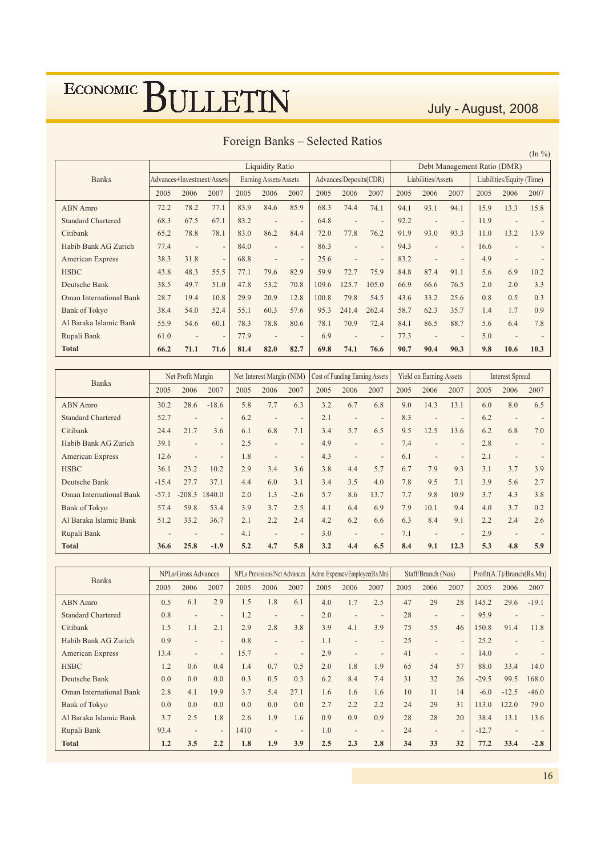### July - August, 2008

|                                |      |                            |                          |      |                          |                          |       |                          |                          |      |                          |                          |                             |                           | $(\ln \frac{9}{6})$      |
|--------------------------------|------|----------------------------|--------------------------|------|--------------------------|--------------------------|-------|--------------------------|--------------------------|------|--------------------------|--------------------------|-----------------------------|---------------------------|--------------------------|
|                                |      |                            |                          |      | <b>Liquidity Ratio</b>   |                          |       |                          |                          |      |                          |                          | Debt Management Ratio (DMR) |                           |                          |
| <b>Banks</b>                   |      | Advances+Investment/Assets |                          |      | Earning Assets/Assets    |                          |       | Advances/Deposits(CDR)   |                          |      | Liabilities/Assets       |                          |                             | Liabilities/Equity (Time) |                          |
|                                | 2005 | 2006                       | 2007                     | 2005 | 2006                     | 2007                     | 2005  | 2006                     | 2007                     | 2005 | 2006                     | 2007                     | 2005                        | 2006                      | 2007                     |
| <b>ABN</b> Amro                | 72.2 | 78.2                       | 77.1                     | 83.9 | 84.6                     | 85.9                     | 68.3  | 74.4                     | 74.1                     | 94.1 | 93.1                     | 94.1                     | 15.9                        | 13.3                      | 15.8                     |
| <b>Standard Chartered</b>      | 68.3 | 67.5                       | 67.1                     | 83.2 | $\overline{\phantom{a}}$ | $\overline{\phantom{a}}$ | 64.8  |                          | $\overline{\phantom{a}}$ | 92.2 | $\overline{\phantom{0}}$ | $\overline{\phantom{a}}$ | 11.9                        |                           |                          |
| Citibank                       | 65.2 | 78.8                       | 78.1                     | 83.0 | 86.2                     | 84.4                     | 72.0  | 77.8                     | 76.2                     | 91.9 | 93.0                     | 93.3                     | 11.0                        | 13.2                      | 13.9                     |
| Habib Bank AG Zurich           | 77.4 | $\qquad \qquad$            | $\overline{\phantom{a}}$ | 84.0 | $\qquad \qquad$          | $\qquad \qquad$          | 86.3  | $\overline{\phantom{a}}$ | $\overline{\phantom{a}}$ | 94.3 | $\overline{a}$           | $\overline{\phantom{a}}$ | 16.6                        | $\overline{a}$            | $\qquad \qquad$          |
| <b>American Express</b>        | 38.3 | 31.8                       | $\overline{\phantom{a}}$ | 68.8 | $\qquad \qquad$          | $\overline{\phantom{a}}$ | 25.6  | $\overline{\phantom{a}}$ | $\overline{\phantom{0}}$ | 83.2 | $\overline{\phantom{0}}$ | $\overline{\phantom{a}}$ | 4.9                         |                           | $\overline{\phantom{a}}$ |
| <b>HSBC</b>                    | 43.8 | 48.3                       | 55.5                     | 77.1 | 79.6                     | 82.9                     | 59.9  | 72.7                     | 75.9                     | 84.8 | 87.4                     | 91.1                     | 5.6                         | 6.9                       | 10.2                     |
| Deutsche Bank                  | 38.5 | 49.7                       | 51.0                     | 47.8 | 53.2                     | 70.8                     | 109.6 | 125.7                    | 105.0                    | 66.9 | 66.6                     | 76.5                     | 2.0                         | 2.0                       | 3.3                      |
| <b>Oman International Bank</b> | 28.7 | 19.4                       | 10.8                     | 29.9 | 20.9                     | 12.8                     | 100.8 | 79.8                     | 54.5                     | 43.6 | 33.2                     | 25.6                     | 0.8                         | 0.5                       | 0.3                      |
| <b>Bank of Tokyo</b>           | 38.4 | 54.0                       | 52.4                     | 55.1 | 60.3                     | 57.6                     | 95.3  | 241.4                    | 262.4                    | 58.7 | 62.3                     | 35.7                     | 1.4                         | 1.7                       | 0.9                      |
| Al Baraka Islamic Bank         | 55.9 | 54.6                       | 60.1                     | 78.3 | 78.8                     | 80.6                     | 78.1  | 70.9                     | 72.4                     | 84.1 | 86.5                     | 88.7                     | 5.6                         | 6.4                       | 7.8                      |
| Rupali Bank                    | 61.0 |                            | $\overline{\phantom{a}}$ | 77.9 |                          | $\overline{\phantom{a}}$ | 6.9   |                          | $\overline{\phantom{a}}$ | 77.3 | $\overline{\phantom{0}}$ | $\overline{\phantom{a}}$ | 5.0                         |                           |                          |
| <b>Total</b>                   | 66.2 | 71.1                       | 71.6                     | 81.4 | 82.0                     | 82.7                     | 69.8  | 74.1                     | 76.6                     | 90.7 | 90.4                     | 90.3                     | 9.8                         | 10.6                      | 10.3                     |

### Foreign Banks - Selected Ratios

| <b>Banks</b>                   |         | Net Profit Margin        |                          |      | Net Interest Margin (NIM) |                          | Cost of Funding Earning Assets |                          |                              |      | <b>Yield on Earning Assets</b> |                          |      | <b>Interest Spread</b>   |      |
|--------------------------------|---------|--------------------------|--------------------------|------|---------------------------|--------------------------|--------------------------------|--------------------------|------------------------------|------|--------------------------------|--------------------------|------|--------------------------|------|
|                                | 2005    | 2006                     | 2007                     | 2005 | 2006                      | 2007                     | 2005                           | 2006                     | 2007                         | 2005 | 2006                           | 2007                     | 2005 | 2006                     | 2007 |
| <b>ABN</b> Amro                | 30.2    | 28.6                     | $-18.6$                  | 5.8  | 7.7                       | 6.3                      | 3.2                            | 6.7                      | 6.8                          | 9.0  | 14.3                           | 13.1                     | 6.0  | 8.0                      | 6.5  |
| <b>Standard Chartered</b>      | 52.7    | $\overline{\phantom{a}}$ | $\overline{\phantom{a}}$ | 6.2  | ٠                         | $\overline{\phantom{a}}$ | 2.1                            | $\overline{\phantom{0}}$ | $\overline{\phantom{a}}$     | 8.3  |                                | $\overline{\phantom{0}}$ | 6.2  |                          |      |
| Citibank                       | 24.4    | 21.7                     | 3.6                      | 6.1  | 6.8                       | 7.1                      | 3.4                            | 5.7                      | 6.5                          | 9.5  | 12.5                           | 13.6                     | 6.2  | 6.8                      | 7.0  |
| Habib Bank AG Zurich           | 39.1    | $\overline{\phantom{a}}$ | $\overline{\phantom{0}}$ | 2.5  | $\overline{a}$            | $\overline{\phantom{a}}$ | 4.9                            | $\overline{\phantom{0}}$ | $\overline{\phantom{0}}$     | 7.4  | $\overline{\phantom{0}}$       | $\overline{\phantom{0}}$ | 2.8  | $\overline{a}$           |      |
| American Express               | 12.6    |                          | $\overline{\phantom{a}}$ | 1.8  | ٠                         | $\overline{\phantom{a}}$ | 4.3                            | ٠                        | $\qquad \qquad \blacksquare$ | 6.1  | $\overline{\phantom{a}}$       | $\overline{\phantom{0}}$ | 2.1  | $\overline{a}$           |      |
| <b>HSBC</b>                    | 36.1    | 23.2                     | 10.2                     | 2.9  | 3.4                       | 3.6                      | 3.8                            | 4.4                      | 5.7                          | 6.7  | 7.9                            | 9.3                      | 3.1  | 3.7                      | 3.9  |
| Deutsche Bank                  | $-15.4$ | 27.7                     | 37.1                     | 4.4  | 6.0                       | 3.1                      | 3.4                            | 3.5                      | 4.0                          | 7.8  | 9.5                            | 7.1                      | 3.9  | 5.6                      | 2.7  |
| <b>Oman International Bank</b> | $-57.1$ | $-208.3$                 | 1840.0                   | 2.0  | 1.3                       | $-2.6$                   | 5.7                            | 8.6                      | 13.7                         | 7.7  | 9.8                            | 10.9                     | 3.7  | 4.3                      | 3.8  |
| <b>Bank of Tokyo</b>           | 57.4    | 59.8                     | 53.4                     | 3.9  | 3.7                       | 2.5                      | 4.1                            | 6.4                      | 6.9                          | 7.9  | 10.1                           | 9.4                      | 4.0  | 3.7                      | 0.2  |
| Al Baraka Islamic Bank         | 51.2    | 33.2                     | 36.7                     | 2.1  | 2.2                       | 2.4                      | 4.2                            | 6.2                      | 6.6                          | 6.3  | 8.4                            | 9.1                      | 2.2  | 2.4                      | 2.6  |
| Rupali Bank                    |         |                          | $\overline{\phantom{0}}$ | 4.1  | $\overline{a}$            | $\overline{\phantom{a}}$ | 3.0                            | $\overline{\phantom{0}}$ | $\overline{\phantom{a}}$     | 7.1  | $\overline{\phantom{0}}$       | $\overline{\phantom{0}}$ | 2.9  | $\overline{\phantom{0}}$ |      |
| <b>Total</b>                   | 36.6    | 25.8                     | $-1.9$                   | 5.2  | 4.7                       | 5.8                      | 3.2                            | 4.4                      | 6.5                          | 8.4  | 9.1                            | 12.3                     | 5.3  | 4.8                      | 5.9  |

| <b>Banks</b>                   |      | NPLs/Gross Advances      |                          |      | <b>NPLs Provisions/Net Advances</b> |                          |      |                          | Admn Expenses/Employee(Rs.Mn) |      | Staff/Branch (Nos)       |                          |         | Profit(A.T)/Branch(Rs.Mn) |         |
|--------------------------------|------|--------------------------|--------------------------|------|-------------------------------------|--------------------------|------|--------------------------|-------------------------------|------|--------------------------|--------------------------|---------|---------------------------|---------|
|                                | 2005 | 2006                     | 2007                     | 2005 | 2006                                | 2007                     | 2005 | 2006                     | 2007                          | 2005 | 2006                     | 2007                     | 2005    | 2006                      | 2007    |
| <b>ABN</b> Amro                | 0.5  | 6.1                      | 2.9                      | 1.5  | 1.8                                 | 6.1                      | 4.0  | 1.7                      | 2.5                           | 47   | 29                       | 28                       | 145.2   | 29.6                      | $-19.1$ |
| <b>Standard Chartered</b>      | 0.8  | $\overline{\phantom{0}}$ | $\overline{\phantom{0}}$ | 1.2  |                                     | $\overline{\phantom{0}}$ | 2.0  | $\overline{\phantom{a}}$ | $\overline{\phantom{0}}$      | 28   | $\overline{\phantom{a}}$ | $\overline{\phantom{0}}$ | 95.9    |                           |         |
| Citibank                       | 1.5  | 1.1                      | 2.1                      | 2.9  | 2.8                                 | 3.8                      | 3.9  | 4.1                      | 3.9                           | 75   | 55                       | 46                       | 150.8   | 91.4                      | 11.8    |
| Habib Bank AG Zurich           | 0.9  |                          | $\overline{\phantom{0}}$ | 0.8  | $\overline{\phantom{0}}$            | $\overline{\phantom{0}}$ | 1.1  | $\overline{\phantom{0}}$ | $\overline{a}$                | 25   | $\overline{a}$           | $\overline{\phantom{0}}$ | 25.2    |                           |         |
| <b>American Express</b>        | 13.4 | $\overline{\phantom{a}}$ | $\overline{\phantom{0}}$ | 15.7 | $\overline{\phantom{a}}$            | $\overline{\phantom{0}}$ | 2.9  | $\overline{\phantom{0}}$ | $\overline{\phantom{0}}$      | 41   | $\overline{\phantom{a}}$ | $\overline{\phantom{a}}$ | 14.0    |                           |         |
| <b>HSBC</b>                    | 1.2  | 0.6                      | 0.4                      | 1.4  | 0.7                                 | 0.5                      | 2.0  | 1.8                      | 1.9                           | 65   | 54                       | 57                       | 88.0    | 33.4                      | 14.0    |
| Deutsche Bank                  | 0.0  | 0.0                      | 0.0                      | 0.3  | 0.5                                 | 0.3                      | 6.2  | 8.4                      | 7.4                           | 31   | 32                       | 26                       | $-29.5$ | 99.5                      | 168.0   |
| <b>Oman International Bank</b> | 2.8  | 4.1                      | 19.9                     | 3.7  | 5.4                                 | 27.1                     | 1.6  | 1.6                      | 1.6                           | 10   | 11                       | 14                       | $-6.0$  | $-12.5$                   | $-46.0$ |
| <b>Bank of Tokyo</b>           | 0.0  | 0.0                      | 0.0                      | 0.0  | 0.0                                 | 0.0                      | 2.7  | 2.2                      | 2.2                           | 24   | 29                       | 31                       | 113.0   | 122.0                     | 79.0    |
| Al Baraka Islamic Bank         | 3.7  | 2.5                      | 1.8                      | 2.6  | 1.9                                 | 1.6                      | 0.9  | 0.9                      | 0.9                           | 28   | 28                       | 20                       | 38.4    | 13.1                      | 13.6    |
| Rupali Bank                    | 93.4 | $\overline{\phantom{a}}$ | $\overline{\phantom{0}}$ | 1410 |                                     | $\overline{\phantom{0}}$ | 1.0  | $\overline{\phantom{0}}$ | $\overline{\phantom{0}}$      | 24   | $\overline{\phantom{a}}$ | $\overline{\phantom{a}}$ | $-12.7$ |                           |         |
| <b>Total</b>                   | 1.2  | 3.5                      | 2.2                      | 1.8  | 1.9                                 | 3.9                      | 2.5  | 2.3                      | 2.8                           | 34   | 33                       | 32                       | 77.2    | 33.4                      | $-2.8$  |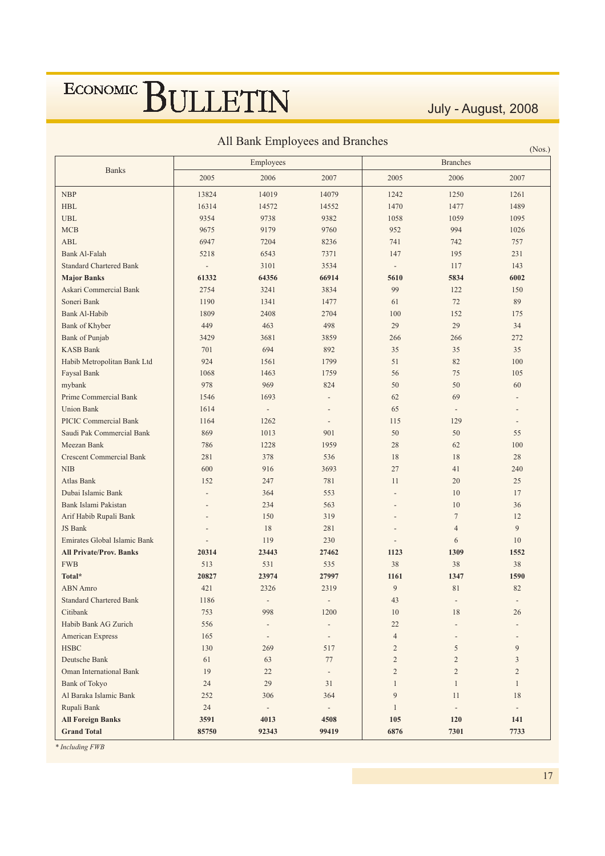July - August, 2008

| All Bank Employees and Branches |  |  |
|---------------------------------|--|--|
|                                 |  |  |

|                                 |                          | The Bank Employ cos and Branches |                          |                          |                          | (Nos.)                   |
|---------------------------------|--------------------------|----------------------------------|--------------------------|--------------------------|--------------------------|--------------------------|
|                                 |                          | Employees                        |                          |                          | <b>Branches</b>          |                          |
| <b>Banks</b>                    | 2005                     | 2006                             | 2007                     | 2005                     | 2006                     | 2007                     |
| <b>NBP</b>                      | 13824                    | 14019                            | 14079                    | 1242                     | 1250                     | 1261                     |
| <b>HBL</b>                      | 16314                    | 14572                            | 14552                    | 1470                     | 1477                     | 1489                     |
| <b>UBL</b>                      | 9354                     | 9738                             | 9382                     | 1058                     | 1059                     | 1095                     |
| <b>MCB</b>                      | 9675                     | 9179                             | 9760                     | 952                      | 994                      | 1026                     |
| <b>ABL</b>                      | 6947                     | 7204                             | 8236                     | 741                      | 742                      | 757                      |
| Bank Al-Falah                   | 5218                     | 6543                             | 7371                     | 147                      | 195                      | 231                      |
| <b>Standard Chartered Bank</b>  | $\overline{\phantom{a}}$ | 3101                             | 3534                     | $\overline{\phantom{a}}$ | 117                      | 143                      |
| <b>Major Banks</b>              | 61332                    | 64356                            | 66914                    | 5610                     | 5834                     | 6002                     |
| Askari Commercial Bank          | 2754                     | 3241                             | 3834                     | 99                       | 122                      | 150                      |
| Soneri Bank                     | 1190                     | 1341                             | 1477                     | 61                       | 72                       | 89                       |
| Bank Al-Habib                   | 1809                     | 2408                             | 2704                     | 100                      | 152                      | 175                      |
| Bank of Khyber                  | 449                      | 463                              | 498                      | 29                       | 29                       | 34                       |
| <b>Bank of Punjab</b>           | 3429                     | 3681                             | 3859                     | 266                      | 266                      | 272                      |
| <b>KASB Bank</b>                | 701                      | 694                              | 892                      | 35                       | 35                       | 35                       |
| Habib Metropolitan Bank Ltd     | 924                      | 1561                             | 1799                     | 51                       | 82                       | 100                      |
| Faysal Bank                     | 1068                     | 1463                             | 1759                     | 56                       | 75                       | 105                      |
| mybank                          | 978                      | 969                              | 824                      | 50                       | 50                       | 60                       |
| Prime Commercial Bank           | 1546                     | 1693                             | $\overline{\phantom{a}}$ | 62                       | 69                       |                          |
| <b>Union Bank</b>               | 1614                     | $\overline{\phantom{a}}$         | $\overline{\phantom{a}}$ | 65                       | $\overline{\phantom{a}}$ | $\overline{\phantom{a}}$ |
| <b>PICIC Commercial Bank</b>    | 1164                     | 1262                             | $\overline{\phantom{a}}$ | 115                      | 129                      | $\overline{\phantom{a}}$ |
| Saudi Pak Commercial Bank       | 869                      | 1013                             | 901                      | 50                       | 50                       | 55                       |
| Meezan Bank                     | 786                      | 1228                             | 1959                     | 28                       | 62                       | 100                      |
| <b>Crescent Commercial Bank</b> | 281                      | 378                              | 536                      | 18                       | 18                       | 28                       |
| <b>NIB</b>                      | 600                      | 916                              | 3693                     | 27                       | 41                       | 240                      |
| Atlas Bank                      | 152                      | 247                              | 781                      | 11                       | 20                       | 25                       |
| Dubai Islamic Bank              |                          | 364                              | 553                      |                          | 10                       | 17                       |
| Bank Islami Pakistan            |                          | 234                              | 563                      |                          | 10                       | 36                       |
| Arif Habib Rupali Bank          |                          | 150                              | 319                      |                          | $\overline{7}$           | 12                       |
| JS Bank                         |                          | 18                               | 281                      |                          | $\overline{4}$           | 9                        |
| Emirates Global Islamic Bank    |                          | 119                              | 230                      |                          | 6                        | 10                       |
| <b>All Private/Prov. Banks</b>  | 20314                    | 23443                            | 27462                    | 1123                     | 1309                     | 1552                     |
| <b>FWB</b>                      | 513                      | 531                              | 535                      | 38                       | 38                       | 38                       |
| Total*                          | 20827                    | 23974                            | 27997                    | 1161                     | 1347                     | 1590                     |
| <b>ABN</b> Amro                 | 421                      | 2326                             | 2319                     | 9                        | 81                       | 82                       |
| <b>Standard Chartered Bank</b>  | 1186                     |                                  |                          | $43\,$                   |                          |                          |
| Citibank                        | 753                      | 998                              | 1200                     | 10                       | 18                       | 26                       |
| Habib Bank AG Zurich            | 556                      |                                  |                          | $22\,$                   |                          |                          |
| American Express                | 165                      | $\overline{a}$                   | $\overline{\phantom{a}}$ | $\sqrt{4}$               |                          |                          |
| <b>HSBC</b>                     | 130                      | 269                              | 517                      | $\mathbf{2}$             | 5                        | 9                        |
| Deutsche Bank                   | 61                       | 63                               | $77\,$                   | $\overline{c}$           | $\overline{c}$           | 3                        |
| <b>Oman International Bank</b>  | 19                       | 22                               | $\overline{\phantom{a}}$ | $\overline{c}$           | $\overline{c}$           | $\overline{2}$           |
| <b>Bank of Tokyo</b>            | 24                       | 29                               | 31                       | $\mathbf{1}$             | $\mathbf{1}$             | $\mathbf{1}$             |
| Al Baraka Islamic Bank          | 252                      | 306                              | 364                      | 9                        | 11                       | 18                       |
| Rupali Bank                     | 24                       |                                  | $\overline{\phantom{a}}$ | $\mathbf{1}$             | $\overline{\phantom{a}}$ | $\overline{\phantom{a}}$ |
| <b>All Foreign Banks</b>        | 3591                     | 4013                             | 4508                     | 105                      | 120                      | 141                      |
| <b>Grand Total</b>              | 85750                    | 92343                            | 99419                    | 6876                     | 7301                     | 7733                     |

\* Including FWB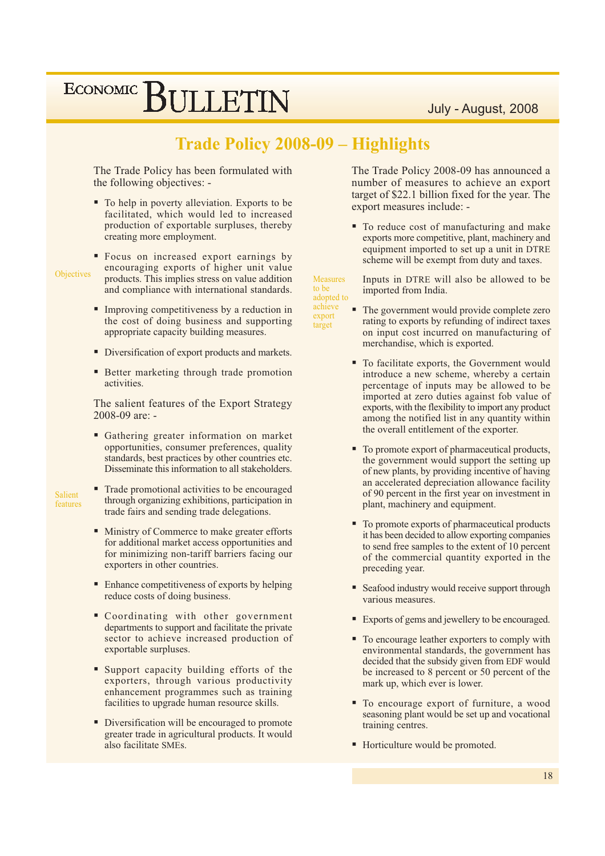### **Trade Policy 2008-09 - Highlights**

The Trade Policy has been formulated with the following objectives: -

• To help in poverty alleviation. Exports to be facilitated, which would led to increased production of exportable surpluses, thereby creating more employment.

Objectives

- Focus on increased export earnings by encouraging exports of higher unit value products. This implies stress on value addition and compliance with international standards.
- Improving competitiveness by a reduction in the cost of doing business and supporting appropriate capacity building measures.
- Diversification of export products and markets.
- Better marketing through trade promotion activities.

The salient features of the Export Strategy 2008-09 are: -

• Gathering greater information on market opportunities, consumer preferences, quality standards, best practices by other countries etc. Disseminate this information to all stakeholders.

Salient features

- Trade promotional activities to be encouraged through organizing exhibitions, participation in trade fairs and sending trade delegations.
- Ministry of Commerce to make greater efforts for additional market access opportunities and for minimizing non-tariff barriers facing our exporters in other countries.
- Enhance competitiveness of exports by helping ٠ reduce costs of doing business.
- Coordinating with other government departments to support and facilitate the private sector to achieve increased production of exportable surpluses.
- Support capacity building efforts of the exporters, through various productivity enhancement programmes such as training facilities to upgrade human resource skills.
- Diversification will be encouraged to promote greater trade in agricultural products. It would also facilitate SMEs.

The Trade Policy 2008-09 has announced a number of measures to achieve an export target of \$22.1 billion fixed for the year. The export measures include: -

• To reduce cost of manufacturing and make exports more competitive, plant, machinery and equipment imported to set up a unit in DTRE scheme will be exempt from duty and taxes.

Inputs in DTRE will also be allowed to be imported from India.

adopted to achieve export target

**Measures** 

to be

- ٠ The government would provide complete zero rating to exports by refunding of indirect taxes on input cost incurred on manufacturing of merchandise, which is exported.
- To facilitate exports, the Government would introduce a new scheme, whereby a certain percentage of inputs may be allowed to be imported at zero duties against fob value of exports, with the flexibility to import any product among the notified list in any quantity within the overall entitlement of the exporter.
- " To promote export of pharmaceutical products, the government would support the setting up of new plants, by providing incentive of having an accelerated depreciation allowance facility of 90 percent in the first year on investment in plant, machinery and equipment.
- To promote exports of pharmaceutical products it has been decided to allow exporting companies to send free samples to the extent of 10 percent of the commercial quantity exported in the preceding year.
- Seafood industry would receive support through various measures.
- Exports of gems and jewellery to be encouraged.
- To encourage leather exporters to comply with environmental standards, the government has decided that the subsidy given from EDF would be increased to 8 percent or 50 percent of the mark up, which ever is lower.
- To encourage export of furniture, a wood seasoning plant would be set up and vocational training centres.
- Horticulture would be promoted.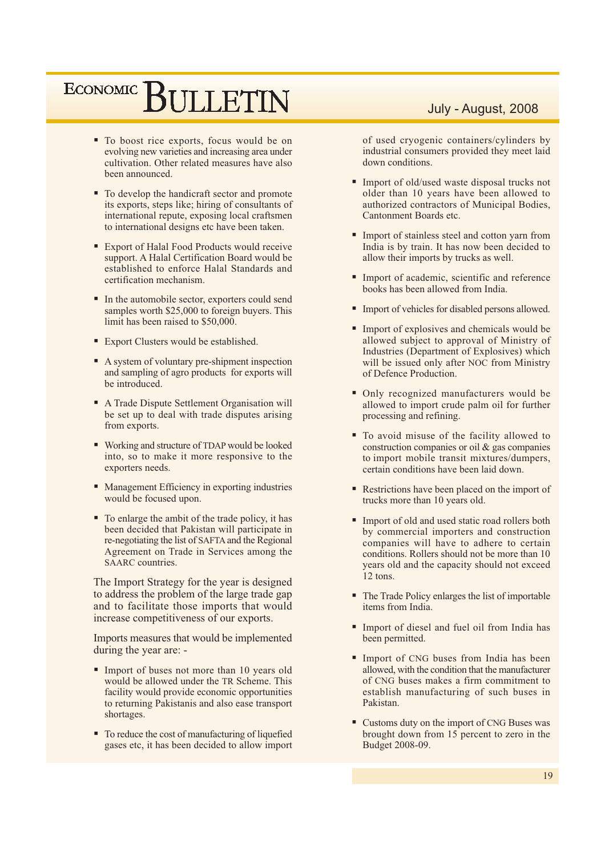## ECONOMIC BIJLETIN

- To boost rice exports, focus would be on evolving new varieties and increasing area under cultivation. Other related measures have also been announced.
- To develop the handicraft sector and promote its exports, steps like; hiring of consultants of international repute, exposing local craftsmen to international designs etc have been taken.
- Export of Halal Food Products would receive support. A Halal Certification Board would be established to enforce Halal Standards and certification mechanism.
- In the automobile sector, exporters could send samples worth \$25,000 to foreign buyers. This limit has been raised to \$50,000.
- Export Clusters would be established.
- A system of voluntary pre-shipment inspection and sampling of agro products for exports will be introduced.
- A Trade Dispute Settlement Organisation will be set up to deal with trade disputes arising from exports.
- Working and structure of TDAP would be looked into, so to make it more responsive to the exporters needs.
- Management Efficiency in exporting industries would be focused upon.
- To enlarge the ambit of the trade policy, it has been decided that Pakistan will participate in re-negotiating the list of SAFTA and the Regional Agreement on Trade in Services among the SAARC countries.

The Import Strategy for the year is designed to address the problem of the large trade gap and to facilitate those imports that would increase competitiveness of our exports.

Imports measures that would be implemented during the year are: -

- Import of buses not more than 10 years old would be allowed under the TR Scheme. This facility would provide economic opportunities to returning Pakistanis and also ease transport shortages.
- To reduce the cost of manufacturing of liquefied gases etc, it has been decided to allow import

### July - August, 2008

of used cryogenic containers/cylinders by industrial consumers provided they meet laid down conditions.

- Import of old/used waste disposal trucks not older than 10 years have been allowed to authorized contractors of Municipal Bodies, Cantonment Boards etc.
- Import of stainless steel and cotton yarn from India is by train. It has now been decided to allow their imports by trucks as well.
- Import of academic, scientific and reference books has been allowed from India.
- Import of vehicles for disabled persons allowed.
- Import of explosives and chemicals would be allowed subject to approval of Ministry of Industries (Department of Explosives) which will be issued only after NOC from Ministry of Defence Production.
- Only recognized manufacturers would be allowed to import crude palm oil for further processing and refining.
- To avoid misuse of the facility allowed to construction companies or oil  $\&$  gas companies to import mobile transit mixtures/dumpers, certain conditions have been laid down.
- Restrictions have been placed on the import of trucks more than 10 years old.
- Import of old and used static road rollers both by commercial importers and construction companies will have to adhere to certain conditions. Rollers should not be more than 10 years old and the capacity should not exceed 12 tons.
- The Trade Policy enlarges the list of importable items from India.
- Import of diesel and fuel oil from India has been permitted.
- Import of CNG buses from India has been allowed, with the condition that the manufacturer of CNG buses makes a firm commitment to establish manufacturing of such buses in Pakistan.
- Customs duty on the import of CNG Buses was brought down from 15 percent to zero in the Budget 2008-09.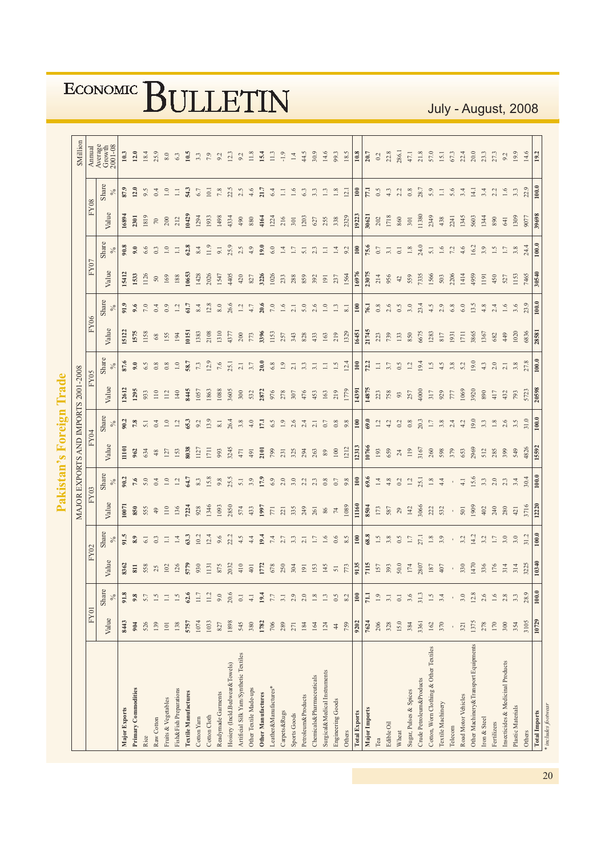|                                         |           |               |                         |               |           |               | MAJOR EXPORTS AND IMPORTS 2001-2008 |                         |       |               |         |                  |         |                 |                    |               | <b>SMillion</b>                                                                |
|-----------------------------------------|-----------|---------------|-------------------------|---------------|-----------|---------------|-------------------------------------|-------------------------|-------|---------------|---------|------------------|---------|-----------------|--------------------|---------------|--------------------------------------------------------------------------------|
|                                         | FY01      |               |                         | FY02          |           | FY03          |                                     | FY04                    |       | FY05          | FY06    |                  | FY07    |                 | <b>FY08</b>        |               | <b>Annual</b>                                                                  |
|                                         | Value     | Share<br>$\%$ | Value                   | Share<br>$\%$ | Value     | Share<br>$\%$ | Value                               | Share<br>$\%$           | Value | Share<br>$\%$ | Value   | Share<br>$\%$    | Value   | Share<br>$\%$   | Value              | Share<br>$\%$ | $\begin{array}{c} {\rm Average} \\ {\rm Growth} \\ 2001\text{-}08 \end{array}$ |
| Major Exports                           | 8443      | 91.8          | 8362                    | 91.5          | 1007      | 90.2          | $\frac{1101}{2}$                    | 90.2                    | 12612 | 87.6          | 15122   | 91.9             | 15412   | 90.8            | 16894              | 87.9          | 10.3                                                                           |
| Primary Commodities                     | 904       | 9.8           | $811\,$                 | 8.9           | 850       | 7.6           | 962                                 | $7.8\,$                 | 1295  | 9.0           | 1575    | 9.6              | 1533    | 9.0             | 2301               | 12.0          | 12.0                                                                           |
| Rice                                    | 526       | 5.7           | 558                     | $6.1$         | 555       | $5.0\,$       | 634                                 | 5.1                     | 933   | 6.5           | 1158    | $7.0\,$          | 1126    | 6.6             | 1819               | 9.5           | 18.4                                                                           |
| Raw Cotton                              | 139       | $1.5\,$       | $25$<br>102             | 0.3           | 49        | $0.4\,$       | $48$                                | 0.4                     | $110$ | $0.8\,$       | $68\,$  | 0.4              | $50\,$  | 0.3             | $\boldsymbol{\pi}$ | $0.4\,$       | 25.9                                                                           |
| Fruits & Vegetables                     | $101\,$   | $\Box$        |                         | $\Xi$         | 110       | $1.0\,$       | 127                                 | $\overline{1.0}$        | 112   | 0.8           | 155     | 0.9              | 169     | $1.0\,$         | 200                | $1.0\,$       | $8.0\,$                                                                        |
| Fish&Fish Preparations                  | 138       | 1.5           | 126                     | $1.4\,$       | 136       | $1.2\,$       | 153                                 | $\overline{13}$         | $140$ | $1.0\,$       | 194     | $1.2\,$          | $188\,$ | $\Xi$           | 212                | $\Box$        | 6.3                                                                            |
| <b>Textile Manufactures</b>             | 5757      | 62.6          | 5779                    | 63.3          | 7224      | 64.7          | 8038                                | 65.3                    | 8445  | 58.7          | 161     | 61.7             | 10653   | 62.8            | 10429              | 54.3          | 10.5                                                                           |
| Cotton Yarn                             | 1074      | 11.7          | 930                     | 10.2          | 928       | $8.3\,$       | 1127                                | 9.2                     | 1057  | $7.3$         | 1383    | $8.4\,$          | 1428    | 8.4             | 1294               | $6.7\,$       | 3.3                                                                            |
| Cotton Cloth                            | 1033      | 11.2          | II31<br>875             | 12.4          | 1346      | 15.8          | 1711                                | 13.9                    | 1863  | 12.9          | 2108    | 12.8             | 2026    | 11.9            | 1933               | 10.1          | 7.9                                                                            |
| Readymade Garments                      | $827\,$   | $9.0$         |                         | 9.6           | 1093      | 9.8           | 993                                 | $\overline{\text{8.1}}$ | 1088  | $7.6\,$       | 1310    | $\rm 8.0$        | 1547    | $9.1$           | 1498               | $7.8\,$       | 9.2                                                                            |
| Hosiery (Incld.Bedwear&Towels)          | 1898      | 20.6          | 2032                    | 22.2          | 2850      | 25.5          | 3245                                | 26.4                    | 3605  | 25.1          | 4377    | 26.6             | 4405    | 25.9            | 4334               | 22.5          | 12.3                                                                           |
| Artificial Silk Yarn/Synthetic Textiles | 545       | $0.1\,$       | $410$                   | 4.5           | 574       | 5.1           | $471$                               | $3.8\,$                 | 300   | $2.1\,$       | $200\,$ | $1.2\,$          | 420     | 2.5             | 490                | 2.5           | 9.2                                                                            |
| Other Textile Made-ups                  | 380       | $4.1\,$       | 401                     | 4.4           | 433       | 3.9           | 491                                 | $4.0$                   | 532   | 3.7           | 773     | $4.7\,$          | 827     | 4.9             | 880                | 4.6           | 11.8                                                                           |
| <b>Other Manufactures</b>               | 1782      | 19.4          | 1772                    | 19.4          | 1997      | 17.9          | 2101                                | 17,1                    | 2872  | 20.0          | 3396    | 20.6             | 3226    | 19.0            | 4164               | 21.7          | 15.4                                                                           |
| Leather&Manufactures*                   | $706\,$   | $7.7\,$       | 678                     | $7.4\,$       | $771$     | $6.9$         | 799                                 | 6.5                     | 976   | $6.8\,$       | 1153    | $7.0\,$          | 1026    | $6.0\,$         | 1224               | 6.4           | 11.3                                                                           |
| Carpets&Rugs                            | 289       | 3.1           | 250                     | 2.7           | 221       | $2.0\,$       | 231                                 | 1.9                     | 278   | $1.9\,$       | 257     | $1.6\,$          | 233     | $1.4\,$         | 216                | $\Xi$         | $-1.9$                                                                         |
| Sports Goods                            | 271       | 2.9           | 304                     | 3.3           | 335       | $3.0\,$       | 325                                 | 2.6                     | 307   | 2.1           | 343     | 2.1              | 288     | $\overline{11}$ | 301                | $1.6\,$       | $1.4\,$                                                                        |
| Petroleum&Products                      | 184       | 2.0           | 191                     | 2.1           | 249       | 2.2           | 294                                 | 2.4                     | 476   | $3.3\,$       | 828     | 5.0              | 859     | $5.1\,$         | 1203               | $6.3$         | 44.5                                                                           |
| Chemicals&Pharmaceuticals               | 164       | $1.8\,$       | 153                     | $1.7\,$       | 261       | 2.3           | 263                                 | 21                      | 453   | 3.1           | 433     | 2.6              | 392     | 2.3             | $627$              | 3.3           | 30.9                                                                           |
| Surgical&Medical Instruments            | 124       | $1.3\,$       | 145                     | 1.6           | 86        | $0.8\,$       | $89\,$                              | $0.7\,$                 | 163   | $\Xi$         | 163     | $\overline{1.0}$ | 191     | $\Box$          | 255                | $1.3\,$       | 14.6                                                                           |
| Engineering Goods                       | 44        | 0.5           | $\overline{5}$          | 0.6           | $74\,$    | $0.7\,$       | $100\,$                             | $0.8\,$                 | 219   | 1.5           | 219     | $1.3\,$          | 237     | $1.4\,$         | 338                | $1.8\,$       | 99.3                                                                           |
| Others                                  | 759       | 8.2           | 773                     | 8.5           | 1089      | 9.8           | 1212                                | 9.8                     | 1779  | 12.4          | 1329    | $\overline{8}$ . | 1564    | 9.2             | 2329               | 12.1          | 18.5                                                                           |
| <b>Total Exports</b>                    | 9202      | 100           | 9135                    | $100\,$       | 11160     | $100\,$       | 12313                               | $\Xi$                   | 14391 | $\Xi$         | 16451   | $\Xi$            | 16976   | $100\,$         | 19223              | $\Xi$         | $10.8\,$                                                                       |
| Major Imports                           | 7624      | 71.1          | $\frac{1}{2}$           | 68.8          | 8504      | 69.6          | 10766                               | 69.0                    | 14875 | 72.2          | 21745   | 76.1             | 23075   | 75.6            | 30621              | 77.1          | 20.7                                                                           |
| Tea                                     | 206       | $1.9\,$       | $157$<br>393<br>50.0    | 1.5           | 173       | $1.4\,$       | 193                                 | 1.2                     | 223   | $\Xi$         | 223     | $0.8\,$          | 214     | $0.7\,$         | $202\,$            | 0.5           | $0.2\,$                                                                        |
| Edible Oil                              | 328       | $3.1\,$       |                         | $3.8\,$       | 587       | $4.8\,$       | 659                                 | 4.2                     | 758   | $3.7\,$       | 739     | 2.6              | 956     | $\Xi$           | 1718               | 4.3           | 22.8                                                                           |
| Wheat                                   | 15.0      | $0.1\,$       |                         | 0.5           | 29        | $0.2\,$       | $\,24$                              | 0.2                     | 93    | 0.5           | 133     | $0.5\,$          | $42$    | $\rm _{\odot}$  | 860                | 2.2           | 286.1                                                                          |
| Sugar, Pulses & Spices                  | 384       | 3.6           | $\frac{174}{2807}$      | $1.7\,$       | 142       | $1.2\,$       | 119                                 | $0.8\,$                 | 257   | 1.2           | 850     | 3.0              | 559     | $1.8\,$         | 301                | $0.8\,$       | $47.1\,$                                                                       |
| Crude Petroleum&Products                | 3361      | 31.3          |                         | 27.1          | 3066      | 25.1          | 3167                                | 20.3                    | 4000  | 19.4          | 6675    | 23.4             | 7335    | 24.0            | 11380              | 28.7          | 21.8                                                                           |
| Cotton, Worn Clothing & Other Textiles  | 162       | 1.5           | $187$<br>$407$<br>$330$ | $1.8\,$       | 222       | $1.8\,$       | $260\,$                             | $1.7\,$                 | 317   | $1.5\,$       | 1283    | 4.5              | 1566    | $5.1\,$         | 2349               | 5.9           | 57.0                                                                           |
| Textile Machinery                       | 370       | 3.4           |                         | 3.9           | 532       | $4.4\,$       | 598                                 | $3.8\,$                 | 929   | 4.5           | $817\,$ | 2.9              | 503     | $1.6\,$         | 438                | $\Xi$         | 15.1                                                                           |
| Telecom                                 | $\bar{1}$ | $\mathsf{I}$  |                         | $\bar{1}$     | $\bar{1}$ | $\mathbf{r}$  | 379                                 | 2.4                     | $777$ | 3.8           | 1931    | $6.8\,$          | 2206    | $7.2\,$         | 2241               | 5.6           | 67.3                                                                           |
| Road Motor Vehicles                     | 321       | 3.0           |                         | 3.2           | 501       | $4.1\,$       | 653                                 | 4.2                     | 1069  | 5.2           | $1711$  | 6.0              | 1414    | $4.6$           | 1345               | 3.4           | 22.4                                                                           |
| Other Machinery & Transport Equipments  | 1375      | 12.8          | 1470                    | 14.2          | 1909      | 15.6          | 2969                                | 19.0                    | 3920  | 19.0          | 3865    | 13.5             | 4959    | 16.2            | 5603               | 14.1          | 20.0                                                                           |
| Iron & Steel                            | 278       | 2.6           |                         | 3.2           | $402$     | 3.3           | 512                                 | 3.3                     | 890   | 4.3           | 1367    | 4.8              | 1191    | 3.9             | 1344               | 3.4           | 23.3                                                                           |
| Fertilizers                             | 170       | $1.6\,$       | 336<br>176<br>314       | $1.7\,$       | 240       | $2.0\,$       | 285                                 | $1.8\,$                 | 417   | 2.0           | 682     | 2.4              | 450     | $1.5\,$         | 890                | 2.2           | 27.3                                                                           |
| Insecticides & Medicinal Products       | 300       | $2.8$         |                         | 3.0           | 280       | 2.3           | 399                                 | 2.6                     | 432   | $2.1\,$       | 449     | $1.6\,$          | 527     | $1.7\,$         | 641                | $1.6\,$       | 9.2                                                                            |
| Plastic Materials                       | 354       | 3.3           | 314                     | 3.0           | 421       | 3.4           | 549                                 | 3.5                     | 793   | 3.8           | 1020    | 3.6              | 1153    | 3.8             | 1309               | 3.3           | 19.9                                                                           |
| Others                                  | 3105      | 28.9          | 3225                    | 31.2          | 3716      | 30.4          | 4826                                | 31.0                    | 5723  | 27.8          | 6836    | 23.9             | 7465    | 24.4            | 9077               | 22.9          | 14.6                                                                           |
| <b>Total Imports</b>                    | 10729     |               | 10340                   |               | 12220     |               | 15592                               |                         | 20598 |               | 28581   |                  | 30540   |                 | 39698              | 100.0         | 19.2                                                                           |

July - August, 2008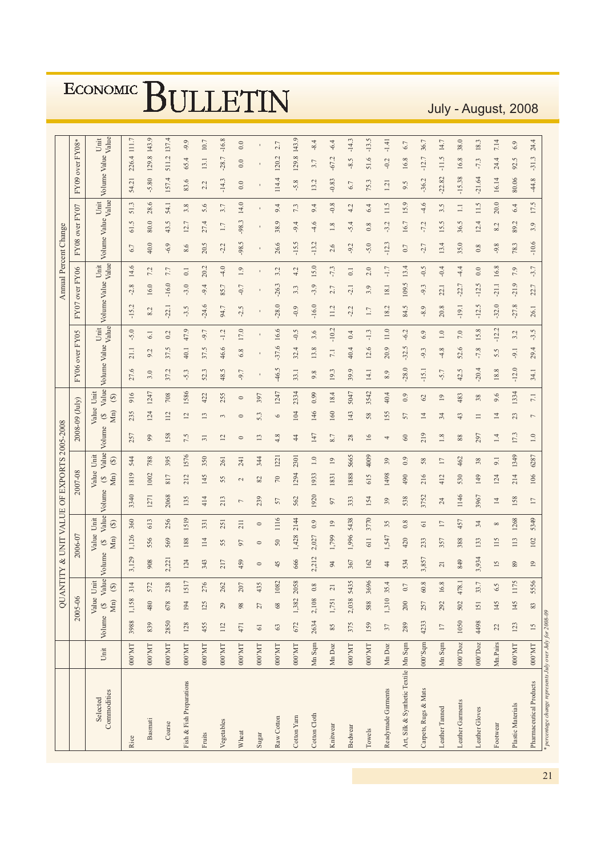July - August, 2008

|                                        |                            |                                | QUAN       |                   |                |                                    |                        | <b>THTY &amp; UNIT VALUE OF EXPORTS 2005-2008</b> |                                     |                        |                 |                                     |                        |                       |         |         |         |                       | Annual Percent Change      |                       |         |               |              |                    |          |
|----------------------------------------|----------------------------|--------------------------------|------------|-------------------|----------------|------------------------------------|------------------------|---------------------------------------------------|-------------------------------------|------------------------|-----------------|-------------------------------------|------------------------|-----------------------|---------|---------|---------|-----------------------|----------------------------|-----------------------|---------|---------------|--------------|--------------------|----------|
|                                        |                            |                                | 2005-06    |                   |                | 2006-07                            |                        |                                                   | 2007-08                             |                        |                 | 2008-09 (July)                      |                        | FY06 over FY05        |         |         |         | FY07 over FY06        |                            | FY08 over FY07        |         |               |              | FY09 over FY08*    |          |
| Commodities<br>Selected                | Unit                       | Value Unit<br>Volume (\$ Value |            | $Mn)$ (\$)        | Value Volume   | Value Unit<br>Mn)<br>$\mathcal{Q}$ | Value<br>$\circledast$ | Volume                                            | Value Unit<br>Mn)<br>$\mathfrak{S}$ | Value<br>$\circledast$ | Volume          | Value Unit<br>Mn)<br>$\mathfrak{S}$ | Value<br>$\circledast$ | Volume Value<br>Value |         | Unit    |         | Volume Value<br>Value | Unit                       | Volume Value<br>Value |         | Unit          |              | Volume Value Value | Unit     |
| Rice                                   | $000^{\circ} \mathrm{MT}$  | 3988                           | 1,158      | 314               | 3,129          | 1,126                              | 360                    | 3340                                              | 1819                                | 544                    | 257             | 235                                 | 916                    | 27.6                  | 21.1    | $-5.0$  | $-15.2$ | $-2.8$                | 6.7<br>14.6                |                       | 61.5    | 54.21<br>51.3 |              | 111.7<br>226.4     |          |
| Basmati                                | $1\rm{M},000$              | 839                            | 480        | 572               | 908            | 556                                | 613                    | 1271                                              | 1002                                | 788                    | 99              | 124                                 | 1247                   | 3.0                   | 9.2     | 6.1     | 8.2     | 16.0                  | 40.0<br>7.2                |                       | 80.0    | 28.6          | $-5.80$      | 129.8              | 143.9    |
| Coarse                                 | 000'MT                     | 2850                           | 678        | 238               | 2,221          | 569                                | 256                    | 2068                                              | 817                                 | 395                    | 158             | 112                                 | 708                    | 37.2                  | 37.5    | 0.2     | $-22.1$ | $-16.0$               | $-6.9$<br>7.7              |                       | 43.5    | 54.1          | 157.4        | 511.2              | 137.4    |
| Fish & Fish Preparations               | $100.000$                  | 128                            | 194        | 1517              | 124            | 188                                | 1519                   | 135                                               | 212                                 | 1576                   | 7.5             | 12                                  | 1586                   | $-5.3$                | 40.1    | 47.9    | $-3.5$  | $-3.0$                | 8.6<br>0.1                 |                       | 12.7    | 3.8           | 83.6         | 65.4               | $-9.9$   |
| Fruits                                 | $ $ DM.000                 | 455                            | 125        | 276               | 343            | 114                                | 331                    | 414                                               | 145                                 | 350                    | $\overline{31}$ | 13                                  | 422                    | 52.3                  | 37.5    | $-9.7$  | $-24.6$ | $-9.4$                | 20.5<br>20.2               |                       | 27.4    | 5.6           | 2.2          | 13.1               | $10.7\,$ |
| Vegetables                             | $1 \rm M, 000$             | 112                            | 29         | 262               | 217            | 55                                 | 251                    | 213                                               | 55                                  | 261                    | 12              | 3                                   | 255                    | 48.5                  | 46.6    | $-1.2$  | 94.7    | 85.7                  | $-2.2$<br>$-4.0$           |                       | 1.7     | 3.7           | $-14.3$      | $-16.8$<br>$-28.7$ |          |
| Wheat                                  | $000^{\circ} \mathrm{MT}$  | 471                            | 98         | 207               | 459            | 97                                 | 211                    | $\overline{ }$                                    | $\mathcal{L}$                       | 241                    | $\circ$         | $\circ$                             | $\circ$                | $-9.7$                | 6.8     | 17.0    | $-2.5$  | $-0.7$                | 1.9                        | -98.5                 | $-98.3$ | 14.0          | 0.0          | 0.0                | 0.0      |
| Sugar                                  | $000\,\mathrm{MT}$         | $\sqrt{6}$                     | 27         | 435               | $\circ$        | $\circ$                            | $\circ$                | 239                                               | 82                                  | 344                    | 13              | 5.3                                 | 397                    |                       |         |         |         |                       |                            |                       |         |               |              |                    |          |
| Raw Cotton                             | $000\,\mathrm{MT}$         | $63\,$                         | $68\,$     | 1082              | 45             | 50                                 | 1116                   | 57                                                | 70                                  | 1221                   | 4.8             | 6                                   | 1247                   | $-46.5$               | $-37.6$ | 16.6    | $-28.0$ | $-26.3$               | 26.6<br>3.2                |                       | 38.9    | 9.4           | 114.4        | 120.2              | 2.7      |
| Cotton Yarn                            | $1\rm{M},000$              | 672                            |            | 1,382 2058        | 666            | 1,428                              | 2144                   | 562                                               | 1294                                | 2301                   | $\overline{4}$  | 104                                 | 2334                   | 33.1                  | 32.4    | $-0.5$  | $-0.9$  | 3.3                   | $-15.5$<br>4.2             |                       | $-9.4$  | 7.3           | $-5.8$       | 129.8              | 143.9    |
| Cotton Cloth                           | Mn Sqm                     | 2634                           | $2,108$ 0. | $\infty$          | 2,212          | 2,027                              | 0.9                    | 1920                                              | 1933                                | 1.0                    | 147             | 146                                 | 0.99                   | 9.8                   | 13.8    | 3.6     | $-16.0$ | $-3.9$                | $-13.2$<br>15.0            |                       | $-4.6$  | 9.4           | 13.2         | 3.7                | $-8.4$   |
| Knitwear                               | Mn Doz                     | $85$                           | 1,751      |                   | 94             | 1,799                              | $^{19}$                | 56                                                | 1831                                | $^{19}$                | 8.7             | 160                                 | 18.4                   | 19.3                  | 7.1     | $-10.2$ | 11.2    | 2.7                   | 2.6<br>$-7.3$              |                       | 1.8     | $-0.8$        | $-0.83$      | $-67.2$            | $-6.4$   |
| Bedwear                                | $000^{\circ} \mathrm{MT}$  | 375                            |            | 2,038 5435        | 367            | 1,996                              | 5438                   | 333                                               | 1888                                | 5665                   | 28              | 143                                 | 5047                   | 39.9                  | 40.4    | 0.4     | $-2.2$  | $-2.1$                | $-9.2$<br>$\overline{0}$ . |                       | $-5.4$  | 4.2           | 6.7          | $-8.5$             | $-14.3$  |
| Towels                                 | $000\,\mathrm{MT}$         | 159                            | 588        | 3696              | 162            | 611                                | 3770                   | 154                                               | 615                                 | 4009                   | 16              | 58                                  | 3542                   | 14.1                  | 12.6    | $-1.3$  | 1.7     | 3.9                   | $-5.0$<br>2.0              |                       | 0.8     | 6.4           | 75.3         | 51.6               | $-13.5$  |
| Readymade Garments                     | Mn Doz                     | $37\,$                         | 1,310 35   | 4                 | 44             | 1,547                              | 35                     | 39                                                | 1498                                | 39                     | 4               | 155                                 | 40.4                   | 8.9                   | 20.9    | $11.0$  | 18.2    | 18.1                  | $-12.3$<br>$-1.7$          |                       | $-3.2$  | 11.5          | 1.21         | $-1.41$<br>$-0.2$  |          |
| Art, Silk & Synthetic Textile   Mn Sqm |                            | 289                            | 200        | r.<br>$\circ$     | 534            | 420                                | 0.8                    | 538                                               | 490                                 | 0.9                    | 60              | 57                                  | 0.9                    | $-28.0$               | $-32.5$ | $-6.2$  | 84.5    | 109.5                 | 0.7<br>13.4                |                       | 16.7    | 15.9          | 9.5          | 16.8               | 6.7      |
| Carpets, Rugs & Mats                   | $000$ 'Sqm                 | 4233                           | 257        | 60.8              | 3,857          | 233                                | $\overline{6}$         | 3752                                              | 216                                 | 58                     | 219             | $\overline{14}$                     | 62                     | $-15.1$               | $-9.3$  | 6.9     | $-8.9$  | $-9.3$                | $-2.7$<br>$-0.5$           |                       | $-7.2$  | $-4.6$        | $-36.2$      | $-12.7$            | 36.7     |
| Leather Tanned                         | Mn Sqm                     | $\overline{17}$                | 292        | 16.8              | $\overline{c}$ | 357                                | 17                     | 24                                                | 412                                 | $\overline{17}$        | 1.8             | 34                                  | $^{19}$                | $-5.7$                | $-4.8$  | 1.0     | 20.8    | 22.1                  | 13.4<br>$-0.4$             |                       | 15.5    | 3.5           | $-22.82$     | $-11.5$            | 14.7     |
| Leather Garments                       | $000^{\circ} \textrm{Doz}$ | 1050                           | 502        | 478.1             | 849            | 388                                | 457                    | 1146                                              | 530                                 | 462                    | 88              | 43                                  | 483                    | 42.5                  | 52.6    | 7.0     | $-19.1$ | $-22.7$               | 35.0<br>$-4.4$             |                       | 36.5    | $\Box$        | $-15.38$     | 16.8               | 38.0     |
| Leather Gloves                         | $000'$ Doz                 | 4498                           | 151        | 33.7              | 3,934          | 133                                | 34                     | 3967                                              | 149                                 | 38                     | 297             | $\equiv$                            | 38                     | $-20.4$               | $-7.8$  | 15.8    | $-12.5$ | $-12.5$               | 0.8<br>0.0                 |                       | 12.4    | 11.5          | $-21.64$     | $-7.3$             | 18.3     |
| Footwear                               | Mn.Pairs                   | $22$                           | 145        | $\sim$<br>$\circ$ | 15             | 115                                | ${}^{\circ}$           | 14                                                | 124                                 | 9.1                    | 1.4             | 14                                  | 9.6                    | 18.8                  | 5.5     | $-12.2$ | $-32.0$ | $-21.1$               | $-9.8$<br>16.8             |                       | 8.2     | 20.0          | 16.14        | 24.4               | 7.14     |
| Plastic Materials                      | $1 \rm M, 000$             | 123                            | 145        | 75<br>$\equiv$    | 89             | 113                                | 1268                   | 158                                               | 214                                 | 1349                   | 17.3            | 23                                  | 1334                   | $-12.0$               | $-9.1$  | 3.2     | $-27.8$ | $-21.9$               | 78.3<br>7.9                |                       | 89.2    | 6.4           | 92.<br>80.06 | S                  | 6.9      |
| Pharmaceutical Products                | $000\,\mathrm{MT}$         | 15                             | 83         | 5556              | $^{19}$        | 102                                | 5349                   | 17                                                | 106                                 | 6287                   | $1.0\,$         | $\overline{ }$                      | 7.1                    | 34.1                  | 29.4    | $-3.5$  | 26.1    | 22.7                  | $-10.6$<br>$-3.7$          |                       | 3.9     | 17.5          | $-44.8$      | $-31.3$            | 24.4     |
| percentage change represents           | Into over July for 2008-09 |                                |            |                   |                |                                    |                        |                                                   |                                     |                        |                 |                                     |                        |                       |         |         |         |                       |                            |                       |         |               |              |                    |          |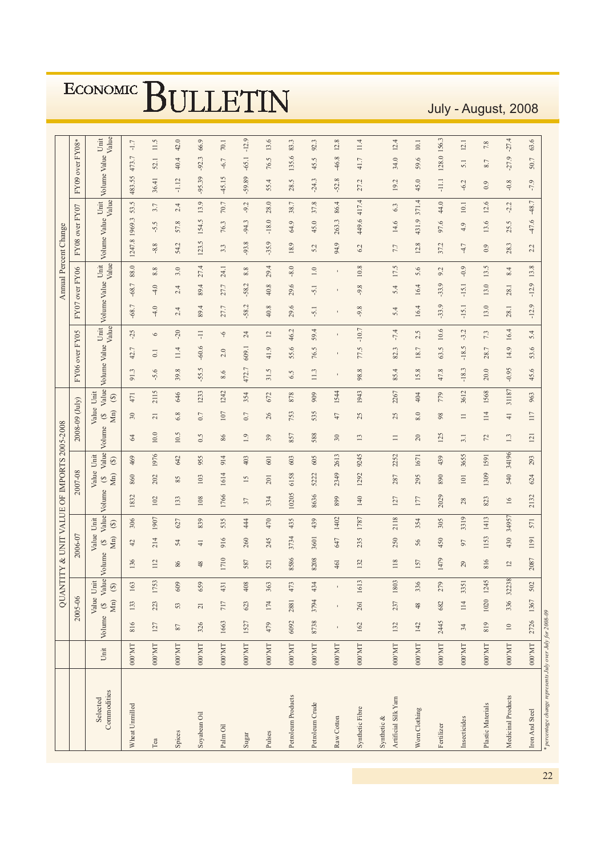July - August, 2008

|                                                                             |                           |                                     |                         | <b>QUANTITY</b>       |              |                                     |                        | & UNIT VALUE OF IMPORTS 2005-2008 |                                     |                        |                |                                     |                                                                |                |         |                 |              |           | Annual Percent Change |                  |                    |                  |                     |                |
|-----------------------------------------------------------------------------|---------------------------|-------------------------------------|-------------------------|-----------------------|--------------|-------------------------------------|------------------------|-----------------------------------|-------------------------------------|------------------------|----------------|-------------------------------------|----------------------------------------------------------------|----------------|---------|-----------------|--------------|-----------|-----------------------|------------------|--------------------|------------------|---------------------|----------------|
|                                                                             |                           |                                     | 2005-06                 |                       |              | 2006-07                             |                        |                                   | 2007-08                             |                        | 2008-09 (July) |                                     |                                                                | FY06 over FY05 |         |                 | FY07         | over FY06 |                       |                  | FY08 over FY07     |                  | FY09 over FY08*     |                |
| Commodities<br>Selected                                                     |                           | Value Unit<br>Unit Volume (\$ Value | Mn) $(\mathbb{S})$      |                       | Value Volume | Value Unit<br>Mn)<br>$\mathfrak{S}$ | Value<br>$\circledast$ | Volume                            | Value Unit<br>Mn)<br>$\mathfrak{S}$ | Value<br>$\circledast$ | Volume         | Value Unit<br>Mn)<br>$\mathfrak{S}$ | Value<br>$\begin{array}{c} \textcircled{\small 3} \end{array}$ | Volume Value   |         | Value<br>Unit   | Volume Value |           | Unit<br>Value         | Volume Value     | Value<br>Unit      |                  | Volume Value        | Value<br>Unit  |
| Wheat Unmilled                                                              | 000'MT                    | 816                                 | 133                     | 163                   | 136          | $\overline{4}$                      | 306                    | 1832                              | 860                                 | 469                    | 34             | $30\,$                              | 471                                                            | 91.3           | 42.7    | $-25$           | $-68.7$      | $-68.7$   | 88.0                  | 1969.3<br>1247.8 | 53.5               | 483.55           | 473.7               | $-1.7$         |
| Tea                                                                         | $000^{\circ} \mathrm{MT}$ | 127                                 | 223                     | 53<br>$\overline{17}$ | 112          | 214                                 | 1907                   | 102                               | 202                                 | 1976                   | $10.0$         | $\overline{21}$                     | 2115                                                           | $-5.6$         | $\Xi$   | $\circ$         | $-4.0$       | $-4.0$    | $8.8\,$               | $-8.8$           | 3.7<br>$-5.5$      | 36.41            | 52.1                | 11.5           |
| Spices                                                                      | $000^{\circ} \mathrm{MT}$ | $87\,$                              | 53                      | 609                   | 86           | 54                                  | 627                    | 133                               | 85                                  | 642                    | 10.5           | $6.8\,$                             | 646                                                            | 39.8           | 11.4    | $-20$           | 2.4          | 2.4       | 54.<br>$3.0\,$        | $\ddot{c}$       | 2.4<br>57.8        | $-1.12$          | 40.                 | 42.0<br>4      |
| Soyabean Oil                                                                | $1 \mathrm{M}$ .000       | 326                                 | $\overline{\mathbf{c}}$ | 659                   | 48           | $\frac{1}{4}$                       | 839                    | 108                               | 103                                 | 955                    | 0.5            | 0.7                                 | 1233                                                           | $-55.5$        | $-60.6$ | Ę               | 89.4         | 89.4      | 27.4                  | 123.5            | 13.9<br>154.5      | $-95.39$         | -92.                | 66.9<br>$\sim$ |
| Palm Oil                                                                    | $000^{\circ} \mathrm{MT}$ | 1663                                | 717                     | 431                   | 1710         | 916                                 | 535                    | 1766                              | 1614                                | 914                    | 86             | 107                                 | 1242                                                           | 8.6            | 2.0     | $\ddot{\theta}$ | 27.7         | 27.7      | 3.3<br>24.1           |                  | 70.7<br>76.3       | $-45.15$         | $-6.7$              | 70.1           |
| Sugar                                                                       | $000^{\circ} \mathrm{MT}$ | 1527                                | 623                     | 408                   | 587          | 260                                 | 44                     | 37                                | 15                                  | 403                    | 1.9            | $0.7\,$                             | 354                                                            | 472.7          | 609.1   | 24              | $-58.2$      | $-58.2$   | $-93.$<br>8.8         | $\infty$         | $-9.2$<br>$-94.3$  | $-59.$           | $-65.1$<br>89       | $-12.9$        |
| Pulses                                                                      | $1\rm{M},000$             | 479                                 | $174\,$                 | 363                   | 521          | 245                                 | 470                    | 334                               | 201                                 | 601                    | 39             | 26                                  | 672                                                            | 31.5           | 41.9    | $\overline{2}$  | 40.8         | 40.8      | 29.4                  | $-35.9$          | 28.0<br>$-18.0$    | 55.4             | 76.5                | 13.6           |
| Petroleum Products                                                          | $1 \rm M_\odot$ 000       | 6092                                | 2881                    | 473                   | 8586         | 3734                                | 435                    | 10205                             | 6158                                | 603                    | 857            | 753                                 | 878                                                            | 6.5            | 55.6    | 46.2            | 29.6         | 29.6      | $-8.0$                | 18.9             | 38.7<br>64.9       | 28.5             | 135.6               | 83.3           |
| Petroleum Crude                                                             | 1M.000                    | 8738                                | 3794                    | 434                   | 8208         | 3601                                | 439                    | 8636                              | 5222                                | 605                    | 588            | 535                                 | 909                                                            | 11.3           | 76.5    | 59.4            | $-5.1$       | $-5.1$    | 5.2<br>1.0            |                  | 37.8<br>45.0       | $-24.3$          | 45                  | 92.3<br>S      |
| Raw Cotton                                                                  | $1 \mathrm{M}$ .000       | ı                                   |                         |                       | 461          | 647                                 | 1402                   | 899                               | 2349                                | 2613                   | 30             | 47                                  | 1544                                                           | $\blacksquare$ |         | $\blacksquare$  |              |           |                       | 94.9             | 86.4<br>263.3      | $-52.$           | $-46.8$<br>$\infty$ | 12.8           |
| Synthetic Fibre                                                             | $000\,\mathrm{MT}$        | 162                                 | 261                     | 13<br>16              | 132          | 235                                 | 1787                   | 140                               | 1292                                | 9245                   | 13             | 25                                  | 1943                                                           | 98.8           | 77.5    | $-10.7$         | $-9.8$       | $-9.8$    | 6.2<br>$10.8$         |                  | 417.4<br>449.6     | 27.2             | 41.7                | 11.4           |
| Artificial Silk Yarn<br>Synthetic $\&$                                      | $000\,\mathrm{MT}$        | 132                                 | 237                     | 1803                  | 118          | 250                                 | 2118                   | 127                               | 287                                 | 2252                   | $\equiv$       | 25                                  | 2267                                                           | 85.4           | 82.3    | $-7.4$          | 5.4          | 5.4       | 7.7<br>17.5           |                  | 6.3<br>14.6        | 19.2             | 34.0                | 12.4           |
| Worn Clothing                                                               | $000^{\circ}$ MT          | 142                                 | $48$                    | 336                   | 157          | 56                                  | 354                    | $177\,$                           | 295                                 | 1671                   | $20\,$         | $\,8.0$                             | 404                                                            | 15.8           | 18.7    | 2.5             | 16.4         | 16.4      | 5.6                   | 12.8             | 371.4<br>431.9     | 45.0             | 59.6                | $10.1\,$       |
| Fertilizer                                                                  | $000\,\mathrm{MT}$        | 2445                                | 682                     | 279                   | 1479         | 450                                 | 305                    | 2029                              | 890                                 | 439                    | 125            | 98                                  | 779                                                            | 47.8           | 63.5    | 10.6            | $-33.9$      | $-33.9$   | 9.2                   | 37.2             | 44.0<br>97.6       | $\frac{111}{11}$ | 128.0               | 156.3          |
| Insecticides                                                                | $1 \rm M_\odot$ 000       | 34                                  | 114                     | 51<br>33              | 29           | 50                                  | 3319                   | 28                                | 101                                 | 3655                   | 3.1            | $\Box$                              | 3612                                                           | $-18.3$        | $-18.5$ | $-3.2$          | $-15.1$      | $-15.1$   | $-0.9$                | $-4.7$           | 10.1<br>4.9        | $-6.2$           | 5.1                 | 12.1           |
| Plastic Materials                                                           | $000\,\mathrm{MT}$        | 819                                 | 1020 1245               |                       | 816          | 1153                                | 1413                   | 823                               | 1309                                | 1591                   | 22             | 114                                 | 1568                                                           | 20.0           | 28.7    | 7.3             | 13.0         | 13.0      | 13.5                  | 0.9              | 12.6<br>13.6       | 0.9              | 8.7                 | 7.8            |
| Medicinal Products                                                          | $000^{\circ}$ MT          | $\overline{10}$                     | 336                     | 32238                 | 12           | 430                                 | 34957                  | 16                                | 540                                 | 34196                  | $1.3\,$        | $\overline{+}$                      | 31187                                                          | $-0.95$        | 14.9    | 16.4            | $28.1\,$     | 28.1      | 8.4                   | 28.3             | $-2.2$<br>25.5     | $-0.8$           | $-27.9$             | $-27.4$        |
| * percentage change represents July over July for 2008-09<br>Iron And Steel | $ $ DM.000                |                                     | 2726 1367               | 502                   | 2087         | 1191                                | 571                    | 2132                              | 624                                 | 293                    | 121            | 117                                 | 963                                                            | 45.6           | 53.6    | 5.4             | $-12.9$      | $-12.9$   | 2.2<br>13.8           |                  | $-48.7$<br>$-47.6$ | $-7.9$           | 50.7                | 63.6           |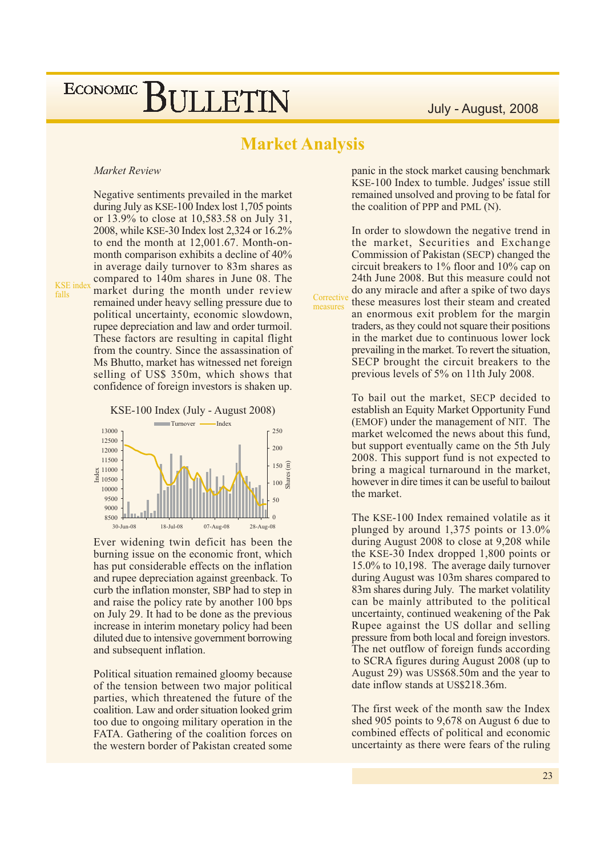### **Market Analysis**

measures

#### Market Review

**KSE** index  $falls$ 

Negative sentiments prevailed in the market during July as KSE-100 Index lost 1,705 points or 13.9% to close at 10.583.58 on July 31. 2008, while KSE-30 Index lost 2,324 or 16.2% to end the month at 12,001.67. Month-onmonth comparison exhibits a decline of 40% in average daily turnover to 83m shares as compared to 140m shares in June 08. The market during the month under review remained under heavy selling pressure due to political uncertainty, economic slowdown, rupee depreciation and law and order turmoil. These factors are resulting in capital flight from the country. Since the assassination of Ms Bhutto, market has witnessed net foreign selling of US\$ 350m, which shows that confidence of foreign investors is shaken up.



Ever widening twin deficit has been the burning issue on the economic front, which has put considerable effects on the inflation and rupee depreciation against greenback. To curb the inflation monster, SBP had to step in and raise the policy rate by another 100 bps on July 29. It had to be done as the previous increase in interim monetary policy had been diluted due to intensive government borrowing and subsequent inflation.

Political situation remained gloomy because of the tension between two major political parties, which threatened the future of the coalition. Law and order situation looked grim too due to ongoing military operation in the FATA. Gathering of the coalition forces on the western border of Pakistan created some

panic in the stock market causing benchmark KSE-100 Index to tumble. Judges' issue still remained unsolved and proving to be fatal for the coalition of PPP and PML (N).

In order to slowdown the negative trend in the market, Securities and Exchange Commission of Pakistan (SECP) changed the circuit breakers to  $1\%$  floor and  $10\%$  cap on 24th June 2008. But this measure could not do any miracle and after a spike of two days Corrective these measures lost their steam and created an enormous exit problem for the margin traders, as they could not square their positions in the market due to continuous lower lock prevailing in the market. To revert the situation, SECP brought the circuit breakers to the previous levels of 5% on 11th July 2008.

> To bail out the market, SECP decided to establish an Equity Market Opportunity Fund (EMOF) under the management of NIT. The market welcomed the news about this fund. but support eventually came on the 5th July 2008. This support fund is not expected to bring a magical turnaround in the market, however in dire times it can be useful to bailout the market.

> The KSE-100 Index remained volatile as it plunged by around  $1,375$  points or  $13.0\%$ during August 2008 to close at 9,208 while the KSE-30 Index dropped 1,800 points or 15.0% to 10,198. The average daily turnover during August was 103m shares compared to 83m shares during July. The market volatility can be mainly attributed to the political uncertainty, continued weakening of the Pak Rupee against the US dollar and selling pressure from both local and foreign investors. The net outflow of foreign funds according to SCRA figures during August 2008 (up to August 29) was US\$68.50m and the year to date inflow stands at US\$218.36m.

> The first week of the month saw the Index shed 905 points to 9,678 on August 6 due to combined effects of political and economic uncertainty as there were fears of the ruling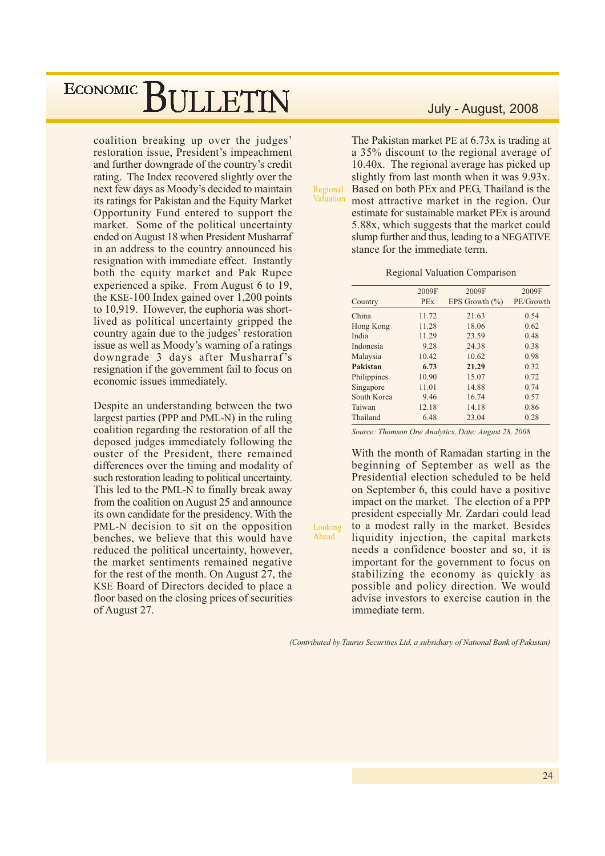coalition breaking up over the judges' restoration issue, President's impeachment and further downgrade of the country's credit rating. The Index recovered slightly over the next few days as Moody's decided to maintain its ratings for Pakistan and the Equity Market Opportunity Fund entered to support the market. Some of the political uncertainty ended on August 18 when President Musharraf in an address to the country announced his resignation with immediate effect. Instantly both the equity market and Pak Rupee experienced a spike. From August 6 to 19, the KSE-100 Index gained over 1,200 points to 10,919. However, the euphoria was shortlived as political uncertainty gripped the country again due to the judges' restoration issue as well as Moody's warning of a ratings downgrade 3 days after Musharraf's resignation if the government fail to focus on economic issues immediately.

Despite an understanding between the two largest parties (PPP and PML-N) in the ruling coalition regarding the restoration of all the deposed judges immediately following the ouster of the President, there remained differences over the timing and modality of such restoration leading to political uncertainty. This led to the PML-N to finally break away from the coalition on August 25 and announce its own candidate for the presidency. With the PML-N decision to sit on the opposition benches, we believe that this would have reduced the political uncertainty, however, the market sentiments remained negative for the rest of the month. On August 27, the KSE Board of Directors decided to place a floor based on the closing prices of securities of August 27.

#### July - August, 2008

The Pakistan market PE at 6.73x is trading at a 35% discount to the regional average of 10.40x. The regional average has picked up slightly from last month when it was 9.93x. Based on both PEx and PEG, Thailand is the Regional Valuation most attractive market in the region. Our estimate for sustainable market PEx is around 5.88x, which suggests that the market could slump further and thus, leading to a NEGATIVE

#### **Regional Valuation Comparison**

stance for the immediate term.

|             | 2009F      | 2009F              | 2009F     |
|-------------|------------|--------------------|-----------|
| Country     | <b>PEx</b> | EPS Growth $(\% )$ | PE/Growth |
| China       | 11.72      | 21.63              | 0.54      |
| Hong Kong   | 11.28      | 18.06              | 0.62      |
| India       | 11.29      | 23.59              | 0.48      |
| Indonesia   | 9.28       | 24.38              | 0.38      |
| Malaysia    | 10.42      | 10.62              | 0.98      |
| Pakistan    | 6.73       | 21.29              | 0.32      |
| Philippines | 10.90      | 15.07              | 0.72      |
| Singapore   | 11.01      | 14.88              | 0.74      |
| South Korea | 9.46       | 16.74              | 0.57      |
| Taiwan      | 12.18      | 14.18              | 0.86      |
| Thailand    | 6.48       | 23.04              | 0.28      |

Source: Thomson One Analytics, Date: August 28, 2008

With the month of Ramadan starting in the beginning of September as well as the Presidential election scheduled to be held on September 6, this could have a positive impact on the market. The election of a PPP president especially Mr. Zardari could lead to a modest rally in the market. Besides liquidity injection, the capital markets needs a confidence booster and so, it is important for the government to focus on stabilizing the economy as quickly as possible and policy direction. We would advise investors to exercise caution in the immediate term.

(Contributed by Taurus Securities Ltd, a subsidiary of National Bank of Pakistan)

Looking Ahead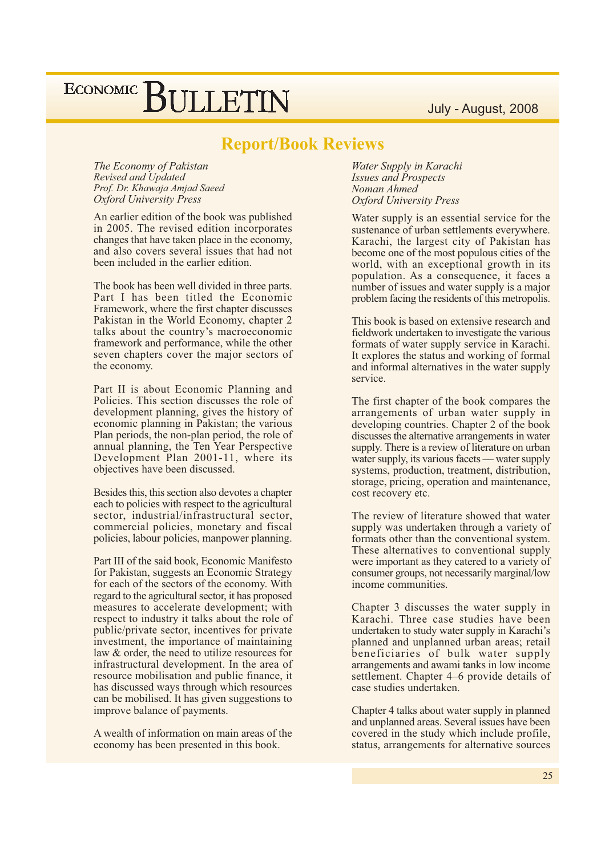### July - August, 2008

## ECONOMIC BULLETIN

### **Report/Book Reviews**

The Economy of Pakistan **Revised and Updated** Prof. Dr. Khawaja Amjad Saeed **Oxford University Press** 

An earlier edition of the book was published in 2005. The revised edition incorporates changes that have taken place in the economy, and also covers several issues that had not been included in the earlier edition.

The book has been well divided in three parts. Part I has been titled the Economic Framework, where the first chapter discusses Pakistan in the World Economy, chapter 2 talks about the country's macroeconomic framework and performance, while the other seven chapters cover the major sectors of the economy.

Part II is about Economic Planning and Policies. This section discusses the role of development planning, gives the history of economic planning in Pakistan; the various Plan periods, the non-plan period, the role of annual planning, the Ten Year Perspective Development Plan 2001-11, where its objectives have been discussed.

Besides this, this section also devotes a chapter each to policies with respect to the agricultural sector, industrial/infrastructural sector, commercial policies, monetary and fiscal policies, labour policies, manpower planning.

Part III of the said book, Economic Manifesto for Pakistan, suggests an Economic Strategy for each of the sectors of the economy. With regard to the agricultural sector, it has proposed measures to accelerate development; with respect to industry it talks about the role of public/private sector, incentives for private investment, the importance of maintaining law & order, the need to utilize resources for infrastructural development. In the area of resource mobilisation and public finance, it has discussed ways through which resources can be mobilised. It has given suggestions to improve balance of payments.

A wealth of information on main areas of the economy has been presented in this book.

Water Supply in Karachi **Issues and Prospects** Noman Ahmed **Oxford University Press** 

Water supply is an essential service for the sustenance of urban settlements everywhere. Karachi, the largest city of Pakistan has become one of the most populous cities of the world, with an exceptional growth in its population. As a consequence, it faces a number of issues and water supply is a major problem facing the residents of this metropolis.

This book is based on extensive research and fieldwork undertaken to investigate the various formats of water supply service in Karachi. It explores the status and working of formal and informal alternatives in the water supply service.

The first chapter of the book compares the arrangements of urban water supply in developing countries. Chapter 2 of the book discusses the alternative arrangements in water supply. There is a review of literature on urban water supply, its various facets — water supply systems, production, treatment, distribution, storage, pricing, operation and maintenance, cost recovery etc.

The review of literature showed that water supply was undertaken through a variety of formats other than the conventional system. These alternatives to conventional supply were important as they catered to a variety of consumer groups, not necessarily marginal/low income communities.

Chapter 3 discusses the water supply in Karachi. Three case studies have been undertaken to study water supply in Karachi's planned and unplanned urban areas; retail beneficiaries of bulk water supply arrangements and awami tanks in low income settlement. Chapter 4–6 provide details of case studies undertaken.

Chapter 4 talks about water supply in planned and unplanned areas. Several issues have been covered in the study which include profile, status, arrangements for alternative sources